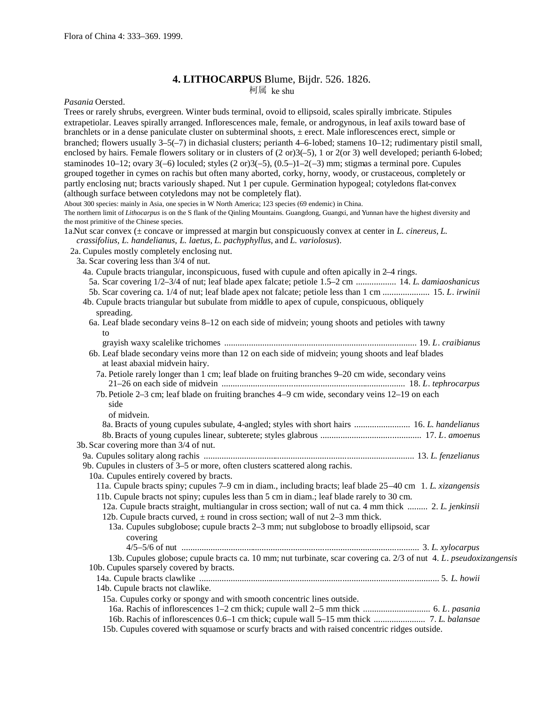# **4. LITHOCARPUS** Blume, Bijdr. 526. 1826.

柯属 ke shu

*Pasania* Oersted.

Trees or rarely shrubs, evergreen. Winter buds terminal, ovoid to ellipsoid, scales spirally imbricate. Stipules extrapetiolar. Leaves spirally arranged. Inflorescences male, female, or androgynous, in leaf axils toward base of branchlets or in a dense paniculate cluster on subterminal shoots, ± erect. Male inflorescences erect, simple or branched; flowers usually 3–5(–7) in dichasial clusters; perianth 4–6-lobed; stamens 10–12; rudimentary pistil small, enclosed by hairs. Female flowers solitary or in clusters of  $(2 \text{ or } 3(-5), 1 \text{ or } 2(\text{ or } 3)$  well developed; perianth 6-lobed; staminodes 10–12; ovary 3(–6) loculed; styles (2 or)3(–5), (0.5–)1–2(–3) mm; stigmas a terminal pore. Cupules grouped together in cymes on rachis but often many aborted, corky, horny, woody, or crustaceous, completely or partly enclosing nut; bracts variously shaped. Nut 1 per cupule. Germination hypogeal; cotyledons flat-convex (although surface between cotyledons may not be completely flat).

About 300 species: mainly in Asia, one species in W North America; 123 species (69 endemic) in China.

The northern limit of *Lithocarpus* is on the S flank of the Qinling Mountains. Guangdong, Guangxi, and Yunnan have the highest diversity and the most primitive of the Chinese species.

1a.Nut scar convex (± concave or impressed at margin but conspicuously convex at center in *L. cinereus, L. crassifolius, L. handelianus, L. laetus, L. pachyphyllus,* and *L. variolosus*).

2a. Cupules mostly completely enclosing nut.

3a. Scar covering less than 3/4 of nut.

4a. Cupule bracts triangular, inconspicuous, fused with cupule and often apically in 2–4 rings. 5a. Scar covering 1/2–3/4 of nut; leaf blade apex falcate; petiole 1.5–2 cm .................. 14. *L*. *damiaoshanicus* 5b. Scar covering ca. 1/4 of nut; leaf blade apex not falcate; petiole less than 1 cm ..................... 15. *L*. *irwinii* 4b. Cupule bracts triangular but subulate from middle to apex of cupule, conspicuous, obliquely spreading. 6a. Leaf blade secondary veins 8–12 on each side of midvein; young shoots and petioles with tawny to grayish waxy scalelike trichomes ...................................................................................... 19. *L*. *craibianus* 6b. Leaf blade secondary veins more than 12 on each side of midvein; young shoots and leaf blades at least abaxial midvein hairy. 7a. Petiole rarely longer than 1 cm; leaf blade on fruiting branches 9–20 cm wide, secondary veins 21–26 on each side of midvein .................................................................................. 18. *L*. *tephrocarpus* 7b. Petiole 2–3 cm; leaf blade on fruiting branches 4–9 cm wide, secondary veins 12–19 on each side of midvein. 8a. Bracts of young cupules subulate, 4-angled; styles with short hairs ......................... 16. *L*. *handelianus* 8b.Bracts of young cupules linear, subterete; styles glabrous ............................................. 17. *L*. *amoenus* 3b. Scar covering more than 3/4 of nut. 9a. Cupules solitary along rachis .............................................................................................. 13. *L*. *fenzelianus* 9b. Cupules in clusters of 3–5 or more, often clusters scattered along rachis. 10a. Cupules entirely covered by bracts. 11a. Cupule bracts spiny; cupules 7–9 cm in diam., including bracts; leaf blade 25–40 cm 1. *L*. *xizangensis* 11b. Cupule bracts not spiny; cupules less than 5 cm in diam.; leaf blade rarely to 30 cm. 12a. Cupule bracts straight, multiangular in cross section; wall of nut ca. 4 mm thick ......... 2. *L*. *jenkinsii* 12b. Cupule bracts curved,  $\pm$  round in cross section; wall of nut 2–3 mm thick. 13a. Cupules subglobose; cupule bracts 2–3 mm; nut subglobose to broadly ellipsoid, scar covering 4/5–5/6 of nut .......................................................................................................... 3. *L*. *xylocarpus* 13b. Cupules globose; cupule bracts ca. 10 mm; nut turbinate, scar covering ca. 2/3 of nut 4. *L*. *pseudoxizangensis* 10b. Cupules sparsely covered by bracts. 14a. Cupule bracts clawlike ........................................................................................................... 5. *L*. *howii* 14b. Cupule bracts not clawlike. 15a. Cupules corky or spongy and with smooth concentric lines outside. 16a. Rachis of inflorescences 1–2 cm thick; cupule wall 2–5 mm thick .............................. 6. *L*. *pasania* 16b. Rachis of inflorescences 0.6–1 cm thick; cupule wall 5–15 mm thick ....................... 7. *L*. *balansae* 15b. Cupules covered with squamose or scurfy bracts and with raised concentric ridges outside.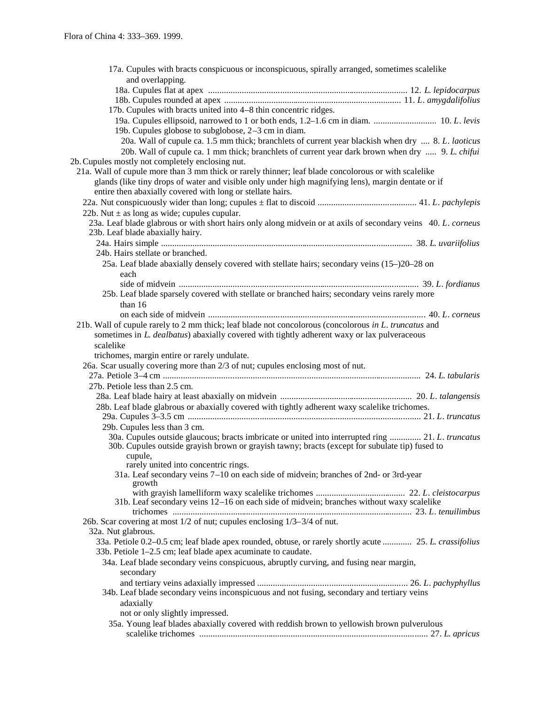| 17a. Cupules with bracts conspicuous or inconspicuous, spirally arranged, sometimes scalelike                                                                                                       |
|-----------------------------------------------------------------------------------------------------------------------------------------------------------------------------------------------------|
| and overlapping.                                                                                                                                                                                    |
|                                                                                                                                                                                                     |
|                                                                                                                                                                                                     |
| 17b. Cupules with bracts united into 4–8 thin concentric ridges.                                                                                                                                    |
| 19a. Cupules ellipsoid, narrowed to 1 or both ends, 1.2–1.6 cm in diam.  10. L. levis<br>19b. Cupules globose to subglobose, 2-3 cm in diam.                                                        |
| 20a. Wall of cupule ca. 1.5 mm thick; branchlets of current year blackish when dry  8. L. laoticus                                                                                                  |
| 20b. Wall of cupule ca. 1 mm thick; branchlets of current year dark brown when dry  9. L. chifui<br>2b. Cupules mostly not completely enclosing nut.                                                |
| 21a. Wall of cupule more than 3 mm thick or rarely thinner; leaf blade concolorous or with scalelike                                                                                                |
| glands (like tiny drops of water and visible only under high magnifying lens), margin dentate or if                                                                                                 |
| entire then abaxially covered with long or stellate hairs.                                                                                                                                          |
|                                                                                                                                                                                                     |
| 22b. Nut $\pm$ as long as wide; cupules cupular.                                                                                                                                                    |
| 23a. Leaf blade glabrous or with short hairs only along midvein or at axils of secondary veins 40. L. corneus                                                                                       |
| 23b. Leaf blade abaxially hairy.                                                                                                                                                                    |
|                                                                                                                                                                                                     |
| 24b. Hairs stellate or branched.                                                                                                                                                                    |
| 25a. Leaf blade abaxially densely covered with stellate hairs; secondary veins (15–)20–28 on<br>each                                                                                                |
|                                                                                                                                                                                                     |
| 25b. Leaf blade sparsely covered with stellate or branched hairs; secondary veins rarely more                                                                                                       |
| than 16                                                                                                                                                                                             |
|                                                                                                                                                                                                     |
| 21b. Wall of cupule rarely to 2 mm thick; leaf blade not concolorous (concolorous in L. truncatus and                                                                                               |
| sometimes in L. dealbatus) abaxially covered with tightly adherent waxy or lax pulveraceous                                                                                                         |
| scalelike                                                                                                                                                                                           |
|                                                                                                                                                                                                     |
|                                                                                                                                                                                                     |
| trichomes, margin entire or rarely undulate.                                                                                                                                                        |
| 26a. Scar usually covering more than 2/3 of nut; cupules enclosing most of nut.                                                                                                                     |
|                                                                                                                                                                                                     |
| 27b. Petiole less than 2.5 cm.                                                                                                                                                                      |
|                                                                                                                                                                                                     |
| 28b. Leaf blade glabrous or abaxially covered with tightly adherent waxy scalelike trichomes.                                                                                                       |
|                                                                                                                                                                                                     |
| 29b. Cupules less than 3 cm.                                                                                                                                                                        |
| 30a. Cupules outside glaucous; bracts imbricate or united into interrupted ring  21. L. truncatus<br>30b. Cupules outside grayish brown or grayish tawny; bracts (except for subulate tip) fused to |
| cupule,                                                                                                                                                                                             |
| rarely united into concentric rings.                                                                                                                                                                |
| 31a. Leaf secondary veins 7-10 on each side of midvein; branches of 2nd- or 3rd-year                                                                                                                |
| growth                                                                                                                                                                                              |
| 31b. Leaf secondary veins 12–16 on each side of midvein; branches without waxy scalelike                                                                                                            |
|                                                                                                                                                                                                     |
| 26b. Scar covering at most 1/2 of nut; cupules enclosing 1/3–3/4 of nut.                                                                                                                            |
| 32a. Nut glabrous.                                                                                                                                                                                  |
| 33a. Petiole 0.2–0.5 cm; leaf blade apex rounded, obtuse, or rarely shortly acute  25. L. crassifolius                                                                                              |
| 33b. Petiole 1–2.5 cm; leaf blade apex acuminate to caudate.                                                                                                                                        |
| 34a. Leaf blade secondary veins conspicuous, abruptly curving, and fusing near margin,                                                                                                              |
| secondary                                                                                                                                                                                           |
|                                                                                                                                                                                                     |
| 34b. Leaf blade secondary veins inconspicuous and not fusing, secondary and tertiary veins                                                                                                          |
| adaxially                                                                                                                                                                                           |
| not or only slightly impressed.                                                                                                                                                                     |
| 35a. Young leaf blades abaxially covered with reddish brown to yellowish brown pulverulous                                                                                                          |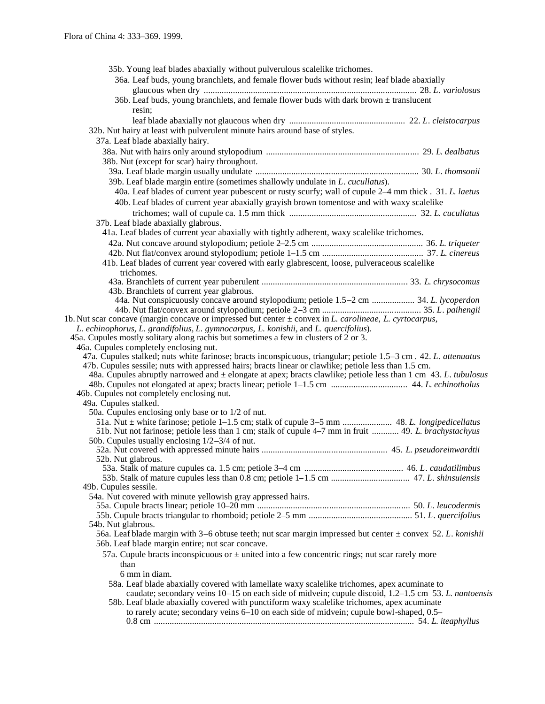| 35b. Young leaf blades abaxially without pulverulous scalelike trichomes.                                                                                                                                                  |  |
|----------------------------------------------------------------------------------------------------------------------------------------------------------------------------------------------------------------------------|--|
| 36a. Leaf buds, young branchlets, and female flower buds without resin; leaf blade abaxially                                                                                                                               |  |
|                                                                                                                                                                                                                            |  |
| 36b. Leaf buds, young branchlets, and female flower buds with dark brown $\pm$ translucent                                                                                                                                 |  |
| resin;                                                                                                                                                                                                                     |  |
|                                                                                                                                                                                                                            |  |
| 32b. Nut hairy at least with pulverulent minute hairs around base of styles.                                                                                                                                               |  |
| 37a. Leaf blade abaxially hairy.                                                                                                                                                                                           |  |
|                                                                                                                                                                                                                            |  |
| 38b. Nut (except for scar) hairy throughout.                                                                                                                                                                               |  |
|                                                                                                                                                                                                                            |  |
| 39b. Leaf blade margin entire (sometimes shallowly undulate in L. cucullatus).                                                                                                                                             |  |
| 40a. Leaf blades of current year pubescent or rusty scurfy; wall of cupule 2-4 mm thick . 31. L. laetus                                                                                                                    |  |
| 40b. Leaf blades of current year abaxially grayish brown tomentose and with waxy scalelike                                                                                                                                 |  |
|                                                                                                                                                                                                                            |  |
| 37b. Leaf blade abaxially glabrous.                                                                                                                                                                                        |  |
| 41a. Leaf blades of current year abaxially with tightly adherent, waxy scalelike trichomes.                                                                                                                                |  |
|                                                                                                                                                                                                                            |  |
|                                                                                                                                                                                                                            |  |
| 41b. Leaf blades of current year covered with early glabrescent, loose, pulveraceous scalelike                                                                                                                             |  |
| trichomes.                                                                                                                                                                                                                 |  |
|                                                                                                                                                                                                                            |  |
| 43b. Branchlets of current year glabrous.                                                                                                                                                                                  |  |
| 44a. Nut conspicuously concave around stylopodium; petiole 1.5–2 cm  34. L. lycoperdon                                                                                                                                     |  |
|                                                                                                                                                                                                                            |  |
| 1b. Nut scar concave (margin concave or impressed but center $\pm$ convex in L. carolineae, L. cyrtocarpus,                                                                                                                |  |
| L. echinophorus, L. grandifolius, L. gymnocarpus, L. konishii, and L. quercifolius).                                                                                                                                       |  |
| 45a. Cupules mostly solitary along rachis but sometimes a few in clusters of 2 or 3.                                                                                                                                       |  |
| 46a. Cupules completely enclosing nut.                                                                                                                                                                                     |  |
| 47a. Cupules stalked; nuts white farinose; bracts inconspicuous, triangular; petiole 1.5–3 cm . 42. L. attenuatus<br>47b. Cupules sessile; nuts with appressed hairs; bracts linear or clawlike; petiole less than 1.5 cm. |  |
| 48a. Cupules abruptly narrowed and $\pm$ elongate at apex; bracts clawlike; petiole less than 1 cm 43. L. tubulosus                                                                                                        |  |
|                                                                                                                                                                                                                            |  |
| 46b. Cupules not completely enclosing nut.                                                                                                                                                                                 |  |
| 49a. Cupules stalked.                                                                                                                                                                                                      |  |
| 50a. Cupules enclosing only base or to 1/2 of nut.                                                                                                                                                                         |  |
|                                                                                                                                                                                                                            |  |
| 51b. Nut not farinose; petiole less than 1 cm; stalk of cupule 4–7 mm in fruit  49. L. brachystachyus                                                                                                                      |  |
| 50b. Cupules usually enclosing $1/2-3/4$ of nut.                                                                                                                                                                           |  |
|                                                                                                                                                                                                                            |  |
| 52b. Nut glabrous.                                                                                                                                                                                                         |  |
|                                                                                                                                                                                                                            |  |
| 49b. Cupules sessile.                                                                                                                                                                                                      |  |
| 54a. Nut covered with minute yellowish gray appressed hairs.                                                                                                                                                               |  |
|                                                                                                                                                                                                                            |  |
|                                                                                                                                                                                                                            |  |
| 54b. Nut glabrous.                                                                                                                                                                                                         |  |
| 56a. Leaf blade margin with 3–6 obtuse teeth; nut scar margin impressed but center $\pm$ convex 52. L. konishii                                                                                                            |  |
| 56b. Leaf blade margin entire; nut scar concave.                                                                                                                                                                           |  |
| 57a. Cupule bracts inconspicuous or $\pm$ united into a few concentric rings; nut scar rarely more                                                                                                                         |  |
| than                                                                                                                                                                                                                       |  |
| 6 mm in diam.                                                                                                                                                                                                              |  |
| 58a. Leaf blade abaxially covered with lamellate waxy scalelike trichomes, apex acuminate to                                                                                                                               |  |
| caudate; secondary veins 10–15 on each side of midvein; cupule discoid, 1.2–1.5 cm 53. L. nantoensis                                                                                                                       |  |
| 58b. Leaf blade abaxially covered with punctiform waxy scalelike trichomes, apex acuminate                                                                                                                                 |  |
| to rarely acute; secondary veins 6–10 on each side of midvein; cupule bowl-shaped, 0.5–                                                                                                                                    |  |
|                                                                                                                                                                                                                            |  |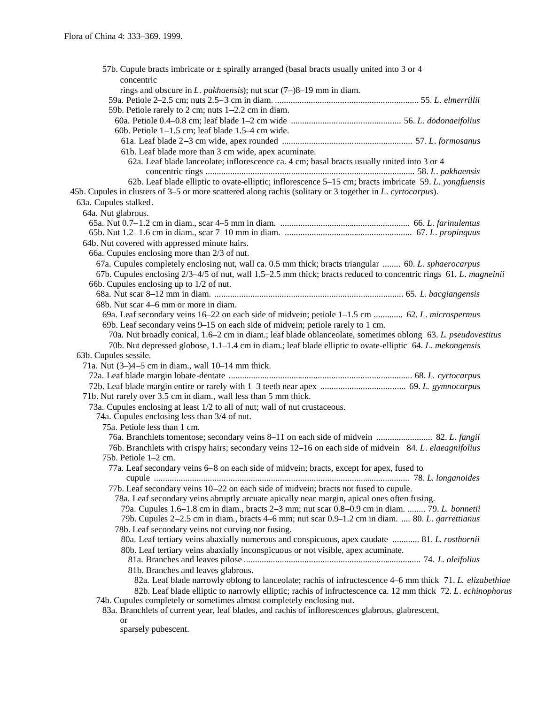| 57b. Cupule bracts imbricate or $\pm$ spirally arranged (basal bracts usually united into 3 or 4                  |
|-------------------------------------------------------------------------------------------------------------------|
| concentric                                                                                                        |
| rings and obscure in L. pakhaensis); nut scar $(7-)8-19$ mm in diam.                                              |
|                                                                                                                   |
| 59b. Petiole rarely to 2 cm; nuts 1–2.2 cm in diam.                                                               |
|                                                                                                                   |
| 60b. Petiole $1-1.5$ cm; leaf blade $1.5-4$ cm wide.                                                              |
|                                                                                                                   |
| 61b. Leaf blade more than 3 cm wide, apex acuminate.                                                              |
| 62a. Leaf blade lanceolate; inflorescence ca. 4 cm; basal bracts usually united into 3 or 4                       |
|                                                                                                                   |
| 62b. Leaf blade elliptic to ovate-elliptic; inflorescence 5–15 cm; bracts imbricate 59. L. yongfuensis            |
| 45b. Cupules in clusters of 3–5 or more scattered along rachis (solitary or 3 together in L. cyrtocarpus).        |
| 63a. Cupules stalked.                                                                                             |
| 64a. Nut glabrous.                                                                                                |
|                                                                                                                   |
|                                                                                                                   |
| 64b. Nut covered with appressed minute hairs.                                                                     |
| 66a. Cupules enclosing more than 2/3 of nut.                                                                      |
| 67a. Cupules completely enclosing nut, wall ca. 0.5 mm thick; bracts triangular  60. L. sphaerocarpus             |
| 67b. Cupules enclosing 2/3-4/5 of nut, wall 1.5-2.5 mm thick; bracts reduced to concentric rings 61. L. magneinii |
| 66b. Cupules enclosing up to 1/2 of nut.                                                                          |
|                                                                                                                   |
| 68b. Nut scar 4–6 mm or more in diam.                                                                             |
| 69a. Leaf secondary veins 16–22 on each side of midvein; petiole 1–1.5 cm  62. L. microspermus                    |
| 69b. Leaf secondary veins 9–15 on each side of midvein; petiole rarely to 1 cm.                                   |
| 70a. Nut broadly conical, 1.6–2 cm in diam.; leaf blade oblanceolate, sometimes oblong 63. L. pseudovestitus      |
| 70b. Nut depressed globose, 1.1–1.4 cm in diam.; leaf blade elliptic to ovate-elliptic 64. L. mekongensis         |
| 63b. Cupules sessile.                                                                                             |
| 71a. Nut $(3-)4-5$ cm in diam., wall 10-14 mm thick.                                                              |
|                                                                                                                   |
|                                                                                                                   |
| 71b. Nut rarely over 3.5 cm in diam., wall less than 5 mm thick.                                                  |
| 73a. Cupules enclosing at least 1/2 to all of nut; wall of nut crustaceous.                                       |
| 74a. Cupules enclosing less than 3/4 of nut.                                                                      |
| 75a. Petiole less than 1 cm.                                                                                      |
| 76a. Branchlets tomentose; secondary veins 8-11 on each side of midvein  82. L. fangii                            |
| 76b. Branchlets with crispy hairs; secondary veins 12–16 on each side of midvein 84. L. elaeagnifolius            |
| 75b. Petiole $1-2$ cm.                                                                                            |
| 77a. Leaf secondary veins 6-8 on each side of midvein; bracts, except for apex, fused to                          |
|                                                                                                                   |
| 77b. Leaf secondary veins 10-22 on each side of midvein; bracts not fused to cupule.                              |
| 78a. Leaf secondary veins abruptly arcuate apically near margin, apical ones often fusing.                        |
| 79a. Cupules 1.6–1.8 cm in diam., bracts 2–3 mm; nut scar 0.8–0.9 cm in diam.  79. L. bonnetii                    |
| 79b. Cupules 2–2.5 cm in diam., bracts 4–6 mm; nut scar 0.9–1.2 cm in diam.  80. L. garrettianus                  |
| 78b. Leaf secondary veins not curving nor fusing.                                                                 |
| 80a. Leaf tertiary veins abaxially numerous and conspicuous, apex caudate  81. L. rosthornii                      |
| 80b. Leaf tertiary veins abaxially inconspicuous or not visible, apex acuminate.                                  |
|                                                                                                                   |
| 81b. Branches and leaves glabrous.                                                                                |
| 82a. Leaf blade narrowly oblong to lanceolate; rachis of infructescence 4–6 mm thick 71. L. elizabethiae          |
| 82b. Leaf blade elliptic to narrowly elliptic; rachis of infructescence ca. 12 mm thick 72. L. echinophorus       |
| 74b. Cupules completely or sometimes almost completely enclosing nut.                                             |
| 83a. Branchlets of current year, leaf blades, and rachis of inflorescences glabrous, glabrescent,                 |
| <b>or</b>                                                                                                         |
| sparsely pubescent.                                                                                               |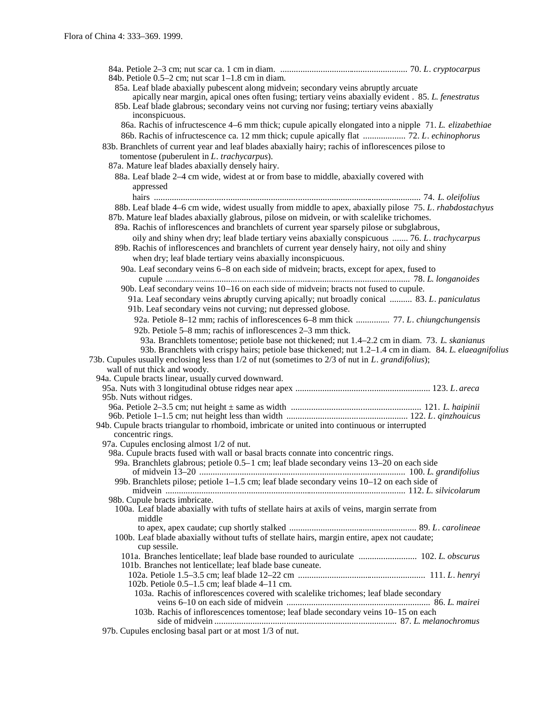| 84b. Petiole $0.5-2$ cm; nut scar $1-1.8$ cm in diam.                                                        |  |
|--------------------------------------------------------------------------------------------------------------|--|
| 85a. Leaf blade abaxially pubescent along midvein; secondary veins abruptly arcuate                          |  |
| apically near margin, apical ones often fusing; tertiary veins abaxially evident . 85. L. fenestratus        |  |
| 85b. Leaf blade glabrous; secondary veins not curving nor fusing; tertiary veins abaxially<br>inconspicuous. |  |
| 86a. Rachis of infructescence 4–6 mm thick; cupule apically elongated into a nipple 71. L. elizabethiae      |  |
| 86b. Rachis of infructescence ca. 12 mm thick; cupule apically flat  72. L. echinophorus                     |  |
| 83b. Branchlets of current year and leaf blades abaxially hairy; rachis of inflorescences pilose to          |  |
| tomentose (puberulent in $L$ . trachycarpus).                                                                |  |
| 87a. Mature leaf blades abaxially densely hairy.                                                             |  |
| 88a. Leaf blade 2-4 cm wide, widest at or from base to middle, abaxially covered with                        |  |
|                                                                                                              |  |
| appressed                                                                                                    |  |
|                                                                                                              |  |
| 88b. Leaf blade 4–6 cm wide, widest usually from middle to apex, abaxially pilose 75. L. rhabdostachyus      |  |
| 87b. Mature leaf blades abaxially glabrous, pilose on midvein, or with scalelike trichomes.                  |  |
| 89a. Rachis of inflorescences and branchlets of current year sparsely pilose or subglabrous,                 |  |
| oily and shiny when dry; leaf blade tertiary veins abaxially conspicuous  76. L. trachycarpus                |  |
| 89b. Rachis of inflorescences and branchlets of current year densely hairy, not oily and shiny               |  |
| when dry; leaf blade tertiary veins abaxially inconspicuous.                                                 |  |
| 90a. Leaf secondary veins 6–8 on each side of midvein; bracts, except for apex, fused to                     |  |
|                                                                                                              |  |
| 90b. Leaf secondary veins 10-16 on each side of midvein; bracts not fused to cupule.                         |  |
| 91a. Leaf secondary veins abruptly curving apically; nut broadly conical  83. L. paniculatus                 |  |
| 91b. Leaf secondary veins not curving; nut depressed globose.                                                |  |
| 92a. Petiole 8–12 mm; rachis of inflorescences 6–8 mm thick  77. L. chiungchungensis                         |  |
| 92b. Petiole 5–8 mm; rachis of inflorescences 2–3 mm thick.                                                  |  |
| 93a. Branchlets tomentose; petiole base not thickened; nut 1.4–2.2 cm in diam. 73. L. skanianus              |  |
| 93b. Branchlets with crispy hairs; petiole base thickened; nut 1.2–1.4 cm in diam. 84. L. elaeagnifolius     |  |
| 73b. Cupules usually enclosing less than 1/2 of nut (sometimes to 2/3 of nut in L. grandifolius);            |  |
| wall of nut thick and woody.                                                                                 |  |
| 94a. Cupule bracts linear, usually curved downward.                                                          |  |
|                                                                                                              |  |
| 95b. Nuts without ridges.                                                                                    |  |
|                                                                                                              |  |
|                                                                                                              |  |
| 94b. Cupule bracts triangular to rhomboid, imbricate or united into continuous or interrupted                |  |
| concentric rings.                                                                                            |  |
| 97a. Cupules enclosing almost 1/2 of nut.                                                                    |  |
| 98a. Cupule bracts fused with wall or basal bracts connate into concentric rings.                            |  |
| 99a. Branchlets glabrous; petiole 0.5-1 cm; leaf blade secondary veins 13-20 on each side                    |  |
|                                                                                                              |  |
| 99b. Branchlets pilose; petiole $1-1.5$ cm; leaf blade secondary veins $10-12$ on each side of               |  |
|                                                                                                              |  |
| 98b. Cupule bracts imbricate.                                                                                |  |
| 100a. Leaf blade abaxially with tufts of stellate hairs at axils of veins, margin serrate from               |  |
| middle                                                                                                       |  |
|                                                                                                              |  |
| 100b. Leaf blade abaxially without tufts of stellate hairs, margin entire, apex not caudate;                 |  |
| cup sessile.                                                                                                 |  |
| 101a. Branches lenticellate; leaf blade base rounded to auriculate  102. L. obscurus                         |  |
| 101b. Branches not lenticellate; leaf blade base cuneate.                                                    |  |
|                                                                                                              |  |
| 102b. Petiole $0.5-1.5$ cm; leaf blade $4-11$ cm.                                                            |  |
| 103a. Rachis of inflorescences covered with scalelike trichomes; leaf blade secondary                        |  |
| 103b. Rachis of inflorescences tomentose; leaf blade secondary veins 10-15 on each                           |  |
|                                                                                                              |  |
| 97b Cupulas anclosing has part or at most 1/3 of put                                                         |  |

97b. Cupules enclosing basal part or at most 1/3 of nut.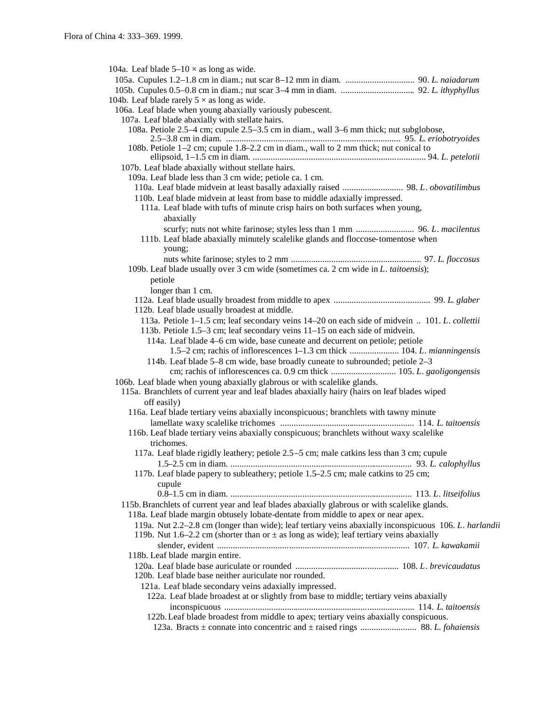104a. Leaf blade  $5-10 \times$  as long as wide. 105a. Cupules 1.2–1.8 cm in diam.; nut scar 8–12 mm in diam. ............................... 90. *L*. *naiadarum* 105b. Cupules 0.5–0.8 cm in diam.; nut scar 3–4 mm in diam. ................................. 92. *L*. *ithyphyllus* 104b. Leaf blade rarely  $5 \times$  as long as wide. 106a. Leaf blade when young abaxially variously pubescent. 107a. Leaf blade abaxially with stellate hairs. 108a. Petiole 2.5–4 cm; cupule 2.5–3.5 cm in diam., wall 3–6 mm thick; nut subglobose, 2.5–3.8 cm in diam. .............................................................................. 95. *L*. *eriobotryoides* 108b. Petiole 1–2 cm; cupule 1.8–2.2 cm in diam., wall to 2 mm thick; nut conical to ellipsoid, 1–1.5 cm in diam. ............................................................................. 94. *L. petelotii* 107b. Leaf blade abaxially without stellate hairs. 109a. Leaf blade less than 3 cm wide; petiole ca. 1 cm. 110a. Leaf blade midvein at least basally adaxially raised ........................... 98. *L*. *obovatilimbus* 110b. Leaf blade midvein at least from base to middle adaxially impressed. 111a. Leaf blade with tufts of minute crisp hairs on both surfaces when young, abaxially scurfy; nuts not white farinose; styles less than 1 mm .......................... 96. *L*. *macilentus* 111b. Leaf blade abaxially minutely scalelike glands and floccose-tomentose when young; nuts white farinose; styles to 2 mm .......................................................... 97. *L*. *floccosus* 109b. Leaf blade usually over 3 cm wide (sometimes ca. 2 cm wide in *L*. *taitoensis*); petiole longer than 1 cm. 112a. Leaf blade usually broadest from middle to apex ........................................... 99. *L*. *glaber* 112b. Leaf blade usually broadest at middle. 113a. Petiole 1–1.5 cm; leaf secondary veins 14–20 on each side of midvein .. 101. *L*. *collettii* 113b. Petiole 1.5–3 cm; leaf secondary veins 11–15 on each side of midvein. 114a. Leaf blade 4–6 cm wide, base cuneate and decurrent on petiole; petiole 1.5–2 cm; rachis of inflorescences 1–1.3 cm thick ...................... 104. *L*. *mianningensis* 114b. Leaf blade 5–8 cm wide, base broadly cuneate to subrounded; petiole 2–3 cm; rachis of inflorescences ca. 0.9 cm thick ............................. 105. *L*. *gaoligongensis* 106b. Leaf blade when young abaxially glabrous or with scalelike glands. 115a. Branchlets of current year and leaf blades abaxially hairy (hairs on leaf blades wiped off easily) 116a. Leaf blade tertiary veins abaxially inconspicuous; branchlets with tawny minute lamellate waxy scalelike trichomes ............................................................ 114. *L*. *taitoensis* 116b. Leaf blade tertiary veins abaxially conspicuous; branchlets without waxy scalelike trichomes. 117a. Leaf blade rigidly leathery; petiole 2.5–5 cm; male catkins less than 3 cm; cupule 1.5–2.5 cm in diam. ................................................................................. 93. *L. calophyllus* 117b. Leaf blade papery to subleathery; petiole 1.5–2.5 cm; male catkins to 25 cm; cupule 0.8–1.5 cm in diam. ................................................................................. 113. *L*. *litseifolius* 115b.Branchlets of current year and leaf blades abaxially glabrous or with scalelike glands. 118a. Leaf blade margin obtusely lobate-dentate from middle to apex or near apex. 119a. Nut 2.2–2.8 cm (longer than wide); leaf tertiary veins abaxially inconspicuous 106. *L*. *harlandii* 119b. Nut 1.6–2.2 cm (shorter than or  $\pm$  as long as wide); leaf tertiary veins abaxially slender, evident ...................................................................................... 107. *L*. *kawakamii* 118b. Leaf blade margin entire. 120a. Leaf blade base auriculate or rounded .............................................. 108. *L*. *brevicaudatus* 120b. Leaf blade base neither auriculate nor rounded. 121a. Leaf blade secondary veins adaxially impressed. 122a. Leaf blade broadest at or slightly from base to middle; tertiary veins abaxially inconspicuous ..................................................................................... 114. *L*. *taitoensis* 122b.Leaf blade broadest from middle to apex; tertiary veins abaxially conspicuous. 123a. Bracts ± connate into concentric and ± raised rings ......................... 88. *L. fohaiensis*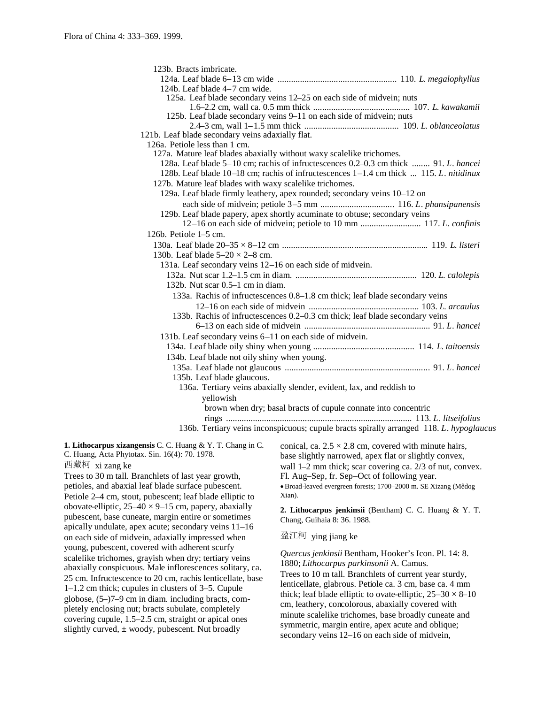| 123b. Bracts imbricate.                                                                 |
|-----------------------------------------------------------------------------------------|
|                                                                                         |
| 124b. Leaf blade 4–7 cm wide.                                                           |
| 125a. Leaf blade secondary veins 12-25 on each side of midvein; nuts                    |
|                                                                                         |
| 125b. Leaf blade secondary veins 9-11 on each side of midvein; nuts                     |
|                                                                                         |
| 121b. Leaf blade secondary veins adaxially flat.                                        |
| 126a. Petiole less than 1 cm.                                                           |
| 127a. Mature leaf blades abaxially without waxy scalelike trichomes.                    |
| 128a. Leaf blade 5–10 cm; rachis of infructescences 0.2–0.3 cm thick  91. L. hancei     |
| 128b. Leaf blade 10-18 cm; rachis of infructescences 1-1.4 cm thick  115. L. nitidinux  |
| 127b. Mature leaf blades with waxy scalelike trichomes.                                 |
| 129a. Leaf blade firmly leathery, apex rounded; secondary veins 10–12 on                |
|                                                                                         |
| 129b. Leaf blade papery, apex shortly acuminate to obtuse; secondary veins              |
| 12-16 on each side of midvein; petiole to 10 mm  117. L. confinis                       |
| 126b. Petiole 1-5 cm.                                                                   |
|                                                                                         |
| 130b. Leaf blade $5-20 \times 2-8$ cm.                                                  |
| 131a. Leaf secondary veins 12-16 on each side of midvein.                               |
|                                                                                         |
| 132b. Nut scar $0.5-1$ cm in diam.                                                      |
| 133a. Rachis of infructescences 0.8-1.8 cm thick; leaf blade secondary veins            |
|                                                                                         |
| 133b. Rachis of infructescences 0.2–0.3 cm thick; leaf blade secondary veins            |
|                                                                                         |
| 131b. Leaf secondary veins 6–11 on each side of midvein.                                |
|                                                                                         |
| 134b. Leaf blade not oily shiny when young.                                             |
|                                                                                         |
| 135b. Leaf blade glaucous.                                                              |
| 136a. Tertiary veins abaxially slender, evident, lax, and reddish to                    |
| yellowish                                                                               |
| brown when dry; basal bracts of cupule connate into concentric                          |
|                                                                                         |
| 136b. Tertiary veins inconspicuous; cupule bracts spirally arranged 118. L. hypoglaucus |
|                                                                                         |

## **1. Lithocarpus xizangensis** C. C. Huang & Y. T. Chang in C. C. Huang, Acta Phytotax. Sin. 16(4): 70. 1978.

西藏柯 xi zang ke

Trees to 30 m tall. Branchlets of last year growth, petioles, and abaxial leaf blade surface pubescent. Petiole 2–4 cm, stout, pubescent; leaf blade elliptic to obovate-elliptic,  $25-40 \times 9-15$  cm, papery, abaxially pubescent, base cuneate, margin entire or sometimes apically undulate, apex acute; secondary veins 11–16 on each side of midvein, adaxially impressed when young, pubescent, covered with adherent scurfy scalelike trichomes, grayish when dry; tertiary veins abaxially conspicuous. Male inflorescences solitary, ca. 25 cm. Infructescence to 20 cm, rachis lenticellate, base 1–1.2 cm thick; cupules in clusters of 3–5. Cupule globose, (5–)7–9 cm in diam. including bracts, completely enclosing nut; bracts subulate, completely covering cupule, 1.5–2.5 cm, straight or apical ones slightly curved,  $\pm$  woody, pubescent. Nut broadly

conical, ca.  $2.5 \times 2.8$  cm, covered with minute hairs, base slightly narrowed, apex flat or slightly convex, wall 1–2 mm thick; scar covering ca. 2/3 of nut, convex. Fl. Aug–Sep, fr. Sep–Oct of following year. Broad-leaved evergreen forests; 1700 –2000 m. SE Xizang (Mêdog Xian).

**2. Lithocarpus jenkinsii** (Bentham) C. C. Huang & Y. T. Chang, Guihaia 8: 36. 1988.

盈江柯 ying jiang ke

*Quercus jenkinsii* Bentham, Hooker's Icon. Pl. 14: 8. 1880; *Lithocarpus parkinsonii* A. Camus. Trees to 10 m tall. Branchlets of current year sturdy, lenticellate, glabrous. Petiole ca. 3 cm, base ca. 4 mm thick; leaf blade elliptic to ovate-elliptic,  $25-30 \times 8-10$ cm, leathery, concolorous, abaxially covered with minute scalelike trichomes, base broadly cuneate and symmetric, margin entire, apex acute and oblique; secondary veins 12–16 on each side of midvein,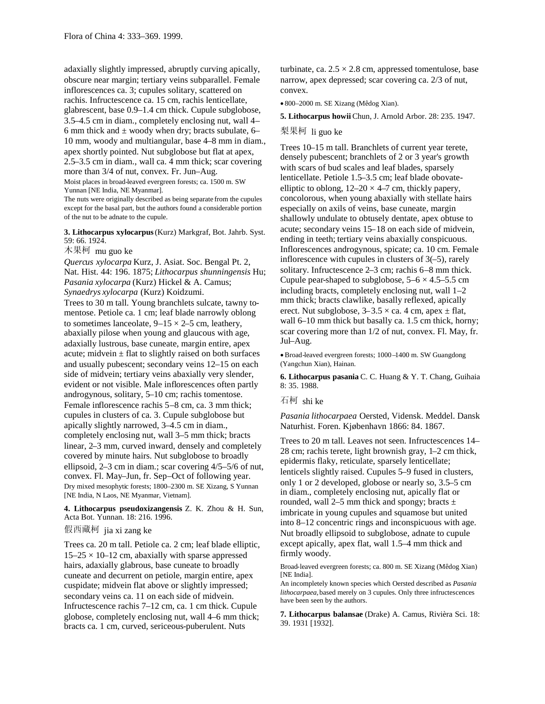adaxially slightly impressed, abruptly curving apically, obscure near margin; tertiary veins subparallel. Female inflorescences ca. 3; cupules solitary, scattered on rachis. Infructescence ca. 15 cm, rachis lenticellate, glabrescent, base 0.9–1.4 cm thick. Cupule subglobose, 3.5–4.5 cm in diam., completely enclosing nut, wall 4– 6 mm thick and  $\pm$  woody when dry; bracts subulate, 6– 10 mm, woody and multiangular, base 4–8 mm in diam., apex shortly pointed. Nut subglobose but flat at apex, 2.5–3.5 cm in diam., wall ca. 4 mm thick; scar covering more than 3/4 of nut, convex. Fr. Jun–Aug. Moist places in broad-leaved evergreen forests; ca. 1500 m. SW

Yunnan [NE India, NE Myanmar].

The nuts were originally described as being separate from the cupules except for the basal part, but the authors found a considerable portion of the nut to be adnate to the cupule.

**3. Lithocarpus xylocarpus**(Kurz) Markgraf, Bot. Jahrb. Syst. 59: 66. 1924.

木果柯 mu guo ke

*Quercus xylocarpa* Kurz, J. Asiat. Soc. Bengal Pt. 2, Nat. Hist. 44: 196. 1875; *Lithocarpus shunningensis* Hu; *Pasania xylocarpa* (Kurz) Hickel & A. Camus; *Synaedrys xylocarpa* (Kurz) Koidzumi. Trees to 30 m tall. Young branchlets sulcate, tawny to-

mentose. Petiole ca. 1 cm; leaf blade narrowly oblong to sometimes lanceolate,  $9-15 \times 2-5$  cm, leathery, abaxially pilose when young and glaucous with age, adaxially lustrous, base cuneate, margin entire, apex acute; midvein  $\pm$  flat to slightly raised on both surfaces and usually pubescent; secondary veins 12–15 on each side of midvein; tertiary veins abaxially very slender, evident or not visible. Male inflorescences often partly androgynous, solitary, 5–10 cm; rachis tomentose. Female inflorescence rachis 5–8 cm, ca. 3 mm thick; cupules in clusters of ca. 3. Cupule subglobose but apically slightly narrowed, 3–4.5 cm in diam., completely enclosing nut, wall 3–5 mm thick; bracts linear, 2–3 mm, curved inward, densely and completely covered by minute hairs. Nut subglobose to broadly ellipsoid, 2–3 cm in diam.; scar covering 4/5–5/6 of nut, convex. Fl. May–Jun, fr. Sep–Oct of following year. Dry mixed mesophytic forests; 1800–2300 m. SE Xizang, S Yunnan [NE India, N Laos, NE Myanmar, Vietnam].

**4. Lithocarpus pseudoxizangensis** Z. K. Zhou & H. Sun, Acta Bot. Yunnan. 18: 216. 1996.

## 假西藏柯 jia xi zang ke

Trees ca. 20 m tall. Petiole ca. 2 cm; leaf blade elliptic,  $15-25 \times 10-12$  cm, abaxially with sparse appressed hairs, adaxially glabrous, base cuneate to broadly cuneate and decurrent on petiole, margin entire, apex cuspidate; midvein flat above or slightly impressed; secondary veins ca. 11 on each side of midvein. Infructescence rachis 7–12 cm, ca. 1 cm thick. Cupule globose, completely enclosing nut, wall 4–6 mm thick; bracts ca. 1 cm, curved, sericeous-puberulent. Nuts

turbinate, ca.  $2.5 \times 2.8$  cm, appressed tomentulose, base narrow, apex depressed; scar covering ca. 2/3 of nut, convex.

800–2000 m. SE Xizang (Mêdog Xian).

**5. Lithocarpus howii** Chun, J. Arnold Arbor. 28: 235. 1947.

## 梨果柯 li guo ke

Trees 10–15 m tall. Branchlets of current year terete, densely pubescent; branchlets of 2 or 3 year's growth with scars of bud scales and leaf blades, sparsely lenticellate. Petiole 1.5–3.5 cm; leaf blade obovateelliptic to oblong,  $12-20 \times 4-7$  cm, thickly papery, concolorous, when young abaxially with stellate hairs especially on axils of veins, base cuneate, margin shallowly undulate to obtusely dentate, apex obtuse to acute; secondary veins 15–18 on each side of midvein, ending in teeth; tertiary veins abaxially conspicuous. Inflorescences androgynous, spicate; ca. 10 cm. Female inflorescence with cupules in clusters of 3(–5), rarely solitary. Infructescence 2–3 cm; rachis 6–8 mm thick. Cupule pear-shaped to subglobose,  $5-6 \times 4.5-5.5$  cm including bracts, completely enclosing nut, wall 1–2 mm thick; bracts clawlike, basally reflexed, apically erect. Nut subglobose,  $3-3.5 \times$  ca. 4 cm, apex  $\pm$  flat, wall 6–10 mm thick but basally ca. 1.5 cm thick, horny; scar covering more than 1/2 of nut, convex. Fl. May, fr. Jul–Aug.

Broad-leaved evergreen forests; 1000 –1400 m. SW Guangdong (Yangchun Xian), Hainan.

**6. Lithocarpus pasania** C. C. Huang & Y. T. Chang, Guihaia 8: 35. 1988.

## 石柯 shi ke

*Pasania lithocarpaea* Oersted, Vidensk. Meddel. Dansk Naturhist. Foren. Kjøbenhavn 1866: 84. 1867.

Trees to 20 m tall. Leaves not seen. Infructescences 14– 28 cm; rachis terete, light brownish gray, 1–2 cm thick, epidermis flaky, reticulate, sparsely lenticellate; lenticels slightly raised. Cupules 5–9 fused in clusters, only 1 or 2 developed, globose or nearly so, 3.5–5 cm in diam., completely enclosing nut, apically flat or rounded, wall 2–5 mm thick and spongy; bracts  $\pm$ imbricate in young cupules and squamose but united into 8–12 concentric rings and inconspicuous with age. Nut broadly ellipsoid to subglobose, adnate to cupule except apically, apex flat, wall 1.5–4 mm thick and firmly woody.

Broad-leaved evergreen forests; ca. 800 m. SE Xizang (Mêdog Xian) [NE India].

An incompletely known species which Oersted described as *Pasania lithocarpaea,* based merely on 3 cupules. Only three infructescences have been seen by the authors.

**7. Lithocarpus balansae** (Drake) A. Camus, Rivièra Sci. 18: 39. 1931 [1932].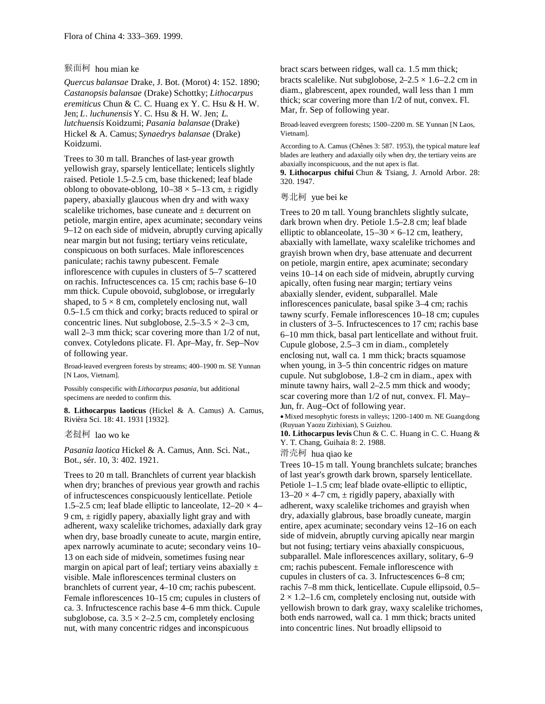## 猴面柯 hou mian ke

*Quercus balansae* Drake, J. Bot. (Morot) 4: 152. 1890; *Castanopsis balansae* (Drake) Schottky; *Lithocarpus eremiticus* Chun & C. C. Huang ex Y. C. Hsu & H. W. Jen; *L*. *luchunensis* Y. C. Hsu & H. W. Jen; *L*. *lutchuensis* Koidzumi; *Pasania balansae* (Drake) Hickel & A. Camus; *Synaedrys balansae* (Drake) Koidzumi.

Trees to 30 m tall. Branches of last-year growth yellowish gray, sparsely lenticellate; lenticels slightly raised. Petiole 1.5–2.5 cm, base thickened; leaf blade oblong to obovate-oblong,  $10-38 \times 5-13$  cm,  $\pm$  rigidly papery, abaxially glaucous when dry and with waxy scalelike trichomes, base cuneate and ± decurrent on petiole, margin entire, apex acuminate; secondary veins 9–12 on each side of midvein, abruptly curving apically near margin but not fusing; tertiary veins reticulate, conspicuous on both surfaces. Male inflorescences paniculate; rachis tawny pubescent. Female inflorescence with cupules in clusters of 5–7 scattered on rachis. Infructescences ca. 15 cm; rachis base 6–10 mm thick. Cupule obovoid, subglobose, or irregularly shaped, to  $5 \times 8$  cm, completely enclosing nut, wall 0.5–1.5 cm thick and corky; bracts reduced to spiral or concentric lines. Nut subglobose,  $2.5-3.5 \times 2-3$  cm, wall 2–3 mm thick; scar covering more than  $1/2$  of nut, convex. Cotyledons plicate. Fl. Apr–May, fr. Sep–Nov of following year.

Broad-leaved evergreen forests by streams; 400–1900 m. SE Yunnan [N Laos, Vietnam].

Possibly conspecific with *Lithocarpus pasania,* but additional specimens are needed to confirm this.

**8. Lithocarpus laoticus** (Hickel & A. Camus) A. Camus, Rivièra Sci. 18: 41. 1931 [1932].

老挝柯 lao wo ke

*Pasania laotica* Hickel & A. Camus, Ann. Sci. Nat., Bot., sér. 10, 3: 402. 1921.

Trees to 20 m tall. Branchlets of current year blackish when dry; branches of previous year growth and rachis of infructescences conspicuously lenticellate. Petiole 1.5–2.5 cm; leaf blade elliptic to lanceolate,  $12-20 \times 4$ – 9 cm,  $\pm$  rigidly papery, abaxially light gray and with adherent, waxy scalelike trichomes, adaxially dark gray when dry, base broadly cuneate to acute, margin entire, apex narrowly acuminate to acute; secondary veins 10– 13 on each side of midvein, sometimes fusing near margin on apical part of leaf; tertiary veins abaxially  $\pm$ visible. Male inflorescences terminal clusters on branchlets of current year, 4–10 cm; rachis pubescent. Female inflorescences 10–15 cm; cupules in clusters of ca. 3. Infructescence rachis base 4–6 mm thick. Cupule subglobose, ca.  $3.5 \times 2 - 2.5$  cm, completely enclosing nut, with many concentric ridges and inconspicuous

bract scars between ridges, wall ca. 1.5 mm thick; bracts scalelike. Nut subglobose,  $2-2.5 \times 1.6-2.2$  cm in diam., glabrescent, apex rounded, wall less than 1 mm thick; scar covering more than 1/2 of nut, convex. Fl. Mar, fr. Sep of following year.

Broad-leaved evergreen forests; 1500–2200 m. SE Yunnan [N Laos, Vietnam].

According to A. Camus (Chênes 3: 587. 1953), the typical mature leaf blades are leathery and adaxially oily when dry, the tertiary veins are abaxially inconspicuous, and the nut apex is flat.

**9. Lithocarpus chifui** Chun & Tsiang, J. Arnold Arbor. 28: 320. 1947.

粤北柯 yue bei ke

Trees to 20 m tall. Young branchlets slightly sulcate, dark brown when dry. Petiole 1.5–2.8 cm; leaf blade elliptic to oblanceolate,  $15-30 \times 6-12$  cm, leathery, abaxially with lamellate, waxy scalelike trichomes and grayish brown when dry, base attenuate and decurrent on petiole, margin entire, apex acuminate; secondary veins 10–14 on each side of midvein, abruptly curving apically, often fusing near margin; tertiary veins abaxially slender, evident, subparallel. Male inflorescences paniculate, basal spike 3–4 cm; rachis tawny scurfy. Female inflorescences 10–18 cm; cupules in clusters of 3–5. Infructescences to 17 cm; rachis base 6–10 mm thick, basal part lenticellate and without fruit. Cupule globose, 2.5–3 cm in diam., completely enclosing nut, wall ca. 1 mm thick; bracts squamose when young, in 3–5 thin concentric ridges on mature cupule. Nut subglobose, 1.8–2 cm in diam., apex with minute tawny hairs, wall 2–2.5 mm thick and woody; scar covering more than 1/2 of nut, convex. Fl. May– Jun, fr. Aug–Oct of following year.

Mixed mesophytic forests in valleys; 1200–1400 m. NE Guangdong (Ruyuan Yaozu Zizhixian), S Guizhou.

**10. Lithocarpus levis** Chun & C. C. Huang in C. C. Huang & Y. T. Chang, Guihaia 8: 2. 1988.

滑壳柯 hua qiao ke

Trees 10–15 m tall. Young branchlets sulcate; branches of last year's growth dark brown, sparsely lenticellate. Petiole 1–1.5 cm; leaf blade ovate-elliptic to elliptic,  $13-20 \times 4$ –7 cm,  $\pm$  rigidly papery, abaxially with adherent, waxy scalelike trichomes and grayish when dry, adaxially glabrous, base broadly cuneate, margin entire, apex acuminate; secondary veins 12–16 on each side of midvein, abruptly curving apically near margin but not fusing; tertiary veins abaxially conspicuous, subparallel. Male inflorescences axillary, solitary, 6–9 cm; rachis pubescent. Female inflorescence with cupules in clusters of ca. 3. Infructescences 6–8 cm; rachis 7–8 mm thick, lenticellate. Cupule ellipsoid, 0.5–  $2 \times 1.2$ –1.6 cm, completely enclosing nut, outside with yellowish brown to dark gray, waxy scalelike trichomes, both ends narrowed, wall ca. 1 mm thick; bracts united into concentric lines. Nut broadly ellipsoid to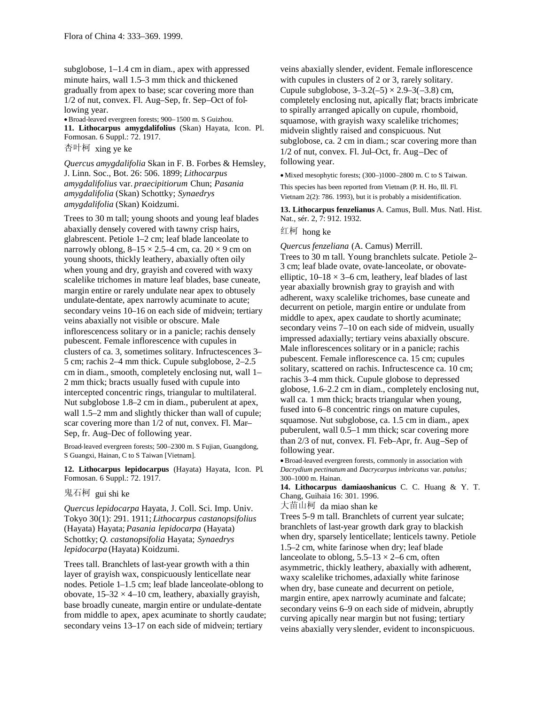subglobose, 1–1.4 cm in diam., apex with appressed minute hairs, wall 1.5–3 mm thick and thickened gradually from apex to base; scar covering more than 1/2 of nut, convex. Fl. Aug–Sep, fr. Sep–Oct of following year.

Broad-leaved evergreen forests; 900–1500 m. S Guizhou. **11. Lithocarpus amygdalifolius** (Skan) Hayata, Icon. Pl. Formosan. 6 Suppl.: 72. 1917.

杏叶柯 xing ye ke

*Quercus amygdalifolia* Skan in F. B. Forbes & Hemsley, J. Linn. Soc., Bot. 26: 506. 1899; *Lithocarpus amygdalifolius* var. *praecipitiorum* Chun; *Pasania amygdalifolia* (Skan) Schottky; *Synaedrys amygdalifolia* (Skan) Koidzumi.

Trees to 30 m tall; young shoots and young leaf blades abaxially densely covered with tawny crisp hairs, glabrescent. Petiole 1–2 cm; leaf blade lanceolate to narrowly oblong,  $8-15 \times 2.5-4$  cm, ca.  $20 \times 9$  cm on young shoots, thickly leathery, abaxially often oily when young and dry, grayish and covered with waxy scalelike trichomes in mature leaf blades, base cuneate, margin entire or rarely undulate near apex to obtusely undulate-dentate, apex narrowly acuminate to acute; secondary veins 10–16 on each side of midvein; tertiary veins abaxially not visible or obscure. Male inflorescencess solitary or in a panicle; rachis densely pubescent. Female inflorescence with cupules in clusters of ca. 3, sometimes solitary. Infructescences 3– 5 cm; rachis 2–4 mm thick. Cupule subglobose, 2–2.5 cm in diam., smooth, completely enclosing nut, wall 1– 2 mm thick; bracts usually fused with cupule into intercepted concentric rings, triangular to multilateral. Nut subglobose 1.8–2 cm in diam., puberulent at apex, wall 1.5–2 mm and slightly thicker than wall of cupule; scar covering more than 1/2 of nut, convex. Fl. Mar– Sep, fr. Aug–Dec of following year.

Broad-leaved evergreen forests; 500–2300 m. S Fujian, Guangdong, S Guangxi, Hainan, C to S Taiwan [Vietnam].

**12. Lithocarpus lepidocarpus** (Hayata) Hayata, Icon. Pl. Formosan. 6 Suppl.: 72. 1917.

## 鬼石柯 gui shi ke

*Quercus lepidocarpa* Hayata, J. Coll. Sci. Imp. Univ. Tokyo 30(1): 291. 1911; *Lithocarpus castanopsifolius* (Hayata) Hayata; *Pasania lepidocarpa* (Hayata) Schottky; *Q. castanopsifolia* Hayata; *Synaedrys lepidocarpa* (Hayata) Koidzumi.

Trees tall. Branchlets of last-year growth with a thin layer of grayish wax, conspicuously lenticellate near nodes. Petiole 1–1.5 cm; leaf blade lanceolate-oblong to obovate,  $15-32 \times 4-10$  cm, leathery, abaxially grayish, base broadly cuneate, margin entire or undulate-dentate from middle to apex, apex acuminate to shortly caudate; secondary veins 13–17 on each side of midvein; tertiary

veins abaxially slender, evident. Female inflorescence with cupules in clusters of 2 or 3, rarely solitary. Cupule subglobose,  $3-3.2(-5) \times 2.9-3(-3.8)$  cm, completely enclosing nut, apically flat; bracts imbricate to spirally arranged apically on cupule, rhomboid, squamose, with grayish waxy scalelike trichomes; midvein slightly raised and conspicuous. Nut subglobose, ca. 2 cm in diam.; scar covering more than 1/2 of nut, convex. Fl. Jul–Oct, fr. Aug–Dec of following year.

Mixed mesophytic forests; (300–)1000–2800 m. C to S Taiwan. This species has been reported from Vietnam (P. H. Ho, Ill. Fl. Vietnam 2(2): 786. 1993), but it is probably a misidentification.

**13. Lithocarpus fenzelianus** A. Camus, Bull. Mus. Natl. Hist. Nat., sér. 2, 7: 912. 1932.

# 红柯 hong ke

*Quercus fenzeliana* (A. Camus) Merrill.

Trees to 30 m tall. Young branchlets sulcate. Petiole 2– 3 cm; leaf blade ovate, ovate-lanceolate, or obovateelliptic,  $10-18 \times 3-6$  cm, leathery, leaf blades of last year abaxially brownish gray to grayish and with adherent, waxy scalelike trichomes, base cuneate and decurrent on petiole, margin entire or undulate from middle to apex, apex caudate to shortly acuminate; secondary veins 7–10 on each side of midvein, usually impressed adaxially; tertiary veins abaxially obscure. Male inflorescences solitary or in a panicle; rachis pubescent. Female inflorescence ca. 15 cm; cupules solitary, scattered on rachis. Infructescence ca. 10 cm; rachis 3–4 mm thick. Cupule globose to depressed globose, 1.6–2.2 cm in diam., completely enclosing nut, wall ca. 1 mm thick; bracts triangular when young, fused into 6–8 concentric rings on mature cupules, squamose. Nut subglobose, ca. 1.5 cm in diam., apex puberulent, wall 0.5–1 mm thick; scar covering more than 2/3 of nut, convex. Fl. Feb–Apr, fr. Aug–Sep of following year.

Broad-leaved evergreen forests, commonly in association with *Dacrydium pectinatum* and *Dacrycarpus imbricatus* var. *patulus;* 300–1000 m. Hainan.

**14. Lithocarpus damiaoshanicus** C. C. Huang & Y. T. Chang, Guihaia 16: 301. 1996.

大苗山柯 da miao shan ke

Trees 5–9 m tall. Branchlets of current year sulcate; branchlets of last-year growth dark gray to blackish when dry, sparsely lenticellate; lenticels tawny. Petiole 1.5–2 cm, white farinose when dry; leaf blade lanceolate to oblong,  $5.5-13 \times 2-6$  cm, often asymmetric, thickly leathery, abaxially with adherent, waxy scalelike trichomes, adaxially white farinose when dry, base cuneate and decurrent on petiole, margin entire, apex narrowly acuminate and falcate; secondary veins 6–9 on each side of midvein, abruptly curving apically near margin but not fusing; tertiary veins abaxially very slender, evident to inconspicuous.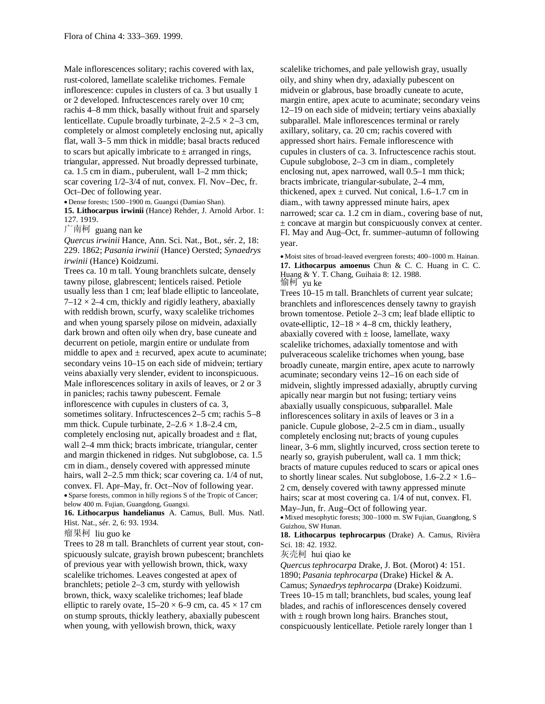Male inflorescences solitary; rachis covered with lax, rust-colored, lamellate scalelike trichomes. Female inflorescence: cupules in clusters of ca. 3 but usually 1 or 2 developed. Infructescences rarely over 10 cm; rachis 4–8 mm thick, basally without fruit and sparsely lenticellate. Cupule broadly turbinate,  $2-2.5 \times 2-3$  cm, completely or almost completely enclosing nut, apically flat, wall 3–5 mm thick in middle; basal bracts reduced to scars but apically imbricate to  $\pm$  arranged in rings, triangular, appressed. Nut broadly depressed turbinate, ca. 1.5 cm in diam., puberulent, wall 1–2 mm thick; scar covering 1/2–3/4 of nut, convex. Fl. Nov–Dec, fr. Oct–Dec of following year.

Dense forests; 1500–1900 m. Guangxi (Damiao Shan).

**15. Lithocarpus irwinii** (Hance) Rehder, J. Arnold Arbor. 1: 127. 1919.

广南柯 guang nan ke

*Quercus irwinii* Hance, Ann. Sci. Nat., Bot., sér. 2, 18: 229. 1862; *Pasania irwinii* (Hance) Oersted; *Synaedrys irwinii* (Hance) Koidzumi.

Trees ca. 10 m tall. Young branchlets sulcate, densely tawny pilose, glabrescent; lenticels raised. Petiole usually less than 1 cm; leaf blade elliptic to lanceolate,  $7-12 \times 2-4$  cm, thickly and rigidly leathery, abaxially with reddish brown, scurfy, waxy scalelike trichomes and when young sparsely pilose on midvein, adaxially dark brown and often oily when dry, base cuneate and decurrent on petiole, margin entire or undulate from middle to apex and  $\pm$  recurved, apex acute to acuminate; secondary veins 10–15 on each side of midvein; tertiary veins abaxially very slender, evident to inconspicuous. Male inflorescences solitary in axils of leaves, or 2 or 3 in panicles; rachis tawny pubescent. Female inflorescence with cupules in clusters of ca. 3, sometimes solitary. Infructescences 2–5 cm; rachis 5–8 mm thick. Cupule turbinate,  $2-2.6 \times 1.8-2.4$  cm, completely enclosing nut, apically broadest and  $\pm$  flat, wall 2–4 mm thick; bracts imbricate, triangular, center and margin thickened in ridges. Nut subglobose, ca. 1.5 cm in diam., densely covered with appressed minute hairs, wall 2–2.5 mm thick; scar covering ca.  $1/4$  of nut, convex. Fl. Apr–May, fr. Oct–Nov of following year. Sparse forests, common in hilly regions S of the Tropic of Cancer; below 400 m. Fujian, Guangdong, Guangxi.

**16. Lithocarpus handelianus** A. Camus, Bull. Mus. Natl. Hist. Nat., sér. 2, 6: 93. 1934.

瘤果柯 liu guo ke

Trees to 28 m tall. Branchlets of current year stout, conspicuously sulcate, grayish brown pubescent; branchlets of previous year with yellowish brown, thick, waxy scalelike trichomes. Leaves congested at apex of branchlets; petiole 2–3 cm, sturdy with yellowish brown, thick, waxy scalelike trichomes; leaf blade elliptic to rarely ovate,  $15-20 \times 6-9$  cm, ca.  $45 \times 17$  cm on stump sprouts, thickly leathery, abaxially pubescent when young, with yellowish brown, thick, waxy

scalelike trichomes, and pale yellowish gray, usually oily, and shiny when dry, adaxially pubescent on midvein or glabrous, base broadly cuneate to acute, margin entire, apex acute to acuminate; secondary veins 12–19 on each side of midvein; tertiary veins abaxially subparallel. Male inflorescences terminal or rarely axillary, solitary, ca. 20 cm; rachis covered with appressed short hairs. Female inflorescence with cupules in clusters of ca. 3. Infructescence rachis stout. Cupule subglobose, 2–3 cm in diam., completely enclosing nut, apex narrowed, wall 0.5–1 mm thick; bracts imbricate, triangular-subulate, 2–4 mm, thickened, apex  $\pm$  curved. Nut conical, 1.6–1.7 cm in diam., with tawny appressed minute hairs, apex narrowed; scar ca. 1.2 cm in diam., covering base of nut, ± concave at margin but conspicuously convex at center. Fl. May and Aug–Oct, fr. summer–autumn of following year.

Moist sites of broad-leaved evergreen forests; 400–1000 m. Hainan. **17. Lithocarpus amoenus** Chun & C. C. Huang in C. C. Huang & Y. T. Chang, Guihaia 8: 12. 1988. 愉柯 yu ke

Trees 10–15 m tall. Branchlets of current year sulcate; branchlets and inflorescences densely tawny to grayish brown tomentose. Petiole 2–3 cm; leaf blade elliptic to ovate-elliptic,  $12-18 \times 4-8$  cm, thickly leathery, abaxially covered with  $\pm$  loose, lamellate, waxy scalelike trichomes, adaxially tomentose and with pulveraceous scalelike trichomes when young, base broadly cuneate, margin entire, apex acute to narrowly acuminate; secondary veins 12–16 on each side of midvein, slightly impressed adaxially, abruptly curving apically near margin but not fusing; tertiary veins abaxially usually conspicuous, subparallel. Male inflorescences solitary in axils of leaves or 3 in a panicle. Cupule globose, 2–2.5 cm in diam., usually completely enclosing nut; bracts of young cupules linear, 3–6 mm, slightly incurved, cross section terete to nearly so, grayish puberulent, wall ca. 1 mm thick; bracts of mature cupules reduced to scars or apical ones to shortly linear scales. Nut subglobose,  $1.6-2.2 \times 1.6-$ 2 cm, densely covered with tawny appressed minute hairs; scar at most covering ca. 1/4 of nut, convex. Fl. May–Jun, fr. Aug–Oct of following year.

Mixed mesophytic forests; 300–1000 m. SW Fujian, Guangdong, S Guizhou, SW Hunan.

**18. Lithocarpus tephrocarpus** (Drake) A. Camus, Rivièra Sci. 18: 42. 1932.

灰壳柯 hui qiao ke

*Quercus tephrocarpa* Drake, J. Bot. (Morot) 4: 151. 1890; *Pasania tephrocarpa* (Drake) Hickel & A. Camus; *Synaedrystephrocarpa* (Drake) Koidzumi. Trees 10–15 m tall; branchlets, bud scales, young leaf blades, and rachis of inflorescences densely covered with  $\pm$  rough brown long hairs. Branches stout, conspicuously lenticellate. Petiole rarely longer than 1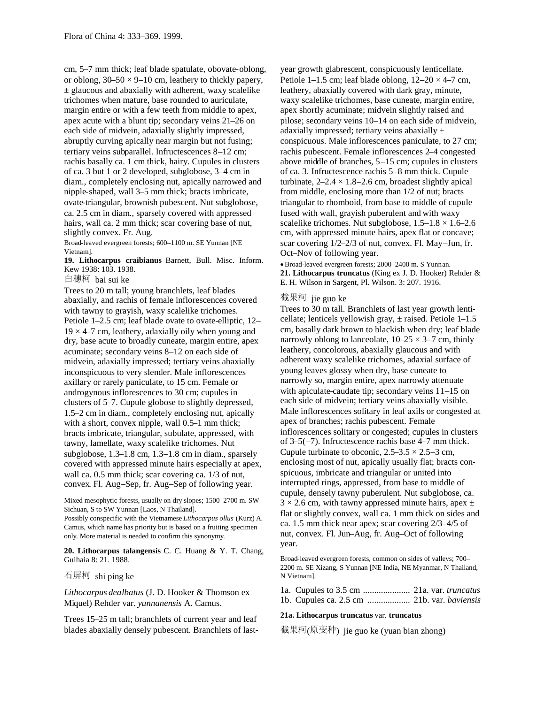cm, 5–7 mm thick; leaf blade spatulate, obovate-oblong, or oblong,  $30-50 \times 9-10$  cm, leathery to thickly papery,  $\pm$  glaucous and abaxially with adherent, waxy scalelike trichomes when mature, base rounded to auriculate, margin entire or with a few teeth from middle to apex, apex acute with a blunt tip; secondary veins 21–26 on each side of midvein, adaxially slightly impressed, abruptly curving apically near margin but not fusing; tertiary veins subparallel. Infructescences 8–12 cm; rachis basally ca. 1 cm thick, hairy. Cupules in clusters of ca. 3 but 1 or 2 developed, subglobose, 3–4 cm in diam., completely enclosing nut, apically narrowed and nipple-shaped, wall 3–5 mm thick; bracts imbricate, ovate-triangular, brownish pubescent. Nut subglobose, ca. 2.5 cm in diam., sparsely covered with appressed hairs, wall ca. 2 mm thick; scar covering base of nut, slightly convex. Fr. Aug.

Broad-leaved evergreen forests; 600–1100 m. SE Yunnan [NE Vietnam].

**19. Lithocarpus craibianus** Barnett, Bull. Misc. Inform. Kew 1938: 103. 1938.

白穗柯 bai sui ke

Trees to 20 m tall; young branchlets, leaf blades abaxially, and rachis of female inflorescences covered with tawny to grayish, waxy scalelike trichomes. Petiole 1–2.5 cm; leaf blade ovate to ovate-elliptic, 12–  $19 \times 4$ –7 cm, leathery, adaxially oily when young and dry, base acute to broadly cuneate, margin entire, apex acuminate; secondary veins 8–12 on each side of midvein, adaxially impressed; tertiary veins abaxially inconspicuous to very slender. Male inflorescences axillary or rarely paniculate, to 15 cm. Female or androgynous inflorescences to 30 cm; cupules in clusters of 5–7. Cupule globose to slightly depressed, 1.5–2 cm in diam., completely enclosing nut, apically with a short, convex nipple, wall 0.5–1 mm thick; bracts imbricate, triangular, subulate, appressed, with tawny, lamellate, waxy scalelike trichomes. Nut subglobose, 1.3–1.8 cm, 1.3–1.8 cm in diam., sparsely covered with appressed minute hairs especially at apex, wall ca. 0.5 mm thick; scar covering ca. 1/3 of nut, convex. Fl. Aug–Sep, fr. Aug–Sep of following year.

Mixed mesophytic forests, usually on dry slopes; 1500–2700 m. SW Sichuan, S to SW Yunnan [Laos, N Thailand]. Possibly conspecific with the Vietnamese *Lithocarpus ollus* (Kurz) A. Camus, which name has priority but is based on a fruiting specimen

only. More material is needed to confirm this synonymy.

**20. Lithocarpus talangensis** C. C. Huang & Y. T. Chang, Guihaia 8: 21. 1988.

石屏柯 shi ping ke

*Lithocarpus dealbatus* (J. D. Hooker & Thomson ex Miquel) Rehder var. *yunnanensis* A. Camus.

Trees 15–25 m tall; branchlets of current year and leaf blades abaxially densely pubescent. Branchlets of lastyear growth glabrescent, conspicuously lenticellate. Petiole 1–1.5 cm; leaf blade oblong,  $12-20 \times 4-7$  cm, leathery, abaxially covered with dark gray, minute, waxy scalelike trichomes, base cuneate, margin entire, apex shortly acuminate; midvein slightly raised and pilose; secondary veins 10–14 on each side of midvein, adaxially impressed; tertiary veins abaxially  $\pm$ conspicuous. Male inflorescences paniculate, to 27 cm; rachis pubescent. Female inflorescences 2–4 congested above middle of branches, 5–15 cm; cupules in clusters of ca. 3. Infructescence rachis 5–8 mm thick. Cupule turbinate,  $2-2.4 \times 1.8-2.6$  cm, broadest slightly apical from middle, enclosing more than 1/2 of nut; bracts triangular to rhomboid, from base to middle of cupule fused with wall, grayish puberulent and with waxy scalelike trichomes. Nut subglobose,  $1.5-1.8 \times 1.6-2.6$ cm, with appressed minute hairs, apex flat or concave; scar covering 1/2–2/3 of nut, convex. Fl. May–Jun, fr. Oct–Nov of following year.

Broad-leaved evergreen forests; 2000 –2400 m. S Yunnan. **21. Lithocarpus truncatus** (King ex J. D. Hooker) Rehder & E. H. Wilson in Sargent, Pl. Wilson. 3: 207. 1916.

#### 截果柯 jie guo ke

Trees to 30 m tall. Branchlets of last year growth lenticellate; lenticels yellowish gray,  $\pm$  raised. Petiole 1–1.5 cm, basally dark brown to blackish when dry; leaf blade narrowly oblong to lanceolate,  $10-25 \times 3-7$  cm, thinly leathery, concolorous, abaxially glaucous and with adherent waxy scalelike trichomes, adaxial surface of young leaves glossy when dry, base cuneate to narrowly so, margin entire, apex narrowly attenuate with apiculate-caudate tip; secondary veins 11–15 on each side of midvein; tertiary veins abaxially visible. Male inflorescences solitary in leaf axils or congested at apex of branches; rachis pubescent. Female inflorescences solitary or congested; cupules in clusters of 3–5(–7). Infructescence rachis base 4–7 mm thick. Cupule turbinate to obconic,  $2.5-3.5 \times 2.5-3$  cm, enclosing most of nut, apically usually flat; bracts conspicuous, imbricate and triangular or united into interrupted rings, appressed, from base to middle of cupule, densely tawny puberulent. Nut subglobose, ca.  $3 \times 2.6$  cm, with tawny appressed minute hairs, apex  $\pm$ flat or slightly convex, wall ca. 1 mm thick on sides and ca. 1.5 mm thick near apex; scar covering 2/3–4/5 of nut, convex. Fl. Jun–Aug, fr. Aug–Oct of following year.

Broad-leaved evergreen forests, common on sides of valleys; 700– 2200 m. SE Xizang, S Yunnan [NE India, NE Myanmar, N Thailand, N Vietnam].

1a. Cupules to 3.5 cm ..................... 21a. var. *truncatus* 1b. Cupules ca. 2.5 cm ................... 21b. var. *baviensis*

## **21a. Lithocarpus truncatus** var. **truncatus**

截果柯(原变种) jie guo ke (yuan bian zhong)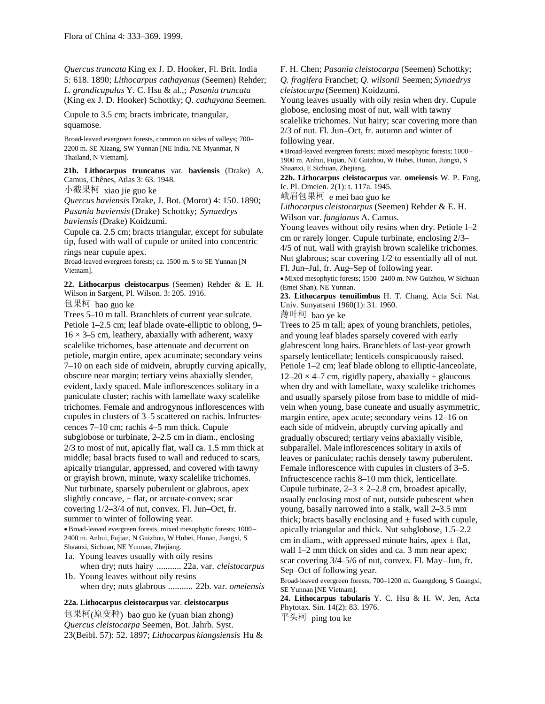*Quercus truncata* King ex J. D. Hooker, Fl. Brit. India 5: 618. 1890; *Lithocarpus cathayanus* (Seemen) Rehder; *L*. *grandicupulus* Y. C. Hsu & al.,; *Pasania truncata* (King ex J. D. Hooker) Schottky; *Q. cathayana* Seemen.

Cupule to 3.5 cm; bracts imbricate, triangular, squamose.

Broad-leaved evergreen forests, common on sides of valleys; 700– 2200 m. SE Xizang, SW Yunnan [NE India, NE Myanmar, N Thailand, N Vietnam].

**21b. Lithocarpus truncatus** var. **baviensis** (Drake) A. Camus, Chênes, Atlas 3: 63. 1948.

小截果柯 xiao jie guo ke

*Quercus baviensis* Drake, J. Bot. (Morot) 4: 150. 1890; *Pasania baviensis*(Drake) Schottky; *Synaedrys baviensis*(Drake) Koidzumi.

Cupule ca. 2.5 cm; bracts triangular, except for subulate tip, fused with wall of cupule or united into concentric rings near cupule apex.

Broad-leaved evergreen forests; ca. 1500 m. S to SE Yunnan [N Vietnam].

**22. Lithocarpus cleistocarpus** (Seemen) Rehder & E. H. Wilson in Sargent, Pl. Wilson. 3: 205. 1916.

包果柯 bao guo ke

Trees 5–10 m tall. Branchlets of current year sulcate. Petiole 1–2.5 cm; leaf blade ovate-elliptic to oblong, 9–  $16 \times 3$ –5 cm, leathery, abaxially with adherent, waxy scalelike trichomes, base attenuate and decurrent on petiole, margin entire, apex acuminate; secondary veins 7–10 on each side of midvein, abruptly curving apically, obscure near margin; tertiary veins abaxially slender, evident, laxly spaced. Male inflorescences solitary in a paniculate cluster; rachis with lamellate waxy scalelike trichomes. Female and androgynous inflorescences with cupules in clusters of 3–5 scattered on rachis. Infructescences 7–10 cm; rachis 4–5 mm thick. Cupule subglobose or turbinate, 2–2.5 cm in diam., enclosing 2/3 to most of nut, apically flat, wall ca. 1.5 mm thick at middle; basal bracts fused to wall and reduced to scars, apically triangular, appressed, and covered with tawny or grayish brown, minute, waxy scalelike trichomes. Nut turbinate, sparsely puberulent or glabrous, apex slightly concave,  $\pm$  flat, or arcuate-convex; scar covering 1/2–3/4 of nut, convex. Fl. Jun–Oct, fr. summer to winter of following year.

Broad-leaved evergreen forests, mixed mesophytic forests; 1000 – 2400 m. Anhui, Fujian, N Guizhou, W Hubei, Hunan, Jiangxi, S Shaanxi, Sichuan, NE Yunnan, Zhejiang.

- 1a. Young leaves usually with oily resins when dry; nuts hairy ........... 22a. var. *cleistocarpus*
- 1b. Young leaves without oily resins when dry; nuts glabrous ........... 22b. var. *omeiensis*

### **22a. Lithocarpus cleistocarpus** var. **cleistocarpus**

包果柯(原变种) bao guo ke (yuan bian zhong) *Quercus cleistocarpa* Seemen, Bot. Jahrb. Syst. 23(Beibl. 57): 52. 1897; *Lithocarpus kiangsiensis* Hu & F. H. Chen; *Pasania cleistocarpa* (Seemen) Schottky;

*Q. fragifera* Franchet; *Q*. *wilsonii* Seemen; *Synaedrys cleistocarpa* (Seemen) Koidzumi.

Young leaves usually with oily resin when dry. Cupule globose, enclosing most of nut, wall with tawny

scalelike trichomes. Nut hairy; scar covering more than 2/3 of nut. Fl. Jun–Oct, fr. autumn and winter of following year.

Broad-leaved evergreen forests; mixed mesophytic forests; 1000– 1900 m. Anhui, Fujian, NE Guizhou, W Hubei, Hunan, Jiangxi, S Shaanxi, E Sichuan, Zhejiang.

**22b. Lithocarpus cleistocarpus** var. **omeiensis** W. P. Fang, Ic. Pl. Omeien. 2(1): t. 117a. 1945.

峨眉包果柯 e mei bao guo ke

*Lithocarpus cleistocarpus* (Seemen) Rehder & E. H. Wilson var. *fangianus* A. Camus.

Young leaves without oily resins when dry. Petiole 1–2 cm or rarely longer. Cupule turbinate, enclosing 2/3–

4/5 of nut, wall with grayish brown scalelike trichomes. Nut glabrous; scar covering 1/2 to essentially all of nut. Fl. Jun–Jul, fr. Aug–Sep of following year.

Mixed mesophytic forests; 1500–2400 m. NW Guizhou, W Sichuan (Emei Shan), NE Yunnan.

**23. Lithocarpus tenuilimbus** H. T. Chang, Acta Sci. Nat. Univ. Sunyatseni 1960(1): 31. 1960.

薄叶柯 bao ye ke

Trees to 25 m tall; apex of young branchlets, petioles, and young leaf blades sparsely covered with early glabrescent long hairs. Branchlets of last-year growth sparsely lenticellate; lenticels conspicuously raised. Petiole 1–2 cm; leaf blade oblong to elliptic-lanceolate,  $12-20 \times 4-7$  cm, rigidly papery, abaxially  $\pm$  glaucous when dry and with lamellate, waxy scalelike trichomes and usually sparsely pilose from base to middle of midvein when young, base cuneate and usually asymmetric, margin entire, apex acute; secondary veins 12–16 on each side of midvein, abruptly curving apically and gradually obscured; tertiary veins abaxially visible, subparallel. Male inflorescences solitary in axils of leaves or paniculate; rachis densely tawny puberulent. Female inflorescence with cupules in clusters of 3–5. Infructescence rachis 8–10 mm thick, lenticellate. Cupule turbinate,  $2-3 \times 2-2.8$  cm, broadest apically, usually enclosing most of nut, outside pubescent when young, basally narrowed into a stalk, wall 2–3.5 mm thick; bracts basally enclosing and  $\pm$  fused with cupule, apically triangular and thick. Nut subglobose, 1.5–2.2 cm in diam., with appressed minute hairs, apex  $\pm$  flat, wall 1–2 mm thick on sides and ca. 3 mm near apex; scar covering 3/4–5/6 of nut, convex. Fl. May–Jun, fr. Sep–Oct of following year.

Broad-leaved evergreen forests, 700–1200 m. Guangdong, S Guangxi, SE Yunnan [NE Vietnam].

**24. Lithocarpus tabularis** Y. C. Hsu & H. W. Jen, Acta Phytotax. Sin. 14(2): 83. 1976.

平头柯 ping tou ke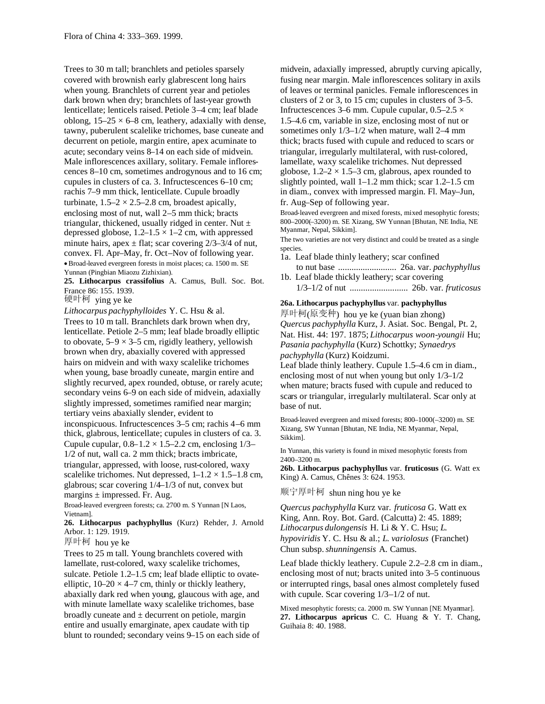Trees to 30 m tall; branchlets and petioles sparsely covered with brownish early glabrescent long hairs when young. Branchlets of current year and petioles dark brown when dry; branchlets of last-year growth lenticellate; lenticels raised. Petiole 3–4 cm; leaf blade oblong,  $15-25 \times 6-8$  cm, leathery, adaxially with dense, tawny, puberulent scalelike trichomes, base cuneate and decurrent on petiole, margin entire, apex acuminate to acute; secondary veins 8–14 on each side of midvein. Male inflorescences axillary, solitary. Female inflorescences 8–10 cm, sometimes androgynous and to 16 cm; cupules in clusters of ca. 3. Infructescences 6–10 cm; rachis 7–9 mm thick, lenticellate. Cupule broadly turbinate,  $1.5-2 \times 2.5-2.8$  cm, broadest apically, enclosing most of nut, wall 2–5 mm thick; bracts triangular, thickened, usually ridged in center. Nut  $\pm$ depressed globose,  $1.2-1.5 \times 1-2$  cm, with appressed minute hairs, apex  $\pm$  flat; scar covering 2/3–3/4 of nut, convex. Fl. Apr–May, fr. Oct–Nov of following year. Broad-leaved evergreen forests in moist places; ca. 1500 m. SE Yunnan (Pingbian Miaozu Zizhixian).

**25. Lithocarpus crassifolius** A. Camus, Bull. Soc. Bot. France 86: 155. 1939.

硬叶柯 ying ye ke

*Lithocarpus pachyphylloides* Y. C. Hsu & al.

Trees to 10 m tall. Branchlets dark brown when dry, lenticellate. Petiole 2–5 mm; leaf blade broadly elliptic to obovate,  $5-9 \times 3-5$  cm, rigidly leathery, yellowish brown when dry, abaxially covered with appressed hairs on midvein and with waxy scalelike trichomes when young, base broadly cuneate, margin entire and slightly recurved, apex rounded, obtuse, or rarely acute; secondary veins 6–9 on each side of midvein, adaxially slightly impressed, sometimes ramified near margin; tertiary veins abaxially slender, evident to inconspicuous. Infructescences 3–5 cm; rachis 4–6 mm thick, glabrous, lenticellate; cupules in clusters of ca. 3. Cupule cupular,  $0.8-1.2 \times 1.5-2.2$  cm, enclosing  $1/3-$ 1/2 of nut, wall ca. 2 mm thick; bracts imbricate, triangular, appressed, with loose, rust-colored, waxy scalelike trichomes. Nut depressed,  $1-1.2 \times 1.5-1.8$  cm, glabrous; scar covering 1/4–1/3 of nut, convex but margins  $\pm$  impressed. Fr. Aug.

Broad-leaved evergreen forests; ca. 2700 m. S Yunnan [N Laos, Vietnam].

**26. Lithocarpus pachyphyllus** (Kurz) Rehder, J. Arnold Arbor. 1: 129. 1919.

厚叶柯 hou ye ke

Trees to 25 m tall. Young branchlets covered with lamellate, rust-colored, waxy scalelike trichomes, sulcate. Petiole 1.2–1.5 cm; leaf blade elliptic to ovateelliptic,  $10-20 \times 4-7$  cm, thinly or thickly leathery, abaxially dark red when young, glaucous with age, and with minute lamellate waxy scalelike trichomes, base broadly cuneate and  $\pm$  decurrent on petiole, margin entire and usually emarginate, apex caudate with tip blunt to rounded; secondary veins 9–15 on each side of midvein, adaxially impressed, abruptly curving apically, fusing near margin. Male inflorescences solitary in axils of leaves or terminal panicles. Female inflorescences in clusters of 2 or 3, to 15 cm; cupules in clusters of 3–5. Infructescences 3–6 mm. Cupule cupular,  $0.5-2.5 \times$ 1.5–4.6 cm, variable in size, enclosing most of nut or sometimes only 1/3–1/2 when mature, wall 2–4 mm thick; bracts fused with cupule and reduced to scars or triangular, irregularly multilateral, with rust-colored, lamellate, waxy scalelike trichomes. Nut depressed globose,  $1.2-2 \times 1.5-3$  cm, glabrous, apex rounded to slightly pointed, wall  $1-1.2$  mm thick; scar  $1.2-1.5$  cm in diam., convex with impressed margin. Fl. May–Jun, fr. Aug–Sep of following year.

Broad-leaved evergreen and mixed forests, mixed mesophytic forests; 800–2000(–3200) m. SE Xizang, SW Yunnan [Bhutan, NE India, NE Myanmar, Nepal, Sikkim].

The two varieties are not very distinct and could be treated as a single species.

1a. Leaf blade thinly leathery; scar confined

to nut base .......................... 26a. var. *pachyphyllus* 1b. Leaf blade thickly leathery; scar covering

1/3–1/2 of nut .......................... 26b. var. *fruticosus*

#### **26a. Lithocarpus pachyphyllus** var. **pachyphyllus**

厚叶柯(原变种) hou ye ke (yuan bian zhong) *Quercus pachyphylla* Kurz, J. Asiat. Soc. Bengal, Pt. 2, Nat. Hist. 44: 197. 1875; *Lithocarpus woon-youngii* Hu; *Pasania pachyphylla* (Kurz) Schottky; *Synaedrys pachyphylla* (Kurz) Koidzumi.

Leaf blade thinly leathery. Cupule 1.5–4.6 cm in diam., enclosing most of nut when young but only 1/3–1/2 when mature; bracts fused with cupule and reduced to scars or triangular, irregularly multilateral. Scar only at base of nut.

Broad-leaved evergreen and mixed forests; 800–1000(–3200) m. SE Xizang, SW Yunnan [Bhutan, NE India, NE Myanmar, Nepal, Sikkim].

In Yunnan, this variety is found in mixed mesophytic forests from 2400–3200 m.

**26b. Lithocarpus pachyphyllus** var. **fruticosus** (G. Watt ex King) A. Camus, Chênes 3: 624. 1953.

顺宁厚叶柯 shun ning hou ye ke

*Quercus pachyphylla* Kurz var. *fruticosa* G. Watt ex King, Ann. Roy. Bot. Gard. (Calcutta) 2: 45. 1889; *Lithocarpus dulongensis* H. Li & Y. C. Hsu; *L*. *hypoviridis* Y. C. Hsu & al.; *L*. *variolosus* (Franchet) Chun subsp.*shunningensis* A. Camus.

Leaf blade thickly leathery. Cupule 2.2–2.8 cm in diam., enclosing most of nut; bracts united into 3–5 continuous or interrupted rings, basal ones almost completely fused with cupule. Scar covering  $1/3-1/2$  of nut.

Mixed mesophytic forests; ca. 2000 m. SW Yunnan [NE Myanmar]. **27. Lithocarpus apricus** C. C. Huang & Y. T. Chang, Guihaia 8: 40. 1988.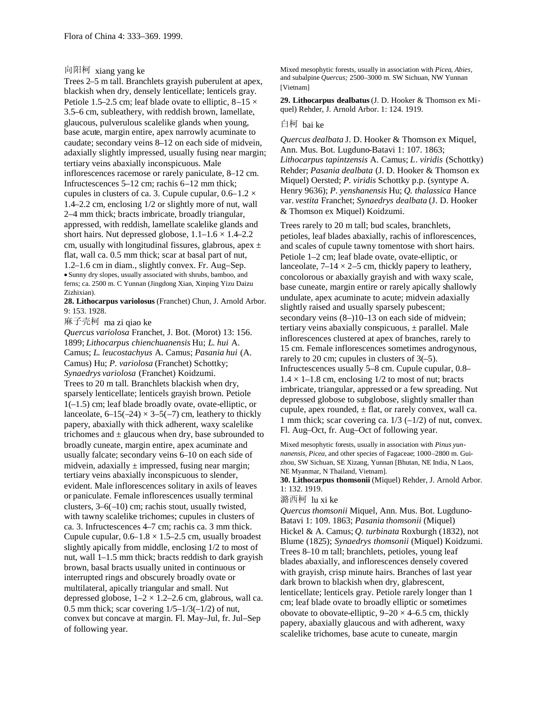# 向阳柯 xiang yang ke

Trees 2–5 m tall. Branchlets grayish puberulent at apex, blackish when dry, densely lenticellate; lenticels gray. Petiole 1.5–2.5 cm; leaf blade ovate to elliptic,  $8-15 \times$ 3.5–6 cm, subleathery, with reddish brown, lamellate, glaucous, pulverulous scalelike glands when young, base acute, margin entire, apex narrowly acuminate to caudate; secondary veins 8–12 on each side of midvein, adaxially slightly impressed, usually fusing near margin; tertiary veins abaxially inconspicuous. Male inflorescences racemose or rarely paniculate, 8–12 cm. Infructescences 5–12 cm; rachis 6–12 mm thick; cupules in clusters of ca. 3. Cupule cupular,  $0.6-1.2 \times$ 1.4–2.2 cm, enclosing 1/2 or slightly more of nut, wall 2–4 mm thick; bracts imbricate, broadly triangular, appressed, with reddish, lamellate scalelike glands and short hairs. Nut depressed globose,  $1.1-1.6 \times 1.4-2.2$ cm, usually with longitudinal fissures, glabrous, apex  $\pm$ flat, wall ca. 0.5 mm thick; scar at basal part of nut, 1.2–1.6 cm in diam., slightly convex. Fr. Aug–Sep. Sunny dry slopes, usually associated with shrubs, bamboo, and ferns; ca. 2500 m. C Yunnan (Jingdong Xian, Xinping Yizu Daizu Zizhixian).

**28. Lithocarpus variolosus** (Franchet) Chun, J. Arnold Arbor. 9: 153. 1928.

麻子壳柯 ma zi qiao ke

*Quercus variolosa* Franchet, J. Bot. (Morot) 13: 156. 1899; *Lithocarpus chienchuanensis* Hu; *L*. *hui* A. Camus; *L*. *leucostachyus* A. Camus; *Pasania hui* (A. Camus) Hu; *P. variolosa* (Franchet) Schottky; *Synaedrys variolosa* (Franchet) Koidzumi. Trees to 20 m tall. Branchlets blackish when dry, sparsely lenticellate; lenticels grayish brown. Petiole 1(–1.5) cm; leaf blade broadly ovate, ovate-elliptic, or lanceolate,  $6-15(-24) \times 3-5(-7)$  cm, leathery to thickly papery, abaxially with thick adherent, waxy scalelike trichomes and  $\pm$  glaucous when dry, base subrounded to broadly cuneate, margin entire, apex acuminate and usually falcate; secondary veins 6–10 on each side of midvein, adaxially  $\pm$  impressed, fusing near margin; tertiary veins abaxially inconspicuous to slender, evident. Male inflorescences solitary in axils of leaves or paniculate. Female inflorescences usually terminal clusters, 3–6(–10) cm; rachis stout, usually twisted, with tawny scalelike trichomes; cupules in clusters of ca. 3. Infructescences 4–7 cm; rachis ca. 3 mm thick. Cupule cupular,  $0.6-1.8 \times 1.5-2.5$  cm, usually broadest slightly apically from middle, enclosing 1/2 to most of nut, wall 1–1.5 mm thick; bracts reddish to dark grayish brown, basal bracts usually united in continuous or interrupted rings and obscurely broadly ovate or multilateral, apically triangular and small. Nut depressed globose,  $1-2 \times 1.2-2.6$  cm, glabrous, wall ca. 0.5 mm thick; scar covering  $1/5-1/3(-1/2)$  of nut, convex but concave at margin. Fl. May–Jul, fr. Jul–Sep of following year.

Mixed mesophytic forests, usually in association with *Picea, Abies,* and subalpine *Quercus;* 2500–3000 m. SW Sichuan, NW Yunnan [Vietnam]

**29. Lithocarpus dealbatus**(J. D. Hooker & Thomson ex Miquel) Rehder, J. Arnold Arbor. 1: 124. 1919.

#### 白柯 bai ke

*Quercus dealbata* J. D. Hooker & Thomson ex Miquel, Ann. Mus. Bot. Lugduno-Batavi 1: 107. 1863; *Lithocarpus tapintzensis* A. Camus; *L*. *viridis* (Schottky) Rehder; *Pasania dealbata* (J. D. Hooker & Thomson ex Miquel) Oersted; *P*. *viridis* Schottky p.p. (syntype A. Henry 9636); *P*. *yenshanensis* Hu; *Q. thalassica* Hance var. *vestita* Franchet; *Synaedrys dealbata* (J. D. Hooker & Thomson ex Miquel) Koidzumi.

Trees rarely to 20 m tall; bud scales, branchlets, petioles, leaf blades abaxially, rachis of inflorescences, and scales of cupule tawny tomentose with short hairs. Petiole 1–2 cm; leaf blade ovate, ovate-elliptic, or lanceolate,  $7-14 \times 2-5$  cm, thickly papery to leathery, concolorous or abaxially grayish and with waxy scale, base cuneate, margin entire or rarely apically shallowly undulate, apex acuminate to acute; midvein adaxially slightly raised and usually sparsely pubescent; secondary veins  $(8-)10-13$  on each side of midvein; tertiary veins abaxially conspicuous,  $\pm$  parallel. Male inflorescences clustered at apex of branches, rarely to 15 cm. Female inflorescences sometimes androgynous, rarely to 20 cm; cupules in clusters of 3(–5). Infructescences usually 5–8 cm. Cupule cupular, 0.8–  $1.4 \times 1 - 1.8$  cm, enclosing 1/2 to most of nut; bracts imbricate, triangular, appressed or a few spreading. Nut depressed globose to subglobose, slightly smaller than cupule, apex rounded,  $\pm$  flat, or rarely convex, wall ca. 1 mm thick; scar covering ca.  $1/3$  (-1/2) of nut, convex. Fl. Aug–Oct, fr. Aug–Oct of following year.

Mixed mesophytic forests, usually in association with *Pinus yunnanensis, Picea,* and other species of Fagaceae; 1000–2800 m. Guizhou, SW Sichuan, SE Xizang, Yunnan [Bhutan, NE India, N Laos, NE Myanmar, N Thailand, Vietnam].

**30. Lithocarpus thomsonii** (Miquel) Rehder, J. Arnold Arbor. 1: 132. 1919.

### 潞西柯 lu xi ke

*Quercus thomsonii* Miquel, Ann. Mus. Bot. Lugduno-Batavi 1: 109. 1863; *Pasania thomsonii* (Miquel) Hickel & A. Camus; *Q. turbinata* Roxburgh (1832), not Blume (1825); *Synaedrys thomsonii* (Miquel) Koidzumi. Trees 8–10 m tall; branchlets, petioles, young leaf blades abaxially, and inflorescences densely covered with grayish, crisp minute hairs. Branches of last year dark brown to blackish when dry, glabrescent, lenticellate; lenticels gray. Petiole rarely longer than 1 cm; leaf blade ovate to broadly elliptic or sometimes obovate to obovate-elliptic,  $9-20 \times 4-6.5$  cm, thickly papery, abaxially glaucous and with adherent, waxy scalelike trichomes, base acute to cuneate, margin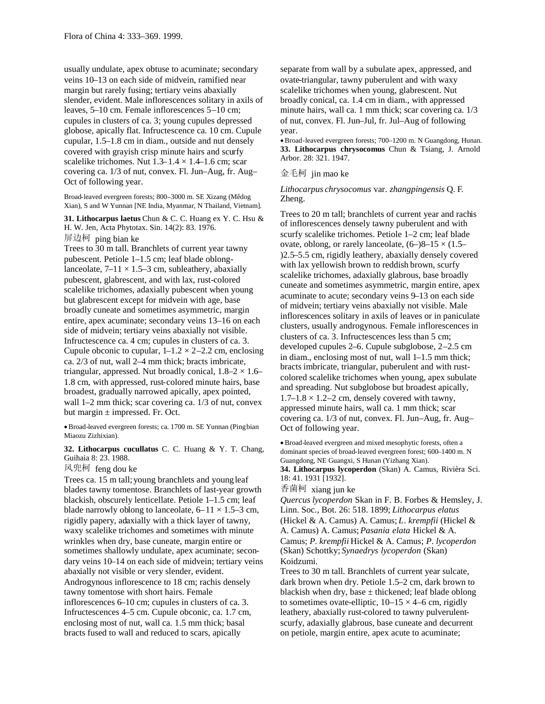usually undulate, apex obtuse to acuminate; secondary veins 10–13 on each side of midvein, ramified near margin but rarely fusing; tertiary veins abaxially slender, evident. Male inflorescences solitary in axils of leaves, 5–10 cm. Female inflorescences 5–10 cm; cupules in clusters of ca. 3; young cupules depressed globose, apically flat. Infructescence ca. 10 cm. Cupule cupular, 1.5–1.8 cm in diam., outside and nut densely covered with grayish crisp minute hairs and scurfy scalelike trichomes. Nut  $1.3-1.4 \times 1.4-1.6$  cm; scar covering ca. 1/3 of nut, convex. Fl. Jun–Aug, fr. Aug– Oct of following year.

Broad-leaved evergreen forests; 800–3000 m. SE Xizang (Mêdog Xian), S and W Yunnan [NE India, Myanmar, N Thailand, Vietnam].

**31. Lithocarpus laetus** Chun & C. C. Huang ex Y. C. Hsu & H. W. Jen, Acta Phytotax. Sin. 14(2): 83. 1976. 屏边柯 ping bian ke

Trees to 30 m tall. Branchlets of current year tawny pubescent. Petiole 1–1.5 cm; leaf blade oblonglanceolate,  $7-11 \times 1.5-3$  cm, subleathery, abaxially pubescent, glabrescent, and with lax, rust-colored scalelike trichomes, adaxially pubescent when young but glabrescent except for midvein with age, base broadly cuneate and sometimes asymmetric, margin entire, apex acuminate; secondary veins 13–16 on each side of midvein; tertiary veins abaxially not visible. Infructescence ca. 4 cm; cupules in clusters of ca. 3. Cupule obconic to cupular,  $1-1.2 \times 2-2.2$  cm, enclosing ca. 2/3 of nut, wall 2–4 mm thick; bracts imbricate, triangular, appressed. Nut broadly conical,  $1.8-2 \times 1.6-$ 1.8 cm, with appressed, rust-colored minute hairs, base broadest, gradually narrowed apically, apex pointed, wall 1–2 mm thick; scar covering ca. 1/3 of nut, convex but margin  $\pm$  impressed. Fr. Oct.

Broad-leaved evergreen forests; ca. 1700 m. SE Yunnan (Pingbian Miaozu Zizhixian).

**32. Lithocarpus cucullatus** C. C. Huang & Y. T. Chang, Guihaia 8: 23. 1988.

风兜柯 feng dou ke

Trees ca. 15 m tall;young branchlets and youngleaf blades tawny tomentose. Branchlets of last-year growth blackish, obscurely lenticellate. Petiole 1–1.5 cm; leaf blade narrowly oblong to lanceolate,  $6-11 \times 1.5-3$  cm, rigidly papery, adaxially with a thick layer of tawny, waxy scalelike trichomes and sometimes with minute wrinkles when dry, base cuneate, margin entire or sometimes shallowly undulate, apex acuminate; secondary veins 10–14 on each side of midvein; tertiary veins abaxially not visible or very slender, evident. Androgynous inflorescence to 18 cm; rachis densely tawny tomentose with short hairs. Female inflorescences 6–10 cm; cupules in clusters of ca. 3. Infructescences 4–5 cm. Cupule obconic, ca. 1.7 cm, enclosing most of nut, wall ca. 1.5 mm thick; basal bracts fused to wall and reduced to scars, apically

separate from wall by a subulate apex, appressed, and ovate-triangular, tawny puberulent and with waxy scalelike trichomes when young, glabrescent. Nut broadly conical, ca. 1.4 cm in diam., with appressed minute hairs, wall ca. 1 mm thick; scar covering ca. 1/3 of nut, convex. Fl. Jun–Jul, fr. Jul–Aug of following year.

Broad-leaved evergreen forests; 700–1200 m. N Guangdong, Hunan. **33. Lithocarpus chrysocomus** Chun & Tsiang, J. Arnold Arbor. 28: 321. 1947.

## 金毛柯 jin mao ke

*Lithocarpus chrysocomus* var. *zhangpingensis* Q. F. Zheng.

Trees to 20 m tall; branchlets of current year and rachis of inflorescences densely tawny puberulent and with scurfy scalelike trichomes. Petiole 1–2 cm; leaf blade ovate, oblong, or rarely lanceolate,  $(6-)8-15 \times (1.5-$ )2.5–5.5 cm, rigidly leathery, abaxially densely covered with lax yellowish brown to reddish brown, scurfy scalelike trichomes, adaxially glabrous, base broadly cuneate and sometimes asymmetric, margin entire, apex acuminate to acute; secondary veins 9–13 on each side of midvein; tertiary veins abaxially not visible. Male inflorescences solitary in axils of leaves or in paniculate clusters, usually androgynous. Female inflorescences in clusters of ca. 3. Infructescences less than 5 cm; developed cupules 2–6. Cupule subglobose, 2–2.5 cm in diam., enclosing most of nut, wall 1–1.5 mm thick; bracts imbricate, triangular, puberulent and with rustcolored scalelike trichomes when young, apex subulate and spreading. Nut subglobose but broadest apically,  $1.7-1.8 \times 1.2-2$  cm, densely covered with tawny, appressed minute hairs, wall ca. 1 mm thick; scar covering ca. 1/3 of nut, convex. Fl. Jun–Aug, fr. Aug– Oct of following year.

Broad-leaved evergreen and mixed mesophytic forests, often a dominant species of broad-leaved evergreen forest; 600–1400 m. N Guangdong, NE Guangxi, S Hunan (Yizhang Xian). **34. Lithocarpus lycoperdon** (Skan) A. Camus, Rivièra Sci. 18: 41. 1931 [1932].

香菌柯 xiang jun ke

*Quercus lycoperdon* Skan in F. B. Forbes & Hemsley, J. Linn. Soc., Bot. 26: 518. 1899; *Lithocarpus elatus* (Hickel & A. Camus) A. Camus; *L*. *krempfii* (Hickel & A. Camus) A. Camus; *Pasania elata* Hickel & A. Camus; *P*. *krempfii* Hickel & A. Camus; *P*. *lycoperdon* (Skan) Schottky; *Synaedrys lycoperdon* (Skan) Koidzumi.

Trees to 30 m tall. Branchlets of current year sulcate, dark brown when dry. Petiole 1.5–2 cm, dark brown to blackish when dry, base  $\pm$  thickened; leaf blade oblong to sometimes ovate-elliptic,  $10-15 \times 4-6$  cm, rigidly leathery, abaxially rust-colored to tawny pulverulentscurfy, adaxially glabrous, base cuneate and decurrent on petiole, margin entire, apex acute to acuminate;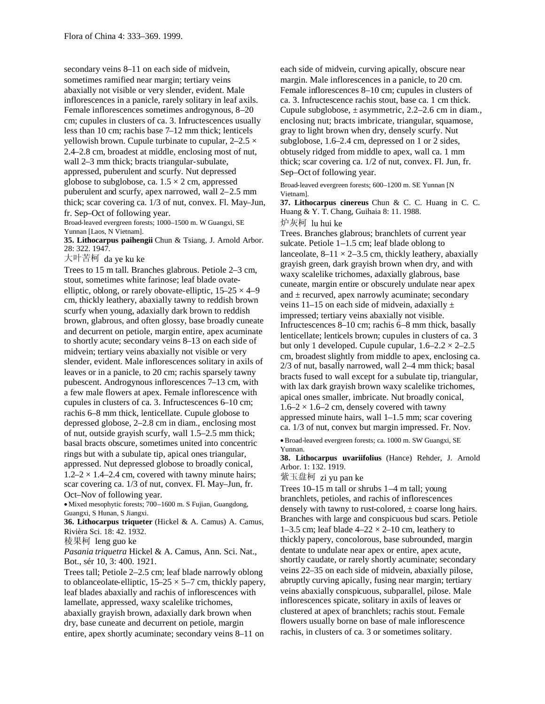secondary veins 8–11 on each side of midvein, sometimes ramified near margin; tertiary veins abaxially not visible or very slender, evident. Male inflorescences in a panicle, rarely solitary in leaf axils. Female inflorescences sometimes androgynous, 8–20 cm; cupules in clusters of ca. 3. Infructescences usually less than 10 cm; rachis base 7–12 mm thick; lenticels yellowish brown. Cupule turbinate to cupular,  $2-2.5 \times$ 2.4–2.8 cm, broadest at middle, enclosing most of nut, wall 2–3 mm thick; bracts triangular-subulate, appressed, puberulent and scurfy. Nut depressed globose to subglobose, ca.  $1.5 \times 2$  cm, appressed puberulent and scurfy, apex narrowed, wall 2–2.5 mm thick; scar covering ca. 1/3 of nut, convex. Fl. May–Jun, fr. Sep–Oct of following year.

Broad-leaved evergreen forests; 1000–1500 m. W Guangxi, SE Yunnan [Laos, N Vietnam].

**35. Lithocarpus paihengii** Chun & Tsiang, J. Arnold Arbor. 28: 322. 1947.

大叶苦柯 da ye ku ke

Trees to 15 m tall. Branches glabrous. Petiole 2–3 cm, stout, sometimes white farinose; leaf blade ovateelliptic, oblong, or rarely obovate-elliptic,  $15-25 \times 4-9$ cm, thickly leathery, abaxially tawny to reddish brown scurfy when young, adaxially dark brown to reddish brown, glabrous, and often glossy, base broadly cuneate and decurrent on petiole, margin entire, apex acuminate to shortly acute; secondary veins 8–13 on each side of midvein; tertiary veins abaxially not visible or very slender, evident. Male inflorescences solitary in axils of leaves or in a panicle, to 20 cm; rachis sparsely tawny pubescent. Androgynous inflorescences 7–13 cm, with a few male flowers at apex. Female inflorescence with cupules in clusters of ca. 3. Infructescences 6–10 cm; rachis 6–8 mm thick, lenticellate. Cupule globose to depressed globose, 2–2.8 cm in diam., enclosing most of nut, outside grayish scurfy, wall 1.5–2.5 mm thick; basal bracts obscure, sometimes united into concentric rings but with a subulate tip, apical ones triangular, appressed. Nut depressed globose to broadly conical,  $1.2-2 \times 1.4-2.4$  cm, covered with tawny minute hairs; scar covering ca. 1/3 of nut, convex. Fl. May–Jun, fr. Oct–Nov of following year.

Mixed mesophytic forests; 700–1600 m. S Fujian, Guangdong, Guangxi, S Hunan, S Jiangxi.

**36. Lithocarpus triqueter** (Hickel & A. Camus) A. Camus, Rivièra Sci. 18: 42. 1932.

棱果柯 leng guo ke

*Pasania triquetra* Hickel & A. Camus, Ann. Sci. Nat., Bot., sér 10, 3: 400. 1921.

Trees tall; Petiole 2–2.5 cm; leaf blade narrowly oblong to oblanceolate-elliptic,  $15-25 \times 5-7$  cm, thickly papery, leaf blades abaxially and rachis of inflorescences with lamellate, appressed, waxy scalelike trichomes, abaxially grayish brown, adaxially dark brown when dry, base cuneate and decurrent on petiole, margin entire, apex shortly acuminate; secondary veins 8–11 on

each side of midvein, curving apically, obscure near margin. Male inflorescences in a panicle, to 20 cm. Female inflorescences 8–10 cm; cupules in clusters of ca. 3. Infructescence rachis stout, base ca. 1 cm thick. Cupule subglobose,  $\pm$  asymmetric, 2.2–2.6 cm in diam. enclosing nut; bracts imbricate, triangular, squamose, gray to light brown when dry, densely scurfy. Nut subglobose, 1.6–2.4 cm, depressed on 1 or 2 sides, obtusely ridged from middle to apex, wall ca. 1 mm thick; scar covering ca. 1/2 of nut, convex. Fl. Jun, fr. Sep–Oct of following year.

Broad-leaved evergreen forests; 600–1200 m. SE Yunnan [N Vietnam].

**37. Lithocarpus cinereus** Chun & C. C. Huang in C. C. Huang & Y. T. Chang, Guihaia 8: 11. 1988.

炉灰柯 lu hui ke

Trees. Branches glabrous; branchlets of current year sulcate. Petiole 1–1.5 cm; leaf blade oblong to lanceolate,  $8-11 \times 2-3.5$  cm, thickly leathery, abaxially grayish green, dark grayish brown when dry, and with waxy scalelike trichomes, adaxially glabrous, base cuneate, margin entire or obscurely undulate near apex and  $\pm$  recurved, apex narrowly acuminate; secondary veins 11–15 on each side of midvein, adaxially  $\pm$ impressed; tertiary veins abaxially not visible. Infructescences 8–10 cm; rachis 6–8 mm thick, basally lenticellate; lenticels brown; cupules in clusters of ca. 3 but only 1 developed. Cupule cupular,  $1.6-2.2 \times 2-2.5$ cm, broadest slightly from middle to apex, enclosing ca. 2/3 of nut, basally narrowed, wall 2–4 mm thick; basal bracts fused to wall except for a subulate tip, triangular, with lax dark grayish brown waxy scalelike trichomes, apical ones smaller, imbricate. Nut broadly conical,  $1.6-2 \times 1.6-2$  cm, densely covered with tawny appressed minute hairs, wall 1–1.5 mm; scar covering ca. 1/3 of nut, convex but margin impressed. Fr. Nov.

Broad-leaved evergreen forests; ca. 1000 m. SW Guangxi, SE Yunnan.

**38. Lithocarpus uvariifolius** (Hance) Rehder, J. Arnold Arbor. 1: 132. 1919.

紫玉盘柯 zi yu pan ke

Trees 10–15 m tall or shrubs 1–4 m tall; young branchlets, petioles, and rachis of inflorescences densely with tawny to rust-colored,  $\pm$  coarse long hairs. Branches with large and conspicuous bud scars. Petiole 1–3.5 cm; leaf blade  $4-22 \times 2-10$  cm, leathery to thickly papery, concolorous, base subrounded, margin dentate to undulate near apex or entire, apex acute, shortly caudate, or rarely shortly acuminate; secondary veins 22–35 on each side of midvein, abaxially pilose, abruptly curving apically, fusing near margin; tertiary veins abaxially conspicuous, subparallel, pilose. Male inflorescences spicate, solitary in axils of leaves or clustered at apex of branchlets; rachis stout. Female flowers usually borne on base of male inflorescence rachis, in clusters of ca. 3 or sometimes solitary.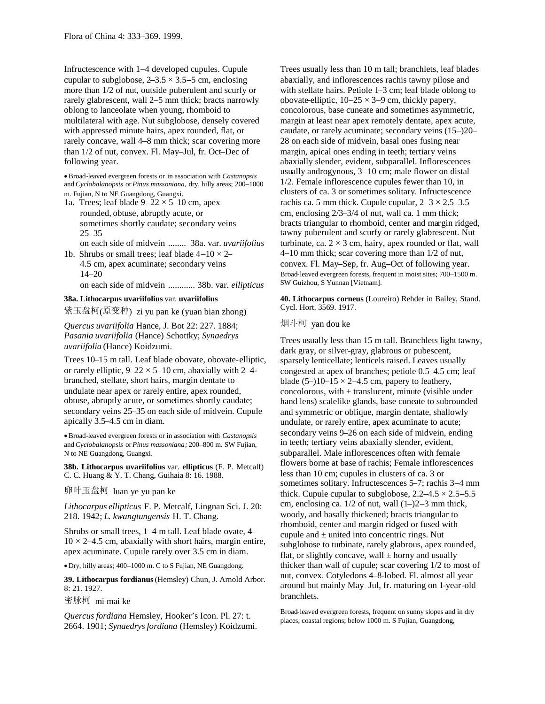Infructescence with 1–4 developed cupules. Cupule cupular to subglobose,  $2-3.5 \times 3.5-5$  cm, enclosing more than 1/2 of nut, outside puberulent and scurfy or rarely glabrescent, wall 2–5 mm thick; bracts narrowly oblong to lanceolate when young, rhomboid to multilateral with age. Nut subglobose, densely covered with appressed minute hairs, apex rounded, flat, or rarely concave, wall 4–8 mm thick; scar covering more than 1/2 of nut, convex. Fl. May–Jul, fr. Oct–Dec of following year.

Broad-leaved evergreen forests or in association with *Castanopsis* and *Cyclobalanopsis* or *Pinus massoniana,* dry, hilly areas; 200–1000 m. Fujian, N to NE Guangdong, Guangxi.

- 1a. Trees; leaf blade  $9-22 \times 5-10$  cm, apex rounded, obtuse, abruptly acute, or sometimes shortly caudate; secondary veins 25–35
	- on each side of midvein ........ 38a. var. *uvariifolius*

1b. Shrubs or small trees; leaf blade  $4-10 \times 2-$ 4.5 cm, apex acuminate; secondary veins 14–20

on each side of midvein ............ 38b. var. *ellipticus*

## **38a. Lithocarpus uvariifolius** var. **uvariifolius**

紫玉盘柯(原变种) zi yu pan ke (yuan bian zhong)

*Quercus uvariifolia* Hance, J. Bot 22: 227. 1884; *Pasania uvariifolia* (Hance) Schottky; *Synaedrys uvariifolia* (Hance) Koidzumi.

Trees 10–15 m tall. Leaf blade obovate, obovate-elliptic, or rarely elliptic,  $9-22 \times 5-10$  cm, abaxially with 2-4branched, stellate, short hairs, margin dentate to undulate near apex or rarely entire, apex rounded, obtuse, abruptly acute, or sometimes shortly caudate; secondary veins 25–35 on each side of midvein. Cupule apically 3.5–4.5 cm in diam.

Broad-leaved evergreen forests or in association with *Castanopsis* and *Cyclobalanopsis* or *Pinus massoniana;* 200–800 m. SW Fujian, N to NE Guangdong, Guangxi.

**38b. Lithocarpus uvariifolius** var. **ellipticus** (F. P. Metcalf) C. C. Huang & Y. T. Chang, Guihaia 8: 16. 1988.

卵叶玉盘柯 luan ye yu pan ke

*Lithocarpus ellipticus* F. P. Metcalf, Lingnan Sci. J. 20: 218. 1942; *L*. *kwangtungensis* H. T. Chang.

Shrubs or small trees, 1–4 m tall. Leaf blade ovate, 4–  $10 \times 2 - 4.5$  cm, abaxially with short hairs, margin entire, apex acuminate. Cupule rarely over 3.5 cm in diam.

Dry, hilly areas; 400–1000 m. C to S Fujian, NE Guangdong.

**39. Lithocarpus fordianus**(Hemsley) Chun, J. Arnold Arbor. 8: 21. 1927.

密脉柯 mi mai ke

*Quercus fordiana* Hemsley, Hooker's Icon. Pl. 27: t. 2664. 1901; *Synaedrysfordiana* (Hemsley) Koidzumi. Trees usually less than 10 m tall; branchlets, leaf blades abaxially, and inflorescences rachis tawny pilose and with stellate hairs. Petiole 1–3 cm; leaf blade oblong to obovate-elliptic,  $10-25 \times 3-9$  cm, thickly papery, concolorous, base cuneate and sometimes asymmetric, margin at least near apex remotely dentate, apex acute, caudate, or rarely acuminate; secondary veins (15–)20– 28 on each side of midvein, basal ones fusing near margin, apical ones ending in teeth; tertiary veins abaxially slender, evident, subparallel. Inflorescences usually androgynous, 3–10 cm; male flower on distal 1/2. Female inflorescence cupules fewer than 10, in clusters of ca. 3 or sometimes solitary. Infructescence rachis ca. 5 mm thick. Cupule cupular,  $2-3 \times 2.5-3.5$ cm, enclosing 2/3–3/4 of nut, wall ca. 1 mm thick; bracts triangular to rhomboid, center and margin ridged, tawny puberulent and scurfy or rarely glabrescent. Nut turbinate, ca.  $2 \times 3$  cm, hairy, apex rounded or flat, wall 4–10 mm thick; scar covering more than 1/2 of nut, convex. Fl. May–Sep, fr. Aug–Oct of following year. Broad-leaved evergreen forests, frequent in moist sites; 700–1500 m. SW Guizhou, S Yunnan [Vietnam].

**40. Lithocarpus corneus** (Loureiro) Rehder in Bailey, Stand. Cycl. Hort. 3569. 1917.

## 烟斗柯 yan dou ke

Trees usually less than 15 m tall. Branchlets light tawny, dark gray, or silver-gray, glabrous or pubescent, sparsely lenticellate; lenticels raised. Leaves usually congested at apex of branches; petiole 0.5–4.5 cm; leaf blade  $(5-)10-15 \times 2-4.5$  cm, papery to leathery, concolorous, with  $\pm$  translucent, minute (visible under hand lens) scalelike glands, base cuneate to subrounded and symmetric or oblique, margin dentate, shallowly undulate, or rarely entire, apex acuminate to acute; secondary veins 9–26 on each side of midvein, ending in teeth; tertiary veins abaxially slender, evident, subparallel. Male inflorescences often with female flowers borne at base of rachis; Female inflorescences less than 10 cm; cupules in clusters of ca. 3 or sometimes solitary. Infructescences 5–7; rachis 3–4 mm thick. Cupule cupular to subglobose,  $2.2-4.5 \times 2.5-5.5$ cm, enclosing ca.  $1/2$  of nut, wall  $(1–)2–3$  mm thick, woody, and basally thickened; bracts triangular to rhomboid, center and margin ridged or fused with cupule and  $\pm$  united into concentric rings. Nut subglobose to turbinate, rarely glabrous, apex rounded, flat, or slightly concave, wall  $\pm$  horny and usually thicker than wall of cupule; scar covering 1/2 to most of nut, convex. Cotyledons 4–8-lobed. Fl. almost all year around but mainly May–Jul, fr. maturing on 1-year-old branchlets.

Broad-leaved evergreen forests, frequent on sunny slopes and in dry places, coastal regions; below 1000 m. S Fujian, Guangdong,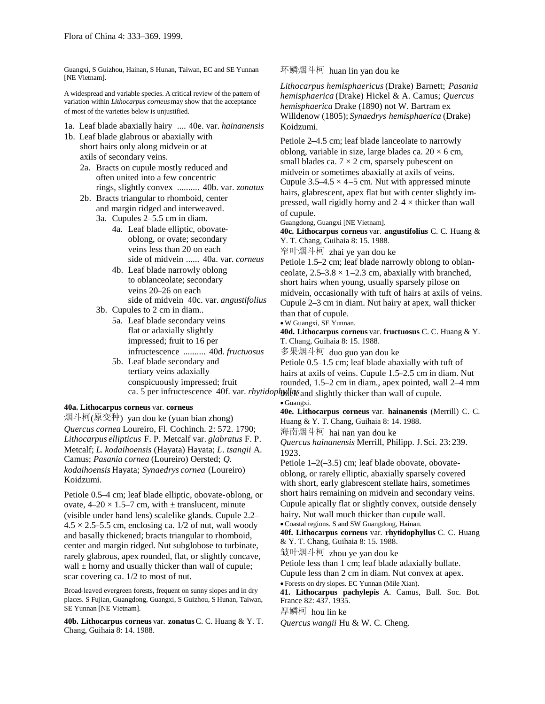Guangxi, S Guizhou, Hainan, S Hunan, Taiwan, EC and SE Yunnan [NE Vietnam].

A widespread and variable species. A critical review of the pattern of variation within *Lithocarpus corneus*may show that the acceptance of most of the varieties below is unjustified.

1a. Leaf blade abaxially hairy .... 40e. var. *hainanensis*

- 1b. Leaf blade glabrous or abaxially with short hairs only along midvein or at axils of secondary veins.
	- 2a. Bracts on cupule mostly reduced and often united into a few concentric rings, slightly convex .......... 40b. var. *zonatus*
	- 2b. Bracts triangular to rhomboid, center and margin ridged and interweaved.
		- 3a. Cupules 2–5.5 cm in diam.
			- 4a. Leaf blade elliptic, obovateoblong, or ovate; secondary veins less than 20 on each side of midvein ...... 40a. var. *corneus*
			- 4b. Leaf blade narrowly oblong to oblanceolate; secondary veins 20–26 on each side of midvein 40c. var. *angustifolius*
		- 3b. Cupules to 2 cm in diam..
			- 5a. Leaf blade secondary veins flat or adaxially slightly impressed; fruit to 16 per infructescence .......... 40d. *fructuosus*
			- 5b. Leaf blade secondary and tertiary veins adaxially conspicuously impressed; fruit ca. 5 per infructescence 40f. var. *rhytidophyllus* and slightly thicker than wall of cupule.

#### **40a. Lithocarpus corneus** var. **corneus**

烟斗柯(原变种) yan dou ke (yuan bian zhong) *Quercus cornea* Loureiro, Fl. Cochinch. 2: 572. 1790; *Lithocarpus ellipticus* F. P. Metcalf var. *glabratus* F. P. Metcalf; *L*. *kodaihoensis* (Hayata) Hayata; *L*. *tsangii* A. Camus; *Pasania cornea* (Loureiro) Oersted; *Q. kodaihoensis* Hayata; *Synaedrys cornea* (Loureiro) Koidzumi.

Petiole 0.5–4 cm; leaf blade elliptic, obovate-oblong, or ovate,  $4-20 \times 1.5-7$  cm, with  $\pm$  translucent, minute (visible under hand lens) scalelike glands. Cupule 2.2–  $4.5 \times 2.5$ –5.5 cm, enclosing ca. 1/2 of nut, wall woody and basally thickened; bracts triangular to rhomboid, center and margin ridged. Nut subglobose to turbinate, rarely glabrous, apex rounded, flat, or slightly concave, wall  $\pm$  horny and usually thicker than wall of cupule; scar covering ca. 1/2 to most of nut.

Broad-leaved evergreen forests, frequent on sunny slopes and in dry places. S Fujian, Guangdong, Guangxi, S Guizhou, S Hunan, Taiwan, SE Yunnan [NE Vietnam].

**40b. Lithocarpus corneus** var. **zonatus**C. C. Huang & Y. T. Chang, Guihaia 8: 14. 1988.

环鳞烟斗柯 huan lin yan dou ke

*Lithocarpus hemisphaericus*(Drake) Barnett; *Pasania hemisphaerica* (Drake) Hickel & A. Camus; *Quercus hemisphaerica* Drake (1890) not W. Bartram ex Willdenow (1805); *Synaedrys hemisphaerica* (Drake) Koidzumi.

Petiole 2–4.5 cm; leaf blade lanceolate to narrowly oblong, variable in size, large blades ca.  $20 \times 6$  cm, small blades ca.  $7 \times 2$  cm, sparsely pubescent on midvein or sometimes abaxially at axils of veins. Cupule  $3.5-4.5 \times 4-5$  cm. Nut with appressed minute hairs, glabrescent, apex flat but with center slightly impressed, wall rigidly horny and  $2-4 \times$  thicker than wall of cupule.

Guangdong, Guangxi [NE Vietnam].

**40c. Lithocarpus corneus** var. **angustifolius** C. C. Huang & Y. T. Chang, Guihaia 8: 15. 1988.

窄叶烟斗柯 zhai ye yan dou ke

Petiole 1.5–2 cm; leaf blade narrowly oblong to oblanceolate,  $2.5-3.8 \times 1-2.3$  cm, abaxially with branched, short hairs when young, usually sparsely pilose on midvein, occasionally with tuft of hairs at axils of veins. Cupule 2–3 cm in diam. Nut hairy at apex, wall thicker than that of cupule.

W Guangxi, SE Yunnan.

**40d. Lithocarpus corneus** var. **fructuosus** C. C. Huang & Y. T. Chang, Guihaia 8: 15. 1988.

多果烟斗柯 duo guo yan dou ke

Petiole 0.5–1.5 cm; leaf blade abaxially with tuft of hairs at axils of veins. Cupule 1.5–2.5 cm in diam. Nut rounded, 1.5–2 cm in diam., apex pointed, wall 2–4 mm

Guangxi.

**40e. Lithocarpus corneus** var. **hainanensis** (Merrill) C. C. Huang & Y. T. Chang, Guihaia 8: 14. 1988.

海南烟斗柯 hai nan yan dou ke

*Quercus hainanensis* Merrill, Philipp. J.Sci. 23: 239. 1923.

Petiole 1–2(–3.5) cm; leaf blade obovate, obovateoblong, or rarely elliptic, abaxially sparsely covered with short, early glabrescent stellate hairs, sometimes short hairs remaining on midvein and secondary veins. Cupule apically flat or slightly convex, outside densely hairy. Nut wall much thicker than cupule wall.

Coastal regions. S and SW Guangdong, Hainan.

**40f. Lithocarpus corneus** var. **rhytidophyllus** C. C. Huang & Y. T. Chang, Guihaia 8: 15. 1988.

皱叶烟斗柯 zhou ye yan dou ke

Petiole less than 1 cm; leaf blade adaxially bullate.

Cupule less than 2 cm in diam. Nut convex at apex.

Forests on dry slopes. EC Yunnan (Mile Xian).

**41. Lithocarpus pachylepis** A. Camus, Bull. Soc. Bot. France 82: 437. 1935.

厚鳞柯 hou lin ke

*Quercus wangii* Hu & W. C. Cheng.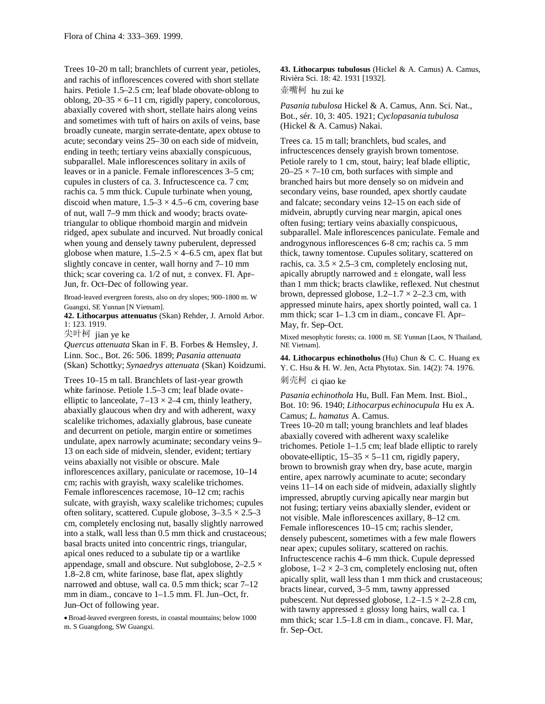Trees 10–20 m tall; branchlets of current year, petioles, and rachis of inflorescences covered with short stellate hairs. Petiole 1.5–2.5 cm; leaf blade obovate-oblong to oblong,  $20-35 \times 6-11$  cm, rigidly papery, concolorous, abaxially covered with short, stellate hairs along veins and sometimes with tuft of hairs on axils of veins, base broadly cuneate, margin serrate-dentate, apex obtuse to acute; secondary veins 25–30 on each side of midvein, ending in teeth; tertiary veins abaxially conspicuous, subparallel. Male inflorescences solitary in axils of leaves or in a panicle. Female inflorescences 3–5 cm; cupules in clusters of ca. 3. Infructescence ca. 7 cm; rachis ca. 5 mm thick. Cupule turbinate when young, discoid when mature,  $1.5-3 \times 4.5-6$  cm, covering base of nut, wall 7–9 mm thick and woody; bracts ovatetriangular to oblique rhomboid margin and midvein ridged, apex subulate and incurved. Nut broadly conical when young and densely tawny puberulent, depressed globose when mature,  $1.5-2.5 \times 4-6.5$  cm, apex flat but slightly concave in center, wall horny and 7–10 mm thick; scar covering ca.  $1/2$  of nut,  $\pm$  convex. Fl. Apr-Jun, fr. Oct–Dec of following year.

Broad-leaved evergreen forests, also on dry slopes; 900–1800 m. W Guangxi, SE Yunnan [N Vietnam].

**42. Lithocarpus attenuatus** (Skan) Rehder, J. Arnold Arbor. 1: 123. 1919.

尖叶柯 jian ye ke

*Quercus attenuata* Skan in F. B. Forbes & Hemsley, J. Linn. Soc., Bot. 26: 506. 1899; *Pasania attenuata* (Skan) Schottky; *Synaedrys attenuata* (Skan) Koidzumi.

Trees 10–15 m tall. Branchlets of last-year growth white farinose. Petiole 1.5–3 cm; leaf blade ovateelliptic to lanceolate,  $7-13 \times 2-4$  cm, thinly leathery, abaxially glaucous when dry and with adherent, waxy scalelike trichomes, adaxially glabrous, base cuneate and decurrent on petiole, margin entire or sometimes undulate, apex narrowly acuminate; secondary veins 9– 13 on each side of midvein, slender, evident; tertiary veins abaxially not visible or obscure. Male inflorescences axillary, paniculate or racemose, 10–14 cm; rachis with grayish, waxy scalelike trichomes. Female inflorescences racemose, 10–12 cm; rachis sulcate, with grayish, waxy scalelike trichomes; cupules often solitary, scattered. Cupule globose,  $3-3.5 \times 2.5-3$ cm, completely enclosing nut, basally slightly narrowed into a stalk, wall less than 0.5 mm thick and crustaceous; basal bracts united into concentric rings, triangular, apical ones reduced to a subulate tip or a wartlike appendage, small and obscure. Nut subglobose,  $2-2.5 \times$ 1.8–2.8 cm, white farinose, base flat, apex slightly narrowed and obtuse, wall ca. 0.5 mm thick; scar 7–12 mm in diam., concave to 1–1.5 mm. Fl. Jun–Oct, fr. Jun–Oct of following year.

Broad-leaved evergreen forests, in coastal mountains; below 1000 m. S Guangdong, SW Guangxi.

**43. Lithocarpus tubulosus** (Hickel & A. Camus) A. Camus, Rivièra Sci. 18: 42. 1931 [1932].

壶嘴柯 hu zui ke

*Pasania tubulosa* Hickel & A. Camus, Ann. Sci. Nat., Bot., sér. 10, 3: 405. 1921; *Cyclopasania tubulosa* (Hickel & A. Camus) Nakai.

Trees ca. 15 m tall; branchlets, bud scales, and infructescences densely grayish brown tomentose. Petiole rarely to 1 cm, stout, hairy; leaf blade elliptic,  $20-25 \times 7-10$  cm, both surfaces with simple and branched hairs but more densely so on midvein and secondary veins, base rounded, apex shortly caudate and falcate; secondary veins 12–15 on each side of midvein, abruptly curving near margin, apical ones often fusing; tertiary veins abaxially conspicuous, subparallel. Male inflorescences paniculate. Female and androgynous inflorescences 6–8 cm; rachis ca. 5 mm thick, tawny tomentose. Cupules solitary, scattered on rachis, ca.  $3.5 \times 2.5$ –3 cm, completely enclosing nut, apically abruptly narrowed and  $\pm$  elongate, wall less than 1 mm thick; bracts clawlike, reflexed. Nut chestnut brown, depressed globose,  $1.2-1.7 \times 2-2.3$  cm, with appressed minute hairs, apex shortly pointed, wall ca. 1 mm thick; scar 1–1.3 cm in diam., concave Fl. Apr– May, fr. Sep–Oct.

Mixed mesophytic forests; ca. 1000 m. SE Yunnan [Laos, N Thailand, NE Vietnam].

**44. Lithocarpus echinotholus** (Hu) Chun & C. C. Huang ex Y. C. Hsu & H. W. Jen, Acta Phytotax. Sin. 14(2): 74. 1976. 刺壳柯 ci qiao ke

*Pasania echinothola* Hu, Bull. Fan Mem. Inst. Biol., Bot. 10: 96. 1940; *Lithocarpus echinocupula* Hu ex A. Camus; *L*. *hamatus* A. Camus.

Trees 10–20 m tall; young branchlets and leaf blades abaxially covered with adherent waxy scalelike trichomes. Petiole 1–1.5 cm; leaf blade elliptic to rarely obovate-elliptic,  $15-35 \times 5-11$  cm, rigidly papery, brown to brownish gray when dry, base acute, margin entire, apex narrowly acuminate to acute; secondary veins 11–14 on each side of midvein, adaxially slightly impressed, abruptly curving apically near margin but not fusing; tertiary veins abaxially slender, evident or not visible. Male inflorescences axillary, 8–12 cm. Female inflorescences 10–15 cm; rachis slender, densely pubescent, sometimes with a few male flowers near apex; cupules solitary, scattered on rachis. Infructescence rachis 4–6 mm thick. Cupule depressed globose,  $1-2 \times 2-3$  cm, completely enclosing nut, often apically split, wall less than 1 mm thick and crustaceous; bracts linear, curved, 3–5 mm, tawny appressed pubescent. Nut depressed globose,  $1.2-1.5 \times 2-2.8$  cm, with tawny appressed  $\pm$  glossy long hairs, wall ca. 1 mm thick; scar 1.5–1.8 cm in diam., concave. Fl. Mar, fr. Sep–Oct.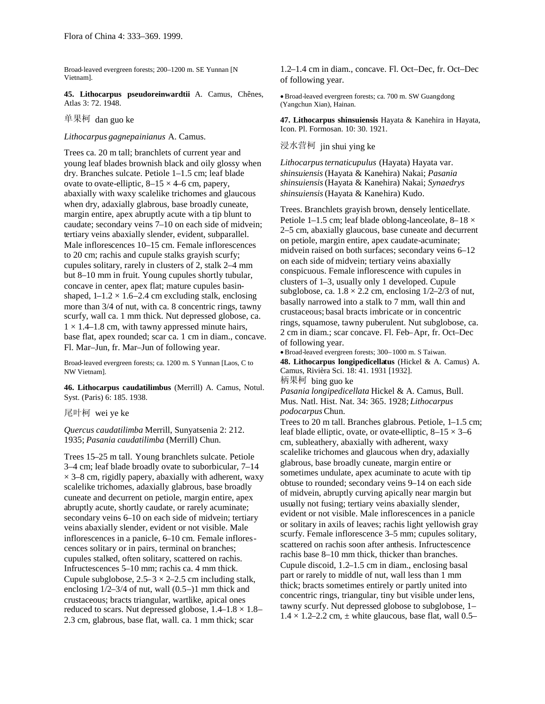Broad-leaved evergreen forests; 200–1200 m. SE Yunnan [N Vietnam].

**45. Lithocarpus pseudoreinwardtii** A. Camus, Chênes, Atlas 3: 72. 1948.

单果柯 dan guo ke

#### *Lithocarpus gagnepainianus* A. Camus.

Trees ca. 20 m tall; branchlets of current year and young leaf blades brownish black and oily glossy when dry. Branches sulcate. Petiole 1–1.5 cm; leaf blade ovate to ovate-elliptic,  $8-15 \times 4-6$  cm, papery, abaxially with waxy scalelike trichomes and glaucous when dry, adaxially glabrous, base broadly cuneate, margin entire, apex abruptly acute with a tip blunt to caudate; secondary veins 7–10 on each side of midvein; tertiary veins abaxially slender, evident, subparallel. Male inflorescences 10–15 cm. Female inflorescences to 20 cm; rachis and cupule stalks grayish scurfy; cupules solitary, rarely in clusters of 2, stalk 2–4 mm but 8–10 mm in fruit. Young cupules shortly tubular, concave in center, apex flat; mature cupules basinshaped,  $1-1.2 \times 1.6-2.4$  cm excluding stalk, enclosing more than 3/4 of nut, with ca. 8 concentric rings, tawny scurfy, wall ca. 1 mm thick. Nut depressed globose, ca.  $1 \times 1.4$ –1.8 cm, with tawny appressed minute hairs, base flat, apex rounded; scar ca. 1 cm in diam., concave. Fl. Mar–Jun, fr. Mar–Jun of following year.

Broad-leaved evergreen forests; ca. 1200 m. S Yunnan [Laos, C to NW Vietnam].

**46. Lithocarpus caudatilimbus** (Merrill) A. Camus, Notul. Syst. (Paris) 6: 185. 1938.

尾叶柯 wei ye ke

*Quercus caudatilimba* Merrill, Sunyatsenia 2: 212. 1935; *Pasania caudatilimba* (Merrill) Chun.

Trees 15–25 m tall. Young branchlets sulcate. Petiole 3–4 cm; leaf blade broadly ovate to suborbicular, 7–14  $\times$  3–8 cm, rigidly papery, abaxially with adherent, waxy scalelike trichomes, adaxially glabrous, base broadly cuneate and decurrent on petiole, margin entire, apex abruptly acute, shortly caudate, or rarely acuminate; secondary veins 6–10 on each side of midvein; tertiary veins abaxially slender, evident or not visible. Male inflorescences in a panicle, 6–10 cm. Female inflorescences solitary or in pairs, terminal on branches; cupules stalked, often solitary, scattered on rachis. Infructescences 5–10 mm; rachis ca. 4 mm thick. Cupule subglobose,  $2.5-3 \times 2-2.5$  cm including stalk, enclosing 1/2–3/4 of nut, wall (0.5–)1 mm thick and crustaceous; bracts triangular, wartlike, apical ones reduced to scars. Nut depressed globose,  $1.4$ – $1.8 \times 1.8$ – 2.3 cm, glabrous, base flat, wall. ca. 1 mm thick; scar

1.2–1.4 cm in diam., concave. Fl. Oct–Dec, fr. Oct–Dec of following year.

Broad-leaved evergreen forests; ca. 700 m. SW Guangdong (Yangchun Xian), Hainan.

**47. Lithocarpus shinsuiensis** Hayata & Kanehira in Hayata, Icon. Pl. Formosan. 10: 30. 1921.

# 浸水营柯 jin shui ying ke

*Lithocarpusternaticupulus* (Hayata) Hayata var. *shinsuiensis* (Hayata & Kanehira) Nakai; *Pasania shinsuiensis*(Hayata & Kanehira) Nakai; *Synaedrys shinsuiensis*(Hayata & Kanehira) Kudo.

Trees. Branchlets grayish brown, densely lenticellate. Petiole 1–1.5 cm; leaf blade oblong-lanceolate, 8–18 × 2–5 cm, abaxially glaucous, base cuneate and decurrent on petiole, margin entire, apex caudate-acuminate; midvein raised on both surfaces; secondary veins 6–12 on each side of midvein; tertiary veins abaxially conspicuous. Female inflorescence with cupules in clusters of 1–3, usually only 1 developed. Cupule subglobose, ca.  $1.8 \times 2.2$  cm, enclosing  $1/2-2/3$  of nut, basally narrowed into a stalk to 7 mm, wall thin and crustaceous; basal bracts imbricate or in concentric rings, squamose, tawny puberulent. Nut subglobose, ca. 2 cm in diam.; scar concave. Fl. Feb–Apr, fr. Oct–Dec of following year.

Broad-leaved evergreen forests; 300–1000 m. S Taiwan. **48. Lithocarpus longipedicellatus** (Hickel & A. Camus) A. Camus, Rivièra Sci. 18: 41. 1931 [1932]. 柄果柯 bing guo ke

*Pasania longipedicellata* Hickel & A. Camus, Bull. Mus. Natl. Hist. Nat. 34: 365. 1928; *Lithocarpus podocarpus* Chun.

Trees to 20 m tall. Branches glabrous. Petiole, 1–1.5 cm; leaf blade elliptic, ovate, or ovate-elliptic,  $8-15 \times 3-6$ cm, subleathery, abaxially with adherent, waxy scalelike trichomes and glaucous when dry, adaxially glabrous, base broadly cuneate, margin entire or sometimes undulate, apex acuminate to acute with tip obtuse to rounded; secondary veins 9–14 on each side of midvein, abruptly curving apically near margin but usually not fusing; tertiary veins abaxially slender, evident or not visible. Male inflorescences in a panicle or solitary in axils of leaves; rachis light yellowish gray scurfy. Female inflorescence 3–5 mm; cupules solitary, scattered on rachis soon after anthesis. Infructescence rachis base 8–10 mm thick, thicker than branches. Cupule discoid, 1.2–1.5 cm in diam., enclosing basal part or rarely to middle of nut, wall less than 1 mm thick; bracts sometimes entirely or partly united into concentric rings, triangular, tiny but visible under lens, tawny scurfy. Nut depressed globose to subglobose, 1–  $1.4 \times 1.2{\text -}2.2$  cm,  $\pm$  white glaucous, base flat, wall 0.5–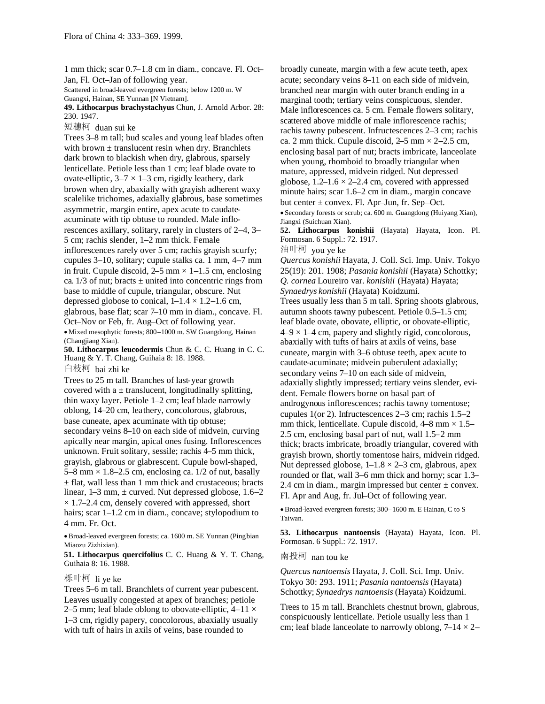1 mm thick; scar 0.7–1.8 cm in diam., concave. Fl. Oct– Jan, Fl. Oct–Jan of following year.

Scattered in broad-leaved evergreen forests; below 1200 m. W Guangxi, Hainan, SE Yunnan [N Vietnam].

**49. Lithocarpus brachystachyus** Chun, J. Arnold Arbor. 28: 230. 1947.

短穗柯 duan sui ke

Trees 3–8 m tall; bud scales and young leaf blades often with brown  $\pm$  translucent resin when dry. Branchlets dark brown to blackish when dry, glabrous, sparsely lenticellate. Petiole less than 1 cm; leaf blade ovate to ovate-elliptic,  $3-7 \times 1-3$  cm, rigidly leathery, dark brown when dry, abaxially with grayish adherent waxy scalelike trichomes, adaxially glabrous, base sometimes asymmetric, margin entire, apex acute to caudateacuminate with tip obtuse to rounded. Male inflorescences axillary, solitary, rarely in clusters of 2–4, 3– 5 cm; rachis slender, 1–2 mm thick. Female inflorescences rarely over 5 cm; rachis grayish scurfy; cupules 3–10, solitary; cupule stalks ca. 1 mm, 4–7 mm in fruit. Cupule discoid,  $2-5$  mm  $\times$  1–1.5 cm, enclosing ca.  $1/3$  of nut; bracts  $\pm$  united into concentric rings from base to middle of cupule, triangular, obscure. Nut depressed globose to conical,  $1-1.4 \times 1.2-1.6$  cm, glabrous, base flat; scar 7–10 mm in diam., concave. Fl. Oct–Nov or Feb, fr. Aug–Oct of following year. Mixed mesophytic forests; 800–1000 m. SW Guangdong, Hainan (Changjiang Xian).

**50. Lithocarpus leucodermis** Chun & C. C. Huang in C. C. Huang & Y. T. Chang, Guihaia 8: 18. 1988.

白枝柯 bai zhi ke

Trees to 25 m tall. Branches of last-year growth covered with a  $\pm$  translucent, longitudinally splitting, thin waxy layer. Petiole 1–2 cm; leaf blade narrowly oblong, 14–20 cm, leathery, concolorous, glabrous, base cuneate, apex acuminate with tip obtuse; secondary veins 8–10 on each side of midvein, curving apically near margin, apical ones fusing. Inflorescences unknown. Fruit solitary, sessile; rachis 4–5 mm thick, grayish, glabrous or glabrescent. Cupule bowl-shaped, 5–8 mm  $\times$  1.8–2.5 cm, enclosing ca. 1/2 of nut, basally  $\pm$  flat, wall less than 1 mm thick and crustaceous; bracts linear,  $1-3$  mm,  $\pm$  curved. Nut depressed globose,  $1.6-2$  $\times$  1.7–2.4 cm, densely covered with appressed, short hairs; scar 1–1.2 cm in diam., concave; stylopodium to 4 mm. Fr. Oct.

Broad-leaved evergreen forests; ca. 1600 m. SE Yunnan (Pingbian Miaozu Zizhixian).

**51. Lithocarpus quercifolius** C. C. Huang & Y. T. Chang, Guihaia 8: 16. 1988.

## 栎叶柯 li ye ke

Trees 5–6 m tall. Branchlets of current year pubescent. Leaves usually congested at apex of branches; petiole 2–5 mm; leaf blade oblong to obovate-elliptic,  $4-11 \times$ 1–3 cm, rigidly papery, concolorous, abaxially usually with tuft of hairs in axils of veins, base rounded to

broadly cuneate, margin with a few acute teeth, apex acute; secondary veins 8–11 on each side of midvein, branched near margin with outer branch ending in a marginal tooth; tertiary veins conspicuous, slender. Male inflorescences ca. 5 cm. Female flowers solitary, scattered above middle of male inflorescence rachis; rachis tawny pubescent. Infructescences 2–3 cm; rachis ca. 2 mm thick. Cupule discoid,  $2-5$  mm  $\times$   $2-2.5$  cm, enclosing basal part of nut; bracts imbricate, lanceolate when young, rhomboid to broadly triangular when mature, appressed, midvein ridged. Nut depressed globose,  $1.2-1.6 \times 2-2.4$  cm, covered with appressed minute hairs; scar 1.6–2 cm in diam., margin concave but center ± convex. Fl. Apr–Jun, fr. Sep–Oct. Secondary forests or scrub; ca. 600 m. Guangdong (Huiyang Xian),

Jiangxi (Suichuan Xian). **52. Lithocarpus konishii** (Hayata) Hayata, Icon. Pl. Formosan. 6 Suppl.: 72. 1917.

油叶柯 you ye ke

*Quercus konishii* Hayata, J. Coll. Sci. Imp. Univ. Tokyo 25(19): 201. 1908; *Pasania konishii* (Hayata) Schottky; *Q. cornea* Loureiro var. *konishii* (Hayata) Hayata; *Synaedrys konishii* (Hayata) Koidzumi.

Trees usually less than 5 m tall. Spring shoots glabrous, autumn shoots tawny pubescent. Petiole 0.5–1.5 cm; leaf blade ovate, obovate, elliptic, or obovate-elliptic,  $4-9 \times 1-4$  cm, papery and slightly rigid, concolorous, abaxially with tufts of hairs at axils of veins, base cuneate, margin with 3–6 obtuse teeth, apex acute to caudate-acuminate; midvein puberulent adaxially; secondary veins 7–10 on each side of midvein, adaxially slightly impressed; tertiary veins slender, evident. Female flowers borne on basal part of androgynous inflorescences; rachis tawny tomentose; cupules 1(or 2). Infructescences 2–3 cm; rachis 1.5–2 mm thick, lenticellate. Cupule discoid,  $4-8$  mm  $\times$  1.5– 2.5 cm, enclosing basal part of nut, wall 1.5–2 mm thick; bracts imbricate, broadly triangular, covered with grayish brown, shortly tomentose hairs, midvein ridged. Nut depressed globose,  $1-1.8 \times 2-3$  cm, glabrous, apex rounded or flat, wall 3–6 mm thick and horny; scar 1.3– 2.4 cm in diam., margin impressed but center  $\pm$  convex. Fl. Apr and Aug, fr. Jul–Oct of following year.

Broad-leaved evergreen forests; 300–1600 m. E Hainan, C to S Taiwan.

**53. Lithocarpus nantoensis** (Hayata) Hayata, Icon. Pl. Formosan. 6 Suppl.: 72. 1917.

## 南投柯 nan tou ke

*Quercus nantoensis* Hayata, J. Coll. Sci. Imp. Univ. Tokyo 30: 293. 1911; *Pasania nantoensis* (Hayata) Schottky; *Synaedrys nantoensis* (Hayata) Koidzumi.

Trees to 15 m tall. Branchlets chestnut brown, glabrous, conspicuously lenticellate. Petiole usually less than 1 cm; leaf blade lanceolate to narrowly oblong,  $7-14 \times 2-$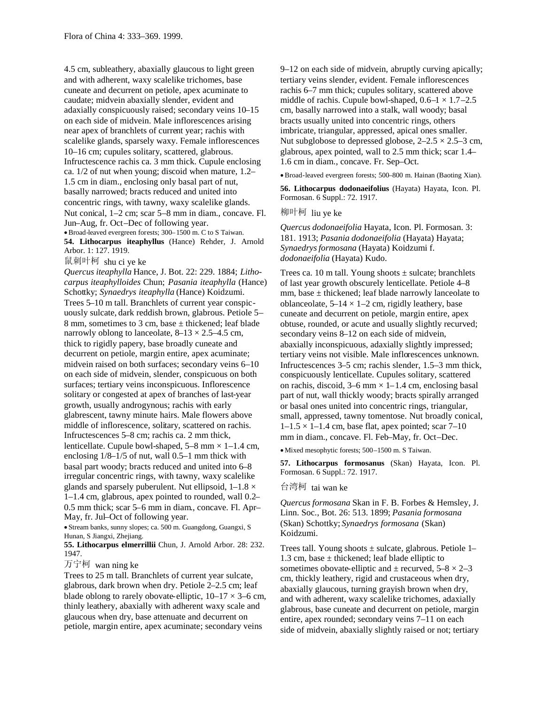4.5 cm, subleathery, abaxially glaucous to light green and with adherent, waxy scalelike trichomes, base cuneate and decurrent on petiole, apex acuminate to caudate; midvein abaxially slender, evident and adaxially conspicuously raised; secondary veins 10–15 on each side of midvein. Male inflorescences arising near apex of branchlets of current year; rachis with scalelike glands, sparsely waxy. Female inflorescences 10–16 cm; cupules solitary, scattered, glabrous. Infructescence rachis ca. 3 mm thick. Cupule enclosing ca. 1/2 of nut when young; discoid when mature, 1.2– 1.5 cm in diam., enclosing only basal part of nut, basally narrowed; bracts reduced and united into concentric rings, with tawny, waxy scalelike glands. Nut conical, 1–2 cm; scar 5–8 mm in diam., concave. Fl. Jun–Aug, fr. Oct–Dec of following year. Broad-leaved evergreen forests; 300–1500 m. C to S Taiwan.

**54. Lithocarpus iteaphyllus** (Hance) Rehder, J. Arnold Arbor. 1: 127. 1919.

鼠刺叶柯 shu ci ye ke

*Quercus iteaphylla* Hance, J. Bot. 22: 229. 1884; *Lithocarpus iteaphylloides* Chun; *Pasania iteaphylla* (Hance) Schottky; *Synaedrys iteaphylla* (Hance) Koidzumi. Trees 5–10 m tall. Branchlets of current year conspicuously sulcate, dark reddish brown, glabrous. Petiole 5– 8 mm, sometimes to 3 cm, base ± thickened; leaf blade narrowly oblong to lanceolate,  $8-13 \times 2.5-4.5$  cm, thick to rigidly papery, base broadly cuneate and decurrent on petiole, margin entire, apex acuminate; midvein raised on both surfaces; secondary veins 6–10 on each side of midvein, slender, conspicuous on both surfaces; tertiary veins inconspicuous. Inflorescence solitary or congested at apex of branches of last-year growth, usually androgynous; rachis with early glabrescent, tawny minute hairs. Male flowers above middle of inflorescence, solitary, scattered on rachis. Infructescences 5–8 cm; rachis ca. 2 mm thick, lenticellate. Cupule bowl-shaped,  $5-8$  mm  $\times$  1–1.4 cm, enclosing 1/8–1/5 of nut, wall 0.5–1 mm thick with basal part woody; bracts reduced and united into 6–8 irregular concentric rings, with tawny, waxy scalelike glands and sparsely puberulent. Nut ellipsoid,  $1-1.8 \times$ 1–1.4 cm, glabrous, apex pointed to rounded, wall 0.2– 0.5 mm thick; scar 5–6 mm in diam., concave. Fl. Apr– May, fr. Jul–Oct of following year.

Stream banks, sunny slopes; ca. 500 m. Guangdong, Guangxi, S Hunan, S Jiangxi, Zhejiang.

**55. Lithocarpus elmerrillii** Chun, J. Arnold Arbor. 28: 232. 1947.

万宁柯 wan ning ke

Trees to 25 m tall. Branchlets of current year sulcate, glabrous, dark brown when dry. Petiole 2–2.5 cm; leaf blade oblong to rarely obovate-elliptic,  $10-17 \times 3-6$  cm, thinly leathery, abaxially with adherent waxy scale and glaucous when dry, base attenuate and decurrent on petiole, margin entire, apex acuminate; secondary veins

9–12 on each side of midvein, abruptly curving apically; tertiary veins slender, evident. Female inflorescences rachis 6–7 mm thick; cupules solitary, scattered above middle of rachis. Cupule bowl-shaped,  $0.6-1 \times 1.7-2.5$ cm, basally narrowed into a stalk, wall woody; basal bracts usually united into concentric rings, others imbricate, triangular, appressed, apical ones smaller. Nut subglobose to depressed globose,  $2-2.5 \times 2.5-3$  cm, glabrous, apex pointed, wall to 2.5 mm thick; scar 1.4– 1.6 cm in diam., concave. Fr. Sep–Oct.

Broad-leaved evergreen forests; 500–800 m. Hainan (Baoting Xian).

**56. Lithocarpus dodonaeifolius** (Hayata) Hayata, Icon. Pl. Formosan. 6 Suppl.: 72. 1917.

柳叶柯 liu ye ke

*Quercus dodonaeifolia* Hayata, Icon. Pl. Formosan. 3: 181. 1913; *Pasania dodonaeifolia* (Hayata) Hayata; *Synaedrysformosana* (Hayata) Koidzumi f. *dodonaeifolia* (Hayata) Kudo.

Trees ca. 10 m tall. Young shoots  $\pm$  sulcate; branchlets of last year growth obscurely lenticellate. Petiole 4–8 mm, base  $\pm$  thickened; leaf blade narrowly lanceolate to oblanceolate,  $5-14 \times 1-2$  cm, rigidly leathery, base cuneate and decurrent on petiole, margin entire, apex obtuse, rounded, or acute and usually slightly recurved; secondary veins 8–12 on each side of midvein, abaxially inconspicuous, adaxially slightly impressed; tertiary veins not visible. Male inflorescences unknown. Infructescences 3–5 cm; rachis slender, 1.5–3 mm thick, conspicuously lenticellate. Cupules solitary, scattered on rachis, discoid,  $3-6$  mm  $\times$  1–1.4 cm, enclosing basal part of nut, wall thickly woody; bracts spirally arranged or basal ones united into concentric rings, triangular, small, appressed, tawny tomentose. Nut broadly conical,  $1-1.5 \times 1-1.4$  cm, base flat, apex pointed; scar  $7-10$ mm in diam., concave. Fl. Feb–May, fr. Oct–Dec.

Mixed mesophytic forests; 500–1500 m. S Taiwan.

**57. Lithocarpus formosanus** (Skan) Hayata, Icon. Pl. Formosan. 6 Suppl.: 72. 1917.

#### 台湾柯 tai wan ke

*Quercus formosana* Skan in F. B. Forbes & Hemsley, J. Linn. Soc., Bot. 26: 513. 1899; *Pasania formosana* (Skan) Schottky; *Synaedrys formosana* (Skan) Koidzumi.

Trees tall. Young shoots  $\pm$  sulcate, glabrous. Petiole 1– 1.3 cm, base  $\pm$  thickened; leaf blade elliptic to sometimes obovate-elliptic and  $\pm$  recurved,  $5-8 \times 2-3$ cm, thickly leathery, rigid and crustaceous when dry, abaxially glaucous, turning grayish brown when dry, and with adherent, waxy scalelike trichomes, adaxially glabrous, base cuneate and decurrent on petiole, margin entire, apex rounded; secondary veins 7–11 on each side of midvein, abaxially slightly raised or not; tertiary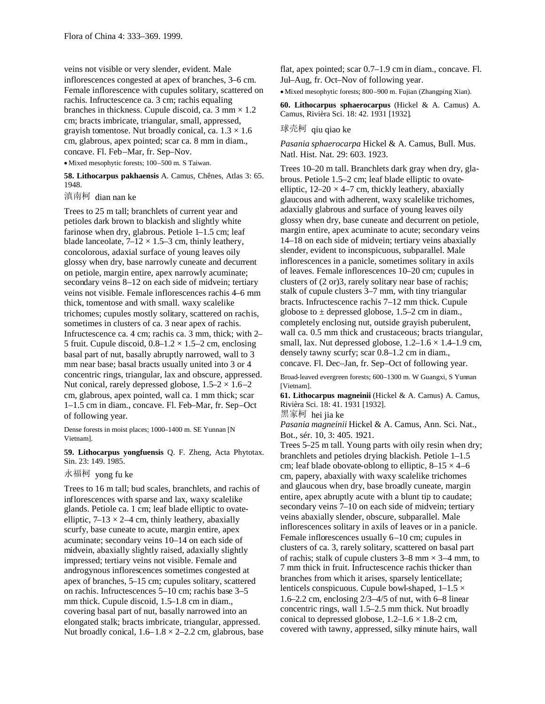veins not visible or very slender, evident. Male inflorescences congested at apex of branches, 3–6 cm. Female inflorescence with cupules solitary, scattered on rachis. Infructescence ca. 3 cm; rachis equaling branches in thickness. Cupule discoid, ca.  $3 \text{ mm} \times 1.2$ cm; bracts imbricate, triangular, small, appressed, grayish tomentose. Nut broadly conical, ca.  $1.3 \times 1.6$ cm, glabrous, apex pointed; scar ca. 8 mm in diam., concave. Fl. Feb–Mar, fr. Sep–Nov. Mixed mesophytic forests; 100–500 m. S Taiwan.

**58. Lithocarpus pakhaensis** A. Camus, Chênes, Atlas 3: 65. 1948.

滇南柯 dian nan ke

Trees to 25 m tall; branchlets of current year and petioles dark brown to blackish and slightly white farinose when dry, glabrous. Petiole 1–1.5 cm; leaf blade lanceolate,  $7-12 \times 1.5-3$  cm, thinly leathery, concolorous, adaxial surface of young leaves oily glossy when dry, base narrowly cuneate and decurrent on petiole, margin entire, apex narrowly acuminate; secondary veins 8–12 on each side of midvein; tertiary veins not visible. Female inflorescences rachis 4–6 mm thick, tomentose and with small. waxy scalelike trichomes; cupules mostly solitary, scattered on rachis, sometimes in clusters of ca. 3 near apex of rachis. Infructescence ca. 4 cm; rachis ca. 3 mm, thick; with 2– 5 fruit. Cupule discoid,  $0.8-1.2 \times 1.5-2$  cm, enclosing basal part of nut, basally abruptly narrowed, wall to 3 mm near base; basal bracts usually united into 3 or 4 concentric rings, triangular, lax and obscure, appressed. Nut conical, rarely depressed globose,  $1.5-2 \times 1.6-2$ cm, glabrous, apex pointed, wall ca. 1 mm thick; scar 1–1.5 cm in diam., concave. Fl. Feb–Mar, fr. Sep–Oct of following year.

Dense forests in moist places; 1000–1400 m. SE Yunnan [N Vietnam].

**59. Lithocarpus yongfuensis** Q. F. Zheng, Acta Phytotax. Sin. 23: 149. 1985.

永福柯 yong fu ke

Trees to 16 m tall; bud scales, branchlets, and rachis of inflorescences with sparse and lax, waxy scalelike glands. Petiole ca. 1 cm; leaf blade elliptic to ovateelliptic,  $7-13 \times 2-4$  cm, thinly leathery, abaxially scurfy, base cuneate to acute, margin entire, apex acuminate; secondary veins 10–14 on each side of midvein, abaxially slightly raised, adaxially slightly impressed; tertiary veins not visible. Female and androgynous inflorescences sometimes congested at apex of branches, 5–15 cm; cupules solitary, scattered on rachis. Infructescences 5–10 cm; rachis base 3–5 mm thick. Cupule discoid, 1.5–1.8 cm in diam., covering basal part of nut, basally narrowed into an elongated stalk; bracts imbricate, triangular, appressed. Nut broadly conical,  $1.6-1.8 \times 2-2.2$  cm, glabrous, base flat, apex pointed; scar 0.7–1.9 cm in diam., concave. Fl. Jul–Aug, fr. Oct–Nov of following year.

Mixed mesophytic forests; 800–900 m. Fujian (Zhangping Xian).

**60. Lithocarpus sphaerocarpus** (Hickel & A. Camus) A. Camus, Rivièra Sci. 18: 42. 1931 [1932].

# 球壳柯 qiu qiao ke

*Pasania sphaerocarpa* Hickel & A. Camus, Bull. Mus. Natl. Hist. Nat. 29: 603. 1923.

Trees 10–20 m tall. Branchlets dark gray when dry, glabrous. Petiole 1.5–2 cm; leaf blade elliptic to ovateelliptic,  $12-20 \times 4-7$  cm, thickly leathery, abaxially glaucous and with adherent, waxy scalelike trichomes, adaxially glabrous and surface of young leaves oily glossy when dry, base cuneate and decurrent on petiole, margin entire, apex acuminate to acute; secondary veins 14–18 on each side of midvein; tertiary veins abaxially slender, evident to inconspicuous, subparallel. Male inflorescences in a panicle, sometimes solitary in axils of leaves. Female inflorescences 10–20 cm; cupules in clusters of (2 or)3, rarely solitary near base of rachis; stalk of cupule clusters 3–7 mm, with tiny triangular bracts. Infructescence rachis 7–12 mm thick. Cupule globose to  $\pm$  depressed globose, 1.5–2 cm in diam., completely enclosing nut, outside grayish puberulent, wall ca. 0.5 mm thick and crustaceous; bracts triangular, small, lax. Nut depressed globose,  $1.2-1.6 \times 1.4-1.9$  cm, densely tawny scurfy; scar 0.8–1.2 cm in diam., concave. Fl. Dec–Jan, fr. Sep–Oct of following year.

Broad-leaved evergreen forests; 600–1300 m. W Guangxi, S Yunnan [Vietnam].

**61. Lithocarpus magneinii** (Hickel & A. Camus) A. Camus, Rivièra Sci. 18: 41. 1931 [1932].

黑家柯 hei jia ke

*Pasania magneinii* Hickel & A. Camus, Ann. Sci. Nat., Bot., sér. 10, 3: 405. 1921.

Trees 5–25 m tall. Young parts with oily resin when dry; branchlets and petioles drying blackish. Petiole 1–1.5 cm; leaf blade obovate-oblong to elliptic,  $8-15 \times 4-6$ cm, papery, abaxially with waxy scalelike trichomes and glaucous when dry, base broadly cuneate, margin entire, apex abruptly acute with a blunt tip to caudate; secondary veins 7–10 on each side of midvein; tertiary veins abaxially slender, obscure, subparallel. Male inflorescences solitary in axils of leaves or in a panicle. Female inflorescences usually 6–10 cm; cupules in clusters of ca. 3, rarely solitary, scattered on basal part of rachis; stalk of cupule clusters  $3-8$  mm  $\times$   $3-4$  mm, to 7 mm thick in fruit. Infructescence rachis thicker than branches from which it arises, sparsely lenticellate; lenticels conspicuous. Cupule bowl-shaped,  $1-1.5 \times$ 1.6–2.2 cm, enclosing 2/3–4/5 of nut, with 6–8 linear concentric rings, wall 1.5–2.5 mm thick. Nut broadly conical to depressed globose,  $1.2-1.6 \times 1.8-2$  cm, covered with tawny, appressed, silky minute hairs, wall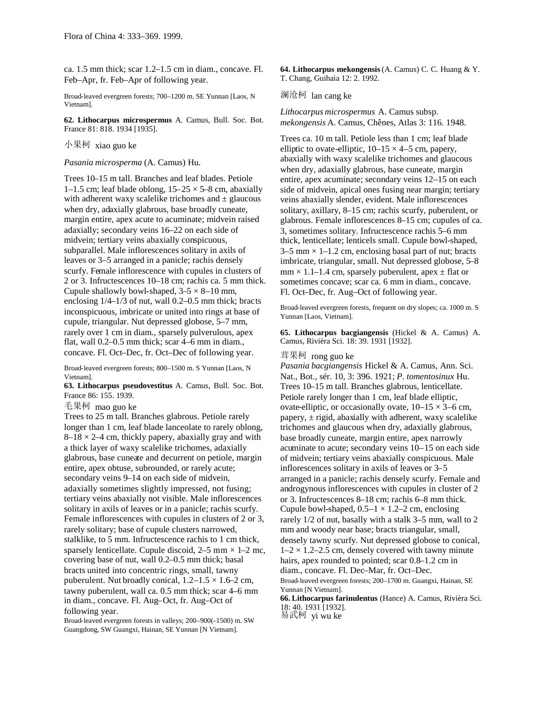ca. 1.5 mm thick; scar 1.2–1.5 cm in diam., concave. Fl. Feb–Apr, fr. Feb–Apr of following year.

Broad-leaved evergreen forests; 700–1200 m. SE Yunnan [Laos, N Vietnam].

**62. Lithocarpus microspermus** A. Camus, Bull. Soc. Bot. France 81: 818. 1934 [1935].

#### 小果柯 xiao guo ke

## *Pasania microsperma* (A. Camus) Hu.

Trees 10–15 m tall. Branches and leaf blades. Petiole 1–1.5 cm; leaf blade oblong,  $15-25 \times 5-8$  cm, abaxially with adherent waxy scalelike trichomes and  $\pm$  glaucous when dry, adaxially glabrous, base broadly cuneate, margin entire, apex acute to acuminate; midvein raised adaxially; secondary veins 16–22 on each side of midvein; tertiary veins abaxially conspicuous, subparallel. Male inflorescences solitary in axils of leaves or 3–5 arranged in a panicle; rachis densely scurfy. Female inflorescence with cupules in clusters of 2 or 3. Infructescences 10–18 cm; rachis ca. 5 mm thick. Cupule shallowly bowl-shaped,  $3-5 \times 8-10$  mm, enclosing 1/4–1/3 of nut, wall 0.2–0.5 mm thick; bracts inconspicuous, imbricate or united into rings at base of cupule, triangular. Nut depressed globose, 5–7 mm, rarely over 1 cm in diam., sparsely pulverulous, apex flat, wall 0.2–0.5 mm thick; scar 4–6 mm in diam., concave. Fl. Oct–Dec, fr. Oct–Dec of following year.

Broad-leaved evergreen forests; 800–1500 m. S Yunnan [Laos, N Vietnam].

**63. Lithocarpus pseudovestitus** A. Camus, Bull. Soc. Bot. France 86: 155. 1939.

毛果柯 mao guo ke

Trees to 25 m tall. Branches glabrous. Petiole rarely longer than 1 cm, leaf blade lanceolate to rarely oblong,  $8-18 \times 2-4$  cm, thickly papery, abaxially gray and with a thick layer of waxy scalelike trichomes, adaxially glabrous, base cuneate and decurrent on petiole, margin entire, apex obtuse, subrounded, or rarely acute; secondary veins 9–14 on each side of midvein, adaxially sometimes slightly impressed, not fusing; tertiary veins abaxially not visible. Male inflorescences solitary in axils of leaves or in a panicle; rachis scurfy. Female inflorescences with cupules in clusters of 2 or 3, rarely solitary; base of cupule clusters narrowed, stalklike, to 5 mm. Infructescence rachis to 1 cm thick, sparsely lenticellate. Cupule discoid,  $2-5$  mm  $\times$  1–2 mc, covering base of nut, wall 0.2–0.5 mm thick; basal bracts united into concentric rings, small, tawny puberulent. Nut broadly conical,  $1.2-1.5 \times 1.6-2$  cm, tawny puberulent, wall ca. 0.5 mm thick; scar 4–6 mm in diam., concave. Fl. Aug–Oct, fr. Aug–Oct of following year.

Broad-leaved evergreen forests in valleys; 200–900(–1500) m. SW Guangdong, SW Guangxi, Hainan, SE Yunnan [N Vietnam].

**64. Lithocarpus mekongensis**(A. Camus) C. C. Huang & Y. T. Chang, Guihaia 12: 2. 1992.

#### 澜沧柯 lan cang ke

*Lithocarpus microspermus* A. Camus subsp. *mekongensis* A. Camus, Chênes, Atlas 3: 116. 1948.

Trees ca. 10 m tall. Petiole less than 1 cm; leaf blade elliptic to ovate-elliptic,  $10-15 \times 4-5$  cm, papery, abaxially with waxy scalelike trichomes and glaucous when dry, adaxially glabrous, base cuneate, margin entire, apex acuminate; secondary veins 12–15 on each side of midvein, apical ones fusing near margin; tertiary veins abaxially slender, evident. Male inflorescences solitary, axillary, 8–15 cm; rachis scurfy, puberulent, or glabrous. Female inflorescences 8–15 cm; cupules of ca. 3, sometimes solitary. Infructescence rachis 5–6 mm thick, lenticellate; lenticels small. Cupule bowl-shaped,  $3-5$  mm  $\times$  1-1.2 cm, enclosing basal part of nut; bracts imbricate, triangular, small. Nut depressed globose, 5–8  $mm \times 1.1$ –1.4 cm, sparsely puberulent, apex  $\pm$  flat or sometimes concave; scar ca. 6 mm in diam., concave. Fl. Oct–Dec, fr. Aug–Oct of following year.

Broad-leaved evergreen forests, frequent on dry slopes; ca. 1000 m. S Yunnan [Laos, Vietnam].

**65. Lithocarpus bacgiangensis** (Hickel & A. Camus) A. Camus, Rivièra Sci. 18: 39. 1931 [1932].

# 茸果柯 rong guo ke

*Pasania bacgiangensis* Hickel & A. Camus, Ann. Sci. Nat., Bot., sér. 10, 3: 396. 1921; *P*. *tomentosinux* Hu. Trees 10–15 m tall. Branches glabrous, lenticellate. Petiole rarely longer than 1 cm, leaf blade elliptic, ovate-elliptic, or occasionally ovate,  $10-15 \times 3-6$  cm, papery,  $\pm$  rigid, abaxially with adherent, waxy scalelike trichomes and glaucous when dry, adaxially glabrous, base broadly cuneate, margin entire, apex narrowly acuminate to acute; secondary veins 10–15 on each side of midvein; tertiary veins abaxially conspicuous. Male inflorescences solitary in axils of leaves or 3–5 arranged in a panicle; rachis densely scurfy. Female and androgynous inflorescences with cupules in cluster of 2 or 3. Infructescences 8–18 cm; rachis 6–8 mm thick. Cupule bowl-shaped,  $0.5-1 \times 1.2-2$  cm, enclosing rarely 1/2 of nut, basally with a stalk 3–5 mm, wall to 2 mm and woody near base; bracts triangular, small, densely tawny scurfy. Nut depressed globose to conical,  $1-2 \times 1.2-2.5$  cm, densely covered with tawny minute hairs, apex rounded to pointed; scar  $0.8$ –1.2 cm in diam., concave. Fl. Dec–Mar, fr. Oct–Dec. Broad-leaved evergreen forests; 200–1700 m. Guangxi, Hainan, SE Yunnan [N Vietnam].

**66. Lithocarpus farinulentus** (Hance) A. Camus, Rivièra Sci. 18: 40. 1931 [1932].

易武柯 yi wu ke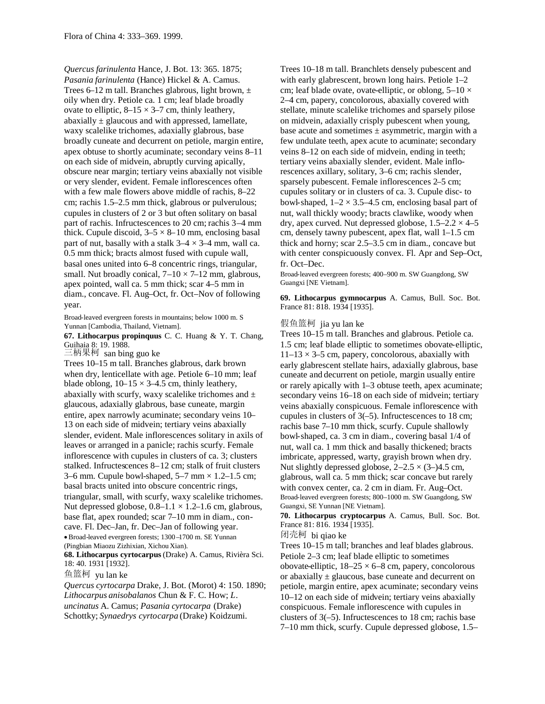*Quercus farinulenta* Hance, J. Bot. 13: 365. 1875; *Pasania farinulenta* (Hance) Hickel & A. Camus. Trees 6–12 m tall. Branches glabrous, light brown,  $\pm$ oily when dry. Petiole ca. 1 cm; leaf blade broadly ovate to elliptic,  $8-15 \times 3-7$  cm, thinly leathery, abaxially  $\pm$  glaucous and with appressed, lamellate, waxy scalelike trichomes, adaxially glabrous, base broadly cuneate and decurrent on petiole, margin entire, apex obtuse to shortly acuminate; secondary veins 8–11 on each side of midvein, abruptly curving apically, obscure near margin; tertiary veins abaxially not visible or very slender, evident. Female inflorescences often with a few male flowers above middle of rachis, 8–22 cm; rachis 1.5–2.5 mm thick, glabrous or pulverulous; cupules in clusters of 2 or 3 but often solitary on basal part of rachis. Infructescences to 20 cm; rachis 3–4 mm thick. Cupule discoid,  $3-5 \times 8-10$  mm, enclosing basal part of nut, basally with a stalk  $3-4 \times 3-4$  mm, wall ca. 0.5 mm thick; bracts almost fused with cupule wall, basal ones united into 6–8 concentric rings, triangular, small. Nut broadly conical,  $7-10 \times 7-12$  mm, glabrous, apex pointed, wall ca. 5 mm thick; scar 4–5 mm in diam., concave. Fl. Aug–Oct, fr. Oct–Nov of following year.

Broad-leaved evergreen forests in mountains; below 1000 m. S Yunnan [Cambodia, Thailand, Vietnam].

**67. Lithocarpus propinquus** C. C. Huang & Y. T. Chang, Guihaia 8: 19. 1988.

三柄果柯 san bing guo ke

Trees 10–15 m tall. Branches glabrous, dark brown when dry, lenticellate with age. Petiole 6–10 mm; leaf blade oblong,  $10-15 \times 3-4.5$  cm, thinly leathery, abaxially with scurfy, waxy scalelike trichomes and  $\pm$ glaucous, adaxially glabrous, base cuneate, margin entire, apex narrowly acuminate; secondary veins 10– 13 on each side of midvein; tertiary veins abaxially slender, evident. Male inflorescences solitary in axils of leaves or arranged in a panicle; rachis scurfy. Female inflorescence with cupules in clusters of ca. 3; clusters stalked. Infructescences 8–12 cm; stalk of fruit clusters 3–6 mm. Cupule bowl-shaped,  $5-7$  mm  $\times$  1.2–1.5 cm; basal bracts united into obscure concentric rings, triangular, small, with scurfy, waxy scalelike trichomes. Nut depressed globose,  $0.8-1.1 \times 1.2-1.6$  cm, glabrous, base flat, apex rounded; scar 7–10 mm in diam., concave. Fl. Dec–Jan, fr. Dec–Jan of following year. Broad-leaved evergreen forests; 1300 –1700 m. SE Yunnan (Pingbian Miaozu Zizhixian, Xichou Xian).

**68. Lithocarpus cyrtocarpus** (Drake) A. Camus, Rivièra Sci. 18: 40. 1931 [1932].

鱼篮柯 yu lan ke

*Quercus cyrtocarpa* Drake, J. Bot. (Morot) 4: 150. 1890; *Lithocarpus anisobalanos* Chun & F. C. How; *L*. *uncinatus* A. Camus; *Pasania cyrtocarpa* (Drake) Schottky; *Synaedrys cyrtocarpa* (Drake) Koidzumi.

Trees 10–18 m tall. Branchlets densely pubescent and with early glabrescent, brown long hairs. Petiole 1–2 cm; leaf blade ovate, ovate-elliptic, or oblong,  $5-10 \times$ 2–4 cm, papery, concolorous, abaxially covered with stellate, minute scalelike trichomes and sparsely pilose on midvein, adaxially crisply pubescent when young, base acute and sometimes  $\pm$  asymmetric, margin with a few undulate teeth, apex acute to acuminate; secondary veins 8–12 on each side of midvein, ending in teeth; tertiary veins abaxially slender, evident. Male inflorescences axillary, solitary, 3–6 cm; rachis slender, sparsely pubescent. Female inflorescences 2–5 cm; cupules solitary or in clusters of ca. 3. Cupule disc- to bowl-shaped,  $1-2 \times 3.5-4.5$  cm, enclosing basal part of nut, wall thickly woody; bracts clawlike, woody when dry, apex curved. Nut depressed globose,  $1.5-2.2 \times 4-5$ cm, densely tawny pubescent, apex flat, wall 1–1.5 cm thick and horny; scar 2.5–3.5 cm in diam., concave but with center conspicuously convex. Fl. Apr and Sep–Oct, fr. Oct–Dec.

Broad-leaved evergreen forests; 400–900 m. SW Guangdong, SW Guangxi [NE Vietnam].

**69. Lithocarpus gymnocarpus** A. Camus, Bull. Soc. Bot. France 81: 818. 1934 [1935].

# 假鱼篮柯 jia yu lan ke

Trees 10–15 m tall. Branches and glabrous. Petiole ca. 1.5 cm; leaf blade elliptic to sometimes obovate-elliptic,  $11-13 \times 3-5$  cm, papery, concolorous, abaxially with early glabrescent stellate hairs, adaxially glabrous, base cuneate and decurrent on petiole, margin usually entire or rarely apically with 1–3 obtuse teeth, apex acuminate; secondary veins 16–18 on each side of midvein; tertiary veins abaxially conspicuous. Female inflorescence with cupules in clusters of 3(–5). Infructescences to 18 cm; rachis base 7–10 mm thick, scurfy. Cupule shallowly bowl-shaped, ca. 3 cm in diam., covering basal 1/4 of nut, wall ca. 1 mm thick and basally thickened; bracts imbricate, appressed, warty, grayish brown when dry. Nut slightly depressed globose,  $2-2.5 \times (3-)4.5$  cm, glabrous, wall ca. 5 mm thick; scar concave but rarely with convex center, ca. 2 cm in diam. Fr. Aug–Oct. Broad-leaved evergreen forests; 800–1000 m. SW Guangdong, SW Guangxi, SE Yunnan [NE Vietnam].

**70. Lithocarpus cryptocarpus** A. Camus, Bull. Soc. Bot. France 81: 816. 1934 [1935].

闭壳柯 bi qiao ke

Trees 10–15 m tall; branches and leaf blades glabrous. Petiole 2–3 cm; leaf blade elliptic to sometimes obovate-elliptic,  $18-25 \times 6-8$  cm, papery, concolorous or abaxially  $\pm$  glaucous, base cuneate and decurrent on petiole, margin entire, apex acuminate; secondary veins 10–12 on each side of midvein; tertiary veins abaxially conspicuous. Female inflorescence with cupules in clusters of 3(–5). Infructescences to 18 cm; rachis base 7–10 mm thick, scurfy. Cupule depressed globose, 1.5–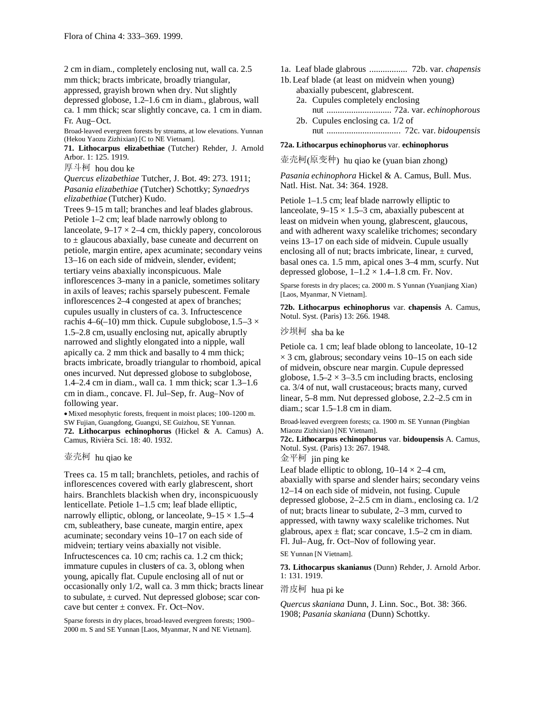2 cm in diam., completely enclosing nut, wall ca. 2.5 mm thick; bracts imbricate, broadly triangular,

appressed, grayish brown when dry. Nut slightly

depressed globose, 1.2–1.6 cm in diam., glabrous, wall ca. 1 mm thick; scar slightly concave, ca. 1 cm in diam. Fr. Aug–Oct.

Broad-leaved evergreen forests by streams, at low elevations. Yunnan (Hekou Yaozu Zizhixian) [C to NE Vietnam].

**71. Lithocarpus elizabethiae** (Tutcher) Rehder, J. Arnold Arbor. 1: 125. 1919.

厚斗柯 hou dou ke

*Quercus elizabethiae* Tutcher, J. Bot. 49: 273. 1911;

*Pasania elizabethiae* (Tutcher) Schottky; *Synaedrys elizabethiae* (Tutcher) Kudo.

Trees 9–15 m tall; branches and leaf blades glabrous. Petiole 1–2 cm; leaf blade narrowly oblong to lanceolate,  $9-17 \times 2-4$  cm, thickly papery, concolorous to  $\pm$  glaucous abaxially, base cuneate and decurrent on petiole, margin entire, apex acuminate; secondary veins 13–16 on each side of midvein, slender, evident; tertiary veins abaxially inconspicuous. Male inflorescences 3–many in a panicle, sometimes solitary in axils of leaves; rachis sparsely pubescent. Female inflorescences 2–4 congested at apex of branches; cupules usually in clusters of ca. 3. Infructescence rachis 4–6(–10) mm thick. Cupule subglobose,  $1.5-3 \times$ 1.5–2.8 cm, usually enclosing nut, apically abruptly narrowed and slightly elongated into a nipple, wall apically ca. 2 mm thick and basally to 4 mm thick; bracts imbricate, broadly triangular to rhomboid, apical ones incurved. Nut depressed globose to subglobose, 1.4–2.4 cm in diam., wall ca. 1 mm thick; scar 1.3–1.6 cm in diam., concave. Fl. Jul–Sep, fr. Aug–Nov of following year.

Mixed mesophytic forests, frequent in moist places; 100–1200 m. SW Fujian, Guangdong, Guangxi, SE Guizhou, SE Yunnan. **72. Lithocarpus echinophorus** (Hickel & A. Camus) A. Camus, Rivièra Sci. 18: 40. 1932.

#### 壶壳柯 hu qiao ke

Trees ca. 15 m tall; branchlets, petioles, and rachis of inflorescences covered with early glabrescent, short hairs. Branchlets blackish when dry, inconspicuously lenticellate. Petiole 1–1.5 cm; leaf blade elliptic, narrowly elliptic, oblong, or lanceolate,  $9-15 \times 1.5-4$ cm, subleathery, base cuneate, margin entire, apex acuminate; secondary veins 10–17 on each side of midvein; tertiary veins abaxially not visible. Infructescences ca. 10 cm; rachis ca. 1.2 cm thick; immature cupules in clusters of ca. 3, oblong when young, apically flat. Cupule enclosing all of nut or occasionally only 1/2, wall ca. 3 mm thick; bracts linear to subulate, ± curved. Nut depressed globose; scar concave but center  $\pm$  convex. Fr. Oct–Nov.

Sparse forests in dry places, broad-leaved evergreen forests; 1900– 2000 m. S and SE Yunnan [Laos, Myanmar, N and NE Vietnam].

- 1a. Leaf blade glabrous ................. 72b. var. *chapensis*
- 1b.Leaf blade (at least on midvein when young) abaxially pubescent, glabrescent. 2a. Cupules completely enclosing
	- nut ............................. 72a. var. *echinophorous* 2b. Cupules enclosing ca. 1/2 of nut ................................. 72c. var. *bidoupensis*

## **72a. Lithocarpus echinophorus** var. **echinophorus**

壶壳柯(原变种) hu qiao ke (yuan bian zhong)

*Pasania echinophora* Hickel & A. Camus, Bull. Mus. Natl. Hist. Nat. 34: 364. 1928.

Petiole 1–1.5 cm; leaf blade narrowly elliptic to lanceolate,  $9-15 \times 1.5-3$  cm, abaxially pubescent at least on midvein when young, glabrescent, glaucous, and with adherent waxy scalelike trichomes; secondary veins 13–17 on each side of midvein. Cupule usually enclosing all of nut; bracts imbricate, linear,  $\pm$  curved, basal ones ca. 1.5 mm, apical ones 3–4 mm, scurfy. Nut depressed globose,  $1-1.2 \times 1.4-1.8$  cm. Fr. Nov.

Sparse forests in dry places; ca. 2000 m. S Yunnan (Yuanjiang Xian) [Laos, Myanmar, N Vietnam].

**72b. Lithocarpus echinophorus** var. **chapensis** A. Camus, Notul. Syst. (Paris) 13: 266. 1948.

# 沙坝柯 sha ba ke

Petiole ca. 1 cm; leaf blade oblong to lanceolate, 10–12  $\times$  3 cm, glabrous; secondary veins 10–15 on each side of midvein, obscure near margin. Cupule depressed globose,  $1.5-2 \times 3-3.5$  cm including bracts, enclosing ca. 3/4 of nut, wall crustaceous; bracts many, curved linear, 5–8 mm. Nut depressed globose, 2.2–2.5 cm in diam.; scar 1.5–1.8 cm in diam.

Broad-leaved evergreen forests; ca. 1900 m. SE Yunnan (Pingbian Miaozu Zizhixian) [NE Vietnam].

**72c. Lithocarpus echinophorus** var. **bidoupensis** A. Camus, Notul. Syst. (Paris) 13: 267. 1948.

金平柯 jin ping ke

Leaf blade elliptic to oblong,  $10-14 \times 2-4$  cm, abaxially with sparse and slender hairs; secondary veins 12–14 on each side of midvein, not fusing. Cupule depressed globose, 2–2.5 cm in diam., enclosing ca. 1/2 of nut; bracts linear to subulate, 2–3 mm, curved to appressed, with tawny waxy scalelike trichomes. Nut glabrous, apex  $\pm$  flat; scar concave, 1.5–2 cm in diam. Fl. Jul–Aug, fr. Oct–Nov of following year.

SE Yunnan [N Vietnam].

**73. Lithocarpus skanianus** (Dunn) Rehder, J. Arnold Arbor. 1: 131. 1919.

滑皮柯 hua pi ke

*Quercus skaniana* Dunn, J. Linn. Soc., Bot. 38: 366. 1908; *Pasania skaniana* (Dunn) Schottky.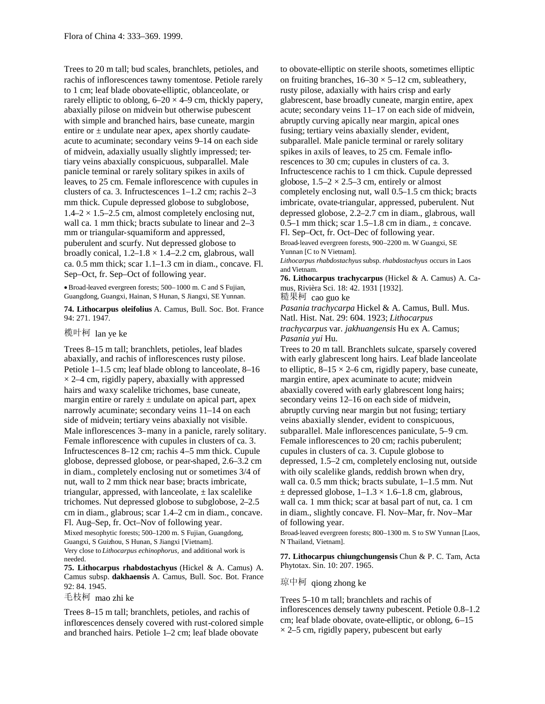Trees to 20 m tall; bud scales, branchlets, petioles, and rachis of inflorescences tawny tomentose. Petiole rarely to 1 cm; leaf blade obovate-elliptic, oblanceolate, or rarely elliptic to oblong,  $6-20 \times 4-9$  cm, thickly papery, abaxially pilose on midvein but otherwise pubescent with simple and branched hairs, base cuneate, margin entire or  $\pm$  undulate near apex, apex shortly caudateacute to acuminate; secondary veins 9–14 on each side of midvein, adaxially usually slightly impressed; tertiary veins abaxially conspicuous, subparallel. Male panicle terminal or rarely solitary spikes in axils of leaves, to 25 cm. Female inflorescence with cupules in clusters of ca. 3. Infructescences 1–1.2 cm; rachis 2–3 mm thick. Cupule depressed globose to subglobose,  $1.4-2 \times 1.5-2.5$  cm, almost completely enclosing nut, wall ca. 1 mm thick; bracts subulate to linear and 2–3 mm or triangular-squamiform and appressed, puberulent and scurfy. Nut depressed globose to broadly conical,  $1.2-1.8 \times 1.4-2.2$  cm, glabrous, wall ca. 0.5 mm thick; scar 1.1–1.3 cm in diam., concave. Fl. Sep–Oct, fr. Sep–Oct of following year.

Broad-leaved evergreen forests; 500–1000 m. C and S Fujian, Guangdong, Guangxi, Hainan, S Hunan, S Jiangxi, SE Yunnan.

**74. Lithocarpus oleifolius** A. Camus, Bull. Soc. Bot. France 94: 271. 1947.

榄叶柯 lan ye ke

Trees 8–15 m tall; branchlets, petioles, leaf blades abaxially, and rachis of inflorescences rusty pilose. Petiole 1–1.5 cm; leaf blade oblong to lanceolate, 8–16  $\times$  2–4 cm, rigidly papery, abaxially with appressed hairs and waxy scalelike trichomes, base cuneate, margin entire or rarely  $\pm$  undulate on apical part, apex narrowly acuminate; secondary veins 11–14 on each side of midvein; tertiary veins abaxially not visible. Male inflorescences 3–many in a panicle, rarely solitary. Female inflorescence with cupules in clusters of ca. 3. Infructescences 8–12 cm; rachis 4–5 mm thick. Cupule globose, depressed globose, or pear-shaped, 2.6–3.2 cm in diam., completely enclosing nut or sometimes 3/4 of nut, wall to 2 mm thick near base; bracts imbricate, triangular, appressed, with lanceolate,  $\pm$  lax scalelike trichomes. Nut depressed globose to subglobose, 2–2.5 cm in diam., glabrous; scar 1.4–2 cm in diam., concave. Fl. Aug–Sep, fr. Oct–Nov of following year. Mixed mesophytic forests; 500–1200 m. S Fujian, Guangdong, Guangxi, S Guizhou, S Hunan, S Jiangxi [Vietnam].

Very close to *Lithocarpus echinophorus,* and additional work is needed.

**75. Lithocarpus rhabdostachyus** (Hickel & A. Camus) A. Camus subsp. **dakhaensis** A. Camus, Bull. Soc. Bot. France 92: 84. 1945.

毛枝柯 mao zhi ke

Trees 8–15 m tall; branchlets, petioles, and rachis of inflorescences densely covered with rust-colored simple and branched hairs. Petiole 1–2 cm; leaf blade obovate

to obovate-elliptic on sterile shoots, sometimes elliptic on fruiting branches,  $16-30 \times 5-12$  cm, subleathery, rusty pilose, adaxially with hairs crisp and early glabrescent, base broadly cuneate, margin entire, apex acute; secondary veins 11–17 on each side of midvein, abruptly curving apically near margin, apical ones fusing; tertiary veins abaxially slender, evident, subparallel. Male panicle terminal or rarely solitary spikes in axils of leaves, to 25 cm. Female inflorescences to 30 cm; cupules in clusters of ca. 3. Infructescence rachis to 1 cm thick. Cupule depressed globose,  $1.5-2 \times 2.5-3$  cm, entirely or almost completely enclosing nut, wall 0.5–1.5 cm thick; bracts imbricate, ovate-triangular, appressed, puberulent. Nut depressed globose, 2.2–2.7 cm in diam., glabrous, wall 0.5–1 mm thick; scar  $1.5-1.8$  cm in diam.,  $\pm$  concave. Fl. Sep–Oct, fr. Oct–Dec of following year. Broad-leaved evergreen forests, 900–2200 m. W Guangxi, SE Yunnan [C to N Vietnam].

*Lithocarpus rhabdostachyus* subsp. *rhabdostachyus* occurs in Laos and Vietnam.

**76. Lithocarpus trachycarpus** (Hickel & A. Camus) A. Camus, Rivièra Sci. 18: 42. 1931 [1932].

糙果柯 cao guo ke

*Pasania trachycarpa* Hickel & A. Camus, Bull. Mus. Natl. Hist. Nat. 29: 604. 1923; *Lithocarpus trachycarpus* var. *jakhuangensis* Hu ex A. Camus; *Pasania yui* Hu.

Trees to 20 m tall. Branchlets sulcate, sparsely covered with early glabrescent long hairs. Leaf blade lanceolate to elliptic,  $8-15 \times 2-6$  cm, rigidly papery, base cuneate, margin entire, apex acuminate to acute; midvein abaxially covered with early glabrescent long hairs; secondary veins 12–16 on each side of midvein, abruptly curving near margin but not fusing; tertiary veins abaxially slender, evident to conspicuous, subparallel. Male inflorescences paniculate, 5–9 cm. Female inflorescences to 20 cm; rachis puberulent; cupules in clusters of ca. 3. Cupule globose to depressed, 1.5–2 cm, completely enclosing nut, outside with oily scalelike glands, reddish brown when dry, wall ca. 0.5 mm thick; bracts subulate, 1–1.5 mm. Nut  $\pm$  depressed globose,  $1-1.3 \times 1.6-1.8$  cm, glabrous, wall ca. 1 mm thick; scar at basal part of nut, ca. 1 cm in diam., slightly concave. Fl. Nov–Mar, fr. Nov–Mar of following year.

Broad-leaved evergreen forests; 800–1300 m. S to SW Yunnan [Laos, N Thailand, Vietnam].

**77. Lithocarpus chiungchungensis** Chun & P. C. Tam, Acta Phytotax. Sin. 10: 207. 1965.

琼中柯 qiong zhong ke

Trees 5–10 m tall; branchlets and rachis of inflorescences densely tawny pubescent. Petiole 0.8–1.2 cm; leaf blade obovate, ovate-elliptic, or oblong, 6–15  $\times$  2–5 cm, rigidly papery, pubescent but early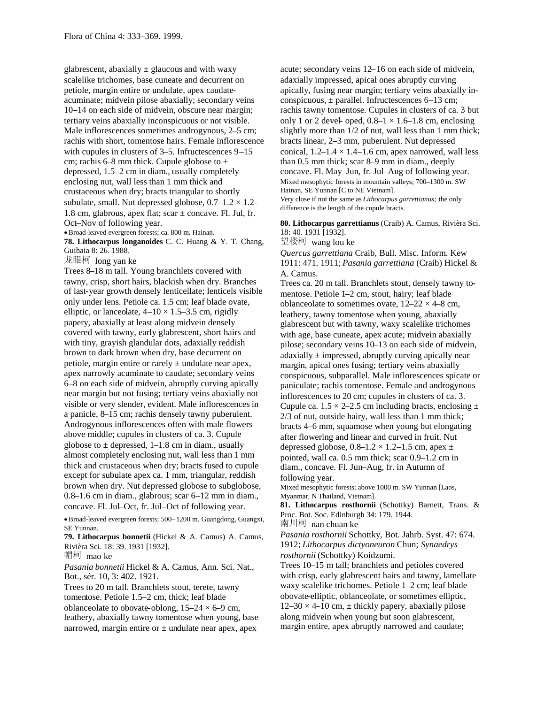glabrescent, abaxially  $\pm$  glaucous and with waxy scalelike trichomes, base cuneate and decurrent on petiole, margin entire or undulate, apex caudateacuminate; midvein pilose abaxially; secondary veins 10–14 on each side of midvein, obscure near margin; tertiary veins abaxially inconspicuous or not visible. Male inflorescences sometimes androgynous, 2–5 cm; rachis with short, tomentose hairs. Female inflorescence with cupules in clusters of 3–5. Infructescences 9–15 cm; rachis 6–8 mm thick. Cupule globose to  $\pm$ depressed, 1.5–2 cm in diam., usually completely enclosing nut, wall less than 1 mm thick and crustaceous when dry; bracts triangular to shortly subulate, small. Nut depressed globose,  $0.7-1.2 \times 1.2-$ 1.8 cm, glabrous, apex flat; scar ± concave. Fl. Jul, fr. Oct–Nov of following year. Broad-leaved evergreen forests; ca. 800 m. Hainan.

**78. Lithocarpus longanoides** C. C. Huang & Y. T. Chang, Guihaia 8: 26. 1988.

龙眼柯 long yan ke

Trees 8–18 m tall. Young branchlets covered with tawny, crisp, short hairs, blackish when dry. Branches of last-year growth densely lenticellate; lenticels visible only under lens. Petiole ca. 1.5 cm; leaf blade ovate, elliptic, or lanceolate,  $4-10 \times 1.5-3.5$  cm, rigidly papery, abaxially at least along midvein densely covered with tawny, early glabrescent, short hairs and with tiny, grayish glandular dots, adaxially reddish brown to dark brown when dry, base decurrent on petiole, margin entire or rarely  $\pm$  undulate near apex, apex narrowly acuminate to caudate; secondary veins 6–8 on each side of midvein, abruptly curving apically near margin but not fusing; tertiary veins abaxially not visible or very slender, evident. Male inflorescences in a panicle, 8–15 cm; rachis densely tawny puberulent. Androgynous inflorescences often with male flowers above middle; cupules in clusters of ca. 3. Cupule globose to  $\pm$  depressed, 1–1.8 cm in diam., usually almost completely enclosing nut, wall less than 1 mm thick and crustaceous when dry; bracts fused to cupule except for subulate apex ca. 1 mm, triangular, reddish brown when dry. Nut depressed globose to subglobose, 0.8–1.6 cm in diam., glabrous; scar 6–12 mm in diam., concave. Fl. Jul–Oct, fr. Jul–Oct of following year.

Broad-leaved evergreen forests; 500–1200 m. Guangdong, Guangxi, SE Yunnan.

**79. Lithocarpus bonnetii** (Hickel & A. Camus) A. Camus, Rivièra Sci. 18: 39. 1931 [1932].

帽柯 mao ke

*Pasania bonnetii* Hickel & A. Camus, Ann. Sci. Nat., Bot., sér. 10, 3: 402. 1921.

Trees to 20 m tall. Branchlets stout, terete, tawny tomentose. Petiole 1.5–2 cm, thick; leaf blade oblanceolate to obovate-oblong,  $15-24 \times 6-9$  cm, leathery, abaxially tawny tomentose when young, base narrowed, margin entire or  $\pm$  undulate near apex, apex

acute; secondary veins 12–16 on each side of midvein, adaxially impressed, apical ones abruptly curving apically, fusing near margin; tertiary veins abaxially inconspicuous,  $\pm$  parallel. Infructescences 6–13 cm; rachis tawny tomentose. Cupules in clusters of ca. 3 but only 1 or 2 devel- oped,  $0.8-1 \times 1.6-1.8$  cm, enclosing slightly more than  $1/2$  of nut, wall less than 1 mm thick; bracts linear, 2–3 mm, puberulent. Nut depressed conical,  $1.2-1.4 \times 1.4-1.6$  cm, apex narrowed, wall less than 0.5 mm thick; scar 8–9 mm in diam., deeply concave. Fl. May–Jun, fr. Jul–Aug of following year. Mixed mesophytic forests in mountain valleys; 700–1300 m. SW Hainan, SE Yunnan [C to NE Vietnam]. Very close if not the same as *Lithocarpus garrettianus;* the only

difference is the length of the cupule bracts.

**80. Lithocarpus garrettianus** (Craib) A. Camus, Rivièra Sci. 18: 40. 1931 [1932].

望楼柯 wang lou ke

*Quercus garrettiana* Craib, Bull. Misc. Inform. Kew 1911: 471. 1911; *Pasania garrettiana* (Craib) Hickel & A. Camus.

Trees ca. 20 m tall. Branchlets stout, densely tawny tomentose. Petiole 1–2 cm, stout, hairy; leaf blade oblanceolate to sometimes ovate,  $12-22 \times 4-8$  cm, leathery, tawny tomentose when young, abaxially glabrescent but with tawny, waxy scalelike trichomes with age, base cuneate, apex acute; midvein abaxially pilose; secondary veins 10–13 on each side of midvein, adaxially  $\pm$  impressed, abruptly curving apically near margin, apical ones fusing; tertiary veins abaxially conspicuous, subparallel. Male inflorescences spicate or paniculate; rachis tomentose. Female and androgynous inflorescences to 20 cm; cupules in clusters of ca. 3. Cupule ca.  $1.5 \times 2 - 2.5$  cm including bracts, enclosing  $\pm$ 2/3 of nut, outside hairy, wall less than 1 mm thick; bracts 4–6 mm, squamose when young but elongating after flowering and linear and curved in fruit. Nut depressed globose,  $0.8-1.2 \times 1.2-1.5$  cm, apex  $\pm$ pointed, wall ca. 0.5 mm thick; scar 0.9–1.2 cm in diam., concave. Fl. Jun–Aug, fr. in Autumn of following year.

Mixed mesophytic forests; above 1000 m. SW Yunnan [Laos, Myanmar, N Thailand, Vietnam].

**81. Lithocarpus rosthornii** (Schottky) Barnett, Trans. & Proc. Bot. Soc. Edinburgh 34: 179. 1944. 南川柯 nan chuan ke

*Pasania rosthornii* Schottky, Bot. Jahrb. Syst. 47: 674. 1912; *Lithocarpus dictyoneuron* Chun; *Synaedrys rosthornii* (Schottky) Koidzumi.

Trees 10–15 m tall; branchlets and petioles covered with crisp, early glabrescent hairs and tawny, lamellate waxy scalelike trichomes. Petiole 1–2 cm; leaf blade obovate-elliptic, oblanceolate, or sometimes elliptic,  $12-30 \times 4-10$  cm,  $\pm$  thickly papery, abaxially pilose along midvein when young but soon glabrescent, margin entire, apex abruptly narrowed and caudate;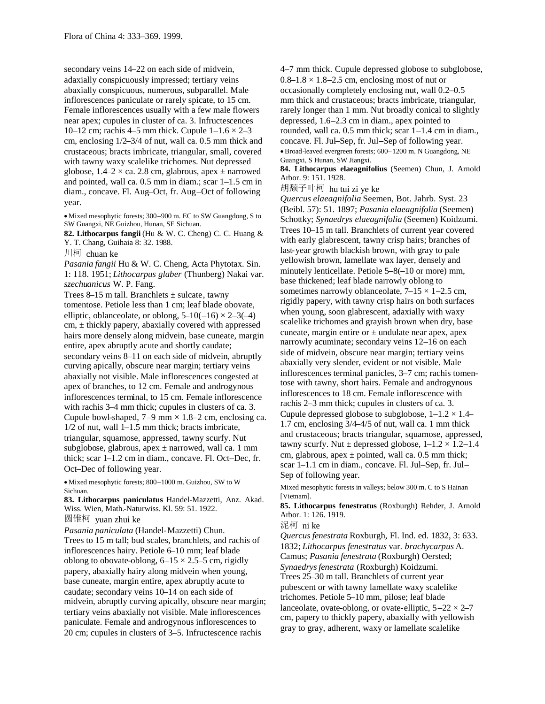secondary veins 14–22 on each side of midvein, adaxially conspicuously impressed; tertiary veins abaxially conspicuous, numerous, subparallel. Male inflorescences paniculate or rarely spicate, to 15 cm. Female inflorescences usually with a few male flowers near apex; cupules in cluster of ca. 3. Infructescences 10–12 cm; rachis 4–5 mm thick. Cupule  $1-1.6 \times 2-3$ cm, enclosing 1/2–3/4 of nut, wall ca. 0.5 mm thick and crustaceous; bracts imbricate, triangular, small, covered with tawny waxy scalelike trichomes. Nut depressed globose,  $1.4-2 \times$  ca. 2.8 cm, glabrous, apex  $\pm$  narrowed and pointed, wall ca. 0.5 mm in diam.; scar 1–1.5 cm in diam., concave. Fl. Aug–Oct, fr. Aug–Oct of following year.

Mixed mesophytic forests; 300–900 m. EC to SW Guangdong, S to SW Guangxi, NE Guizhou, Hunan, SE Sichuan.

**82. Lithocarpus fangii** (Hu & W. C. Cheng) C. C. Huang & Y. T. Chang, Guihaia 8: 32. 1988.

川柯 chuan ke

*Pasania fangii* Hu & W. C. Cheng, Acta Phytotax. Sin. 1: 118. 1951; *Lithocarpus glaber* (Thunberg) Nakai var. *szechuanicus* W. P. Fang.

Trees 8–15 m tall. Branchlets  $\pm$  sulcate, tawny tomentose. Petiole less than 1 cm; leaf blade obovate, elliptic, oblanceolate, or oblong,  $5-10(-16) \times 2-3(-4)$  $cm, \pm$  thickly papery, abaxially covered with appressed hairs more densely along midvein, base cuneate, margin entire, apex abruptly acute and shortly caudate; secondary veins 8–11 on each side of midvein, abruptly curving apically, obscure near margin; tertiary veins abaxially not visible. Male inflorescences congested at apex of branches, to 12 cm. Female and androgynous inflorescences terminal, to 15 cm. Female inflorescence with rachis 3–4 mm thick; cupules in clusters of ca. 3. Cupule bowl-shaped,  $7-9$  mm  $\times$  1.8–2 cm, enclosing ca. 1/2 of nut, wall 1–1.5 mm thick; bracts imbricate, triangular, squamose, appressed, tawny scurfy. Nut subglobose, glabrous, apex  $\pm$  narrowed, wall ca. 1 mm thick; scar 1–1.2 cm in diam., concave. Fl. Oct–Dec, fr. Oct–Dec of following year.

Mixed mesophytic forests; 800–1000 m. Guizhou, SW to W Sichuan.

**83. Lithocarpus paniculatus** Handel-Mazzetti, Anz. Akad. Wiss. Wien, Math.-Naturwiss. Kl. 59: 51. 1922. 圆锥柯 yuan zhui ke

*Pasania paniculata* (Handel-Mazzetti) Chun. Trees to 15 m tall; bud scales, branchlets, and rachis of inflorescences hairy. Petiole 6–10 mm; leaf blade oblong to obovate-oblong,  $6-15 \times 2.5-5$  cm, rigidly papery, abaxially hairy along midvein when young, base cuneate, margin entire, apex abruptly acute to caudate; secondary veins 10–14 on each side of midvein, abruptly curving apically, obscure near margin; tertiary veins abaxially not visible. Male inflorescences paniculate. Female and androgynous inflorescences to 20 cm; cupules in clusters of 3–5. Infructescence rachis

4–7 mm thick. Cupule depressed globose to subglobose,  $0.8-1.8 \times 1.8-2.5$  cm, enclosing most of nut or occasionally completely enclosing nut, wall 0.2–0.5 mm thick and crustaceous; bracts imbricate, triangular, rarely longer than 1 mm. Nut broadly conical to slightly depressed, 1.6–2.3 cm in diam., apex pointed to rounded, wall ca. 0.5 mm thick; scar 1–1.4 cm in diam., concave. Fl. Jul–Sep, fr. Jul–Sep of following year. Broad-leaved evergreen forests; 600–1200 m. N Guangdong, NE Guangxi, S Hunan, SW Jiangxi.

**84. Lithocarpus elaeagnifolius** (Seemen) Chun, J. Arnold Arbor. 9: 151. 1928.

胡颓子叶柯 hu tui zi ye ke

*Quercus elaeagnifolia* Seemen, Bot. Jahrb. Syst. 23 (Beibl. 57): 51. 1897; *Pasania elaeagnifolia* (Seemen) Schottky; *Synaedrys elaeagnifolia* (Seemen) Koidzumi. Trees 10–15 m tall. Branchlets of current year covered with early glabrescent, tawny crisp hairs; branches of last-year growth blackish brown, with gray to pale yellowish brown, lamellate wax layer, densely and minutely lenticellate. Petiole 5–8(–10 or more) mm, base thickened; leaf blade narrowly oblong to sometimes narrowly oblanceolate,  $7-15 \times 1-2.5$  cm, rigidly papery, with tawny crisp hairs on both surfaces when young, soon glabrescent, adaxially with waxy scalelike trichomes and grayish brown when dry, base cuneate, margin entire or  $\pm$  undulate near apex, apex narrowly acuminate; secondary veins 12–16 on each side of midvein, obscure near margin; tertiary veins abaxially very slender, evident or not visible. Male inflorescences terminal panicles, 3–7 cm; rachis tomentose with tawny, short hairs. Female and androgynous inflorescences to 18 cm. Female inflorescence with rachis 2–3 mm thick; cupules in clusters of ca. 3. Cupule depressed globose to subglobose,  $1-1.2 \times 1.4-$ 1.7 cm, enclosing 3/4–4/5 of nut, wall ca. 1 mm thick and crustaceous; bracts triangular, squamose, appressed, tawny scurfy. Nut  $\pm$  depressed globose,  $1-1.2 \times 1.2-1.4$ cm, glabrous, apex  $\pm$  pointed, wall ca. 0.5 mm thick; scar 1–1.1 cm in diam., concave. Fl. Jul–Sep, fr. Jul– Sep of following year.

Mixed mesophytic forests in valleys; below 300 m. C to S Hainan [Vietnam].

**85. Lithocarpus fenestratus** (Roxburgh) Rehder, J. Arnold Arbor. 1: 126. 1919.

泥柯 ni ke

*Quercus fenestrata* Roxburgh, Fl. Ind. ed. 1832, 3: 633. 1832; *Lithocarpus fenestratus* var. *brachycarpus* A. Camus; *Pasania fenestrata* (Roxburgh) Oersted; *Synaedrysfenestrata* (Roxburgh) Koidzumi. Trees 25–30 m tall. Branchlets of current year pubescent or with tawny lamellate waxy scalelike trichomes. Petiole 5–10 mm, pilose; leaf blade lanceolate, ovate-oblong, or ovate-elliptic,  $5-22 \times 2-7$ cm, papery to thickly papery, abaxially with yellowish gray to gray, adherent, waxy or lamellate scalelike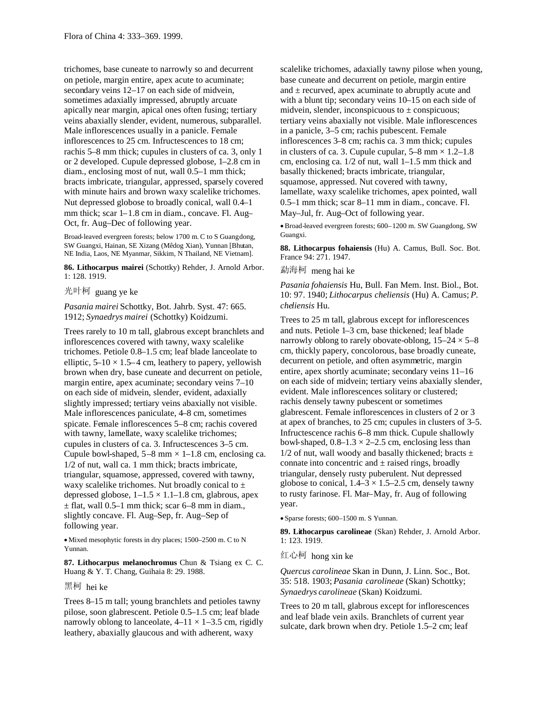trichomes, base cuneate to narrowly so and decurrent on petiole, margin entire, apex acute to acuminate; secondary veins 12–17 on each side of midvein, sometimes adaxially impressed, abruptly arcuate apically near margin, apical ones often fusing; tertiary veins abaxially slender, evident, numerous, subparallel. Male inflorescences usually in a panicle. Female inflorescences to 25 cm. Infructescences to 18 cm; rachis 5–8 mm thick; cupules in clusters of ca. 3, only 1 or 2 developed. Cupule depressed globose, 1–2.8 cm in diam., enclosing most of nut, wall 0.5–1 mm thick; bracts imbricate, triangular, appressed, sparsely covered with minute hairs and brown waxy scalelike trichomes. Nut depressed globose to broadly conical, wall 0.4–1 mm thick; scar 1–1.8 cm in diam., concave. Fl. Aug– Oct, fr. Aug–Dec of following year.

Broad-leaved evergreen forests; below 1700 m. C to S Guangdong, SW Guangxi, Hainan, SE Xizang (Mêdog Xian), Yunnan [Bhutan, NE India, Laos, NE Myanmar, Sikkim, N Thailand, NE Vietnam].

**86. Lithocarpus mairei** (Schottky) Rehder, J. Arnold Arbor. 1: 128. 1919.

光叶柯 guang ye ke

*Pasania mairei* Schottky, Bot. Jahrb. Syst. 47: 665. 1912; *Synaedrys mairei* (Schottky) Koidzumi.

Trees rarely to 10 m tall, glabrous except branchlets and inflorescences covered with tawny, waxy scalelike trichomes. Petiole 0.8–1.5 cm; leaf blade lanceolate to elliptic,  $5-10 \times 1.5-4$  cm, leathery to papery, yellowish brown when dry, base cuneate and decurrent on petiole, margin entire, apex acuminate; secondary veins 7–10 on each side of midvein, slender, evident, adaxially slightly impressed; tertiary veins abaxially not visible. Male inflorescences paniculate, 4–8 cm, sometimes spicate. Female inflorescences 5–8 cm; rachis covered with tawny, lamellate, waxy scalelike trichomes; cupules in clusters of ca. 3. Infructescences 3–5 cm. Cupule bowl-shaped,  $5-8$  mm  $\times$  1–1.8 cm, enclosing ca. 1/2 of nut, wall ca. 1 mm thick; bracts imbricate, triangular, squamose, appressed, covered with tawny, waxy scalelike trichomes. Nut broadly conical to  $\pm$ depressed globose,  $1-1.5 \times 1.1-1.8$  cm, glabrous, apex  $\pm$  flat, wall 0.5–1 mm thick; scar 6–8 mm in diam., slightly concave. Fl. Aug–Sep, fr. Aug–Sep of following year.

Mixed mesophytic forests in dry places; 1500–2500 m. C to N Yunnan.

**87. Lithocarpus melanochromus** Chun & Tsiang ex C. C. Huang & Y. T. Chang, Guihaia 8: 29. 1988.

# 黑柯 hei ke

Trees 8–15 m tall; young branchlets and petioles tawny pilose, soon glabrescent. Petiole 0.5–1.5 cm; leaf blade narrowly oblong to lanceolate,  $4-11 \times 1-3.5$  cm, rigidly leathery, abaxially glaucous and with adherent, waxy

scalelike trichomes, adaxially tawny pilose when young, base cuneate and decurrent on petiole, margin entire and  $\pm$  recurved, apex acuminate to abruptly acute and with a blunt tip; secondary veins  $10-15$  on each side of midvein, slender, inconspicuous to  $\pm$  conspicuous; tertiary veins abaxially not visible. Male inflorescences in a panicle, 3–5 cm; rachis pubescent. Female inflorescences 3–8 cm; rachis ca. 3 mm thick; cupules in clusters of ca. 3. Cupule cupular,  $5-8$  mm  $\times$  1.2–1.8 cm, enclosing ca. 1/2 of nut, wall 1–1.5 mm thick and basally thickened; bracts imbricate, triangular, squamose, appressed. Nut covered with tawny, lamellate, waxy scalelike trichomes, apex pointed, wall 0.5–1 mm thick; scar 8–11 mm in diam., concave. Fl. May–Jul, fr. Aug–Oct of following year.

Broad-leaved evergreen forests; 600–1200 m. SW Guangdong, SW Guangxi.

**88. Lithocarpus fohaiensis** (Hu) A. Camus, Bull. Soc. Bot. France 94: 271. 1947.

勐海柯 meng hai ke

*Pasania fohaiensis* Hu, Bull. Fan Mem. Inst. Biol., Bot. 10: 97. 1940; *Lithocarpus cheliensis* (Hu) A. Camus; *P. cheliensis* Hu.

Trees to 25 m tall, glabrous except for inflorescences and nuts. Petiole 1–3 cm, base thickened; leaf blade narrowly oblong to rarely obovate-oblong,  $15-24 \times 5-8$ cm, thickly papery, concolorous, base broadly cuneate, decurrent on petiole, and often asymmetric, margin entire, apex shortly acuminate; secondary veins 11–16 on each side of midvein; tertiary veins abaxially slender, evident. Male inflorescences solitary or clustered; rachis densely tawny pubescent or sometimes glabrescent. Female inflorescences in clusters of 2 or 3 at apex of branches, to 25 cm; cupules in clusters of 3–5. Infructescence rachis 6–8 mm thick. Cupule shallowly bowl-shaped,  $0.8-1.3 \times 2-2.5$  cm, enclosing less than  $1/2$  of nut, wall woody and basally thickened; bracts  $\pm$ connate into concentric and  $\pm$  raised rings, broadly triangular, densely rusty puberulent. Nut depressed globose to conical,  $1.4-3 \times 1.5-2.5$  cm, densely tawny to rusty farinose. Fl. Mar–May, fr. Aug of following year.

Sparse forests; 600–1500 m. S Yunnan.

**89. Lithocarpus carolineae** (Skan) Rehder, J. Arnold Arbor. 1: 123. 1919.

### 红心柯 hong xin ke

*Quercus carolineae* Skan in Dunn, J. Linn. Soc., Bot. 35: 518. 1903; *Pasania carolineae* (Skan) Schottky; *Synaedrys carolineae* (Skan) Koidzumi.

Trees to 20 m tall, glabrous except for inflorescences and leaf blade vein axils. Branchlets of current year sulcate, dark brown when dry. Petiole 1.5–2 cm; leaf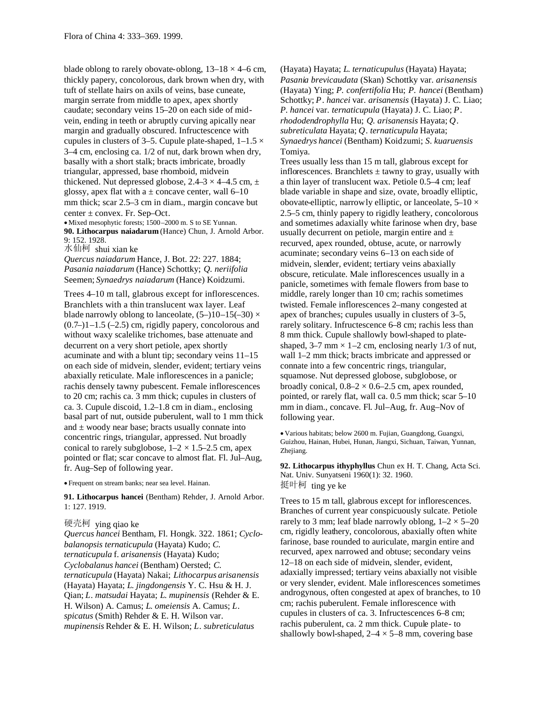blade oblong to rarely obovate-oblong,  $13-18 \times 4-6$  cm, thickly papery, concolorous, dark brown when dry, with tuft of stellate hairs on axils of veins, base cuneate, margin serrate from middle to apex, apex shortly caudate; secondary veins 15–20 on each side of midvein, ending in teeth or abruptly curving apically near margin and gradually obscured. Infructescence with cupules in clusters of 3–5. Cupule plate-shaped,  $1-1.5 \times$ 3–4 cm, enclosing ca. 1/2 of nut, dark brown when dry, basally with a short stalk; bracts imbricate, broadly triangular, appressed, base rhomboid, midvein thickened. Nut depressed globose,  $2.4-3 \times 4-4.5$  cm,  $\pm$ glossy, apex flat with a  $\pm$  concave center, wall 6–10 mm thick; scar 2.5–3 cm in diam., margin concave but center ± convex. Fr. Sep–Oct.

• Mixed mesophytic forests; 1500–2000 m. S to SE Yunnan. **90. Lithocarpus naiadarum** (Hance) Chun, J. Arnold Arbor. 9: 152. 1928.

水仙柯 shui xian ke

*Quercus naiadarum* Hance, J. Bot. 22: 227. 1884; *Pasania naiadarum* (Hance) Schottky; *Q. neriifolia* Seemen; *Synaedrys naiadarum* (Hance) Koidzumi.

Trees 4–10 m tall, glabrous except for inflorescences. Branchlets with a thin translucent wax layer. Leaf blade narrowly oblong to lanceolate,  $(5-110-15(-30) \times$  $(0.7-1)1-1.5$  (-2.5) cm, rigidly papery, concolorous and without waxy scalelike trichomes, base attenuate and decurrent on a very short petiole, apex shortly acuminate and with a blunt tip; secondary veins 11–15 on each side of midvein, slender, evident; tertiary veins abaxially reticulate. Male inflorescences in a panicle; rachis densely tawny pubescent. Female inflorescences to 20 cm; rachis ca. 3 mm thick; cupules in clusters of ca. 3. Cupule discoid, 1.2–1.8 cm in diam., enclosing basal part of nut, outside puberulent, wall to 1 mm thick and  $\pm$  woody near base; bracts usually connate into concentric rings, triangular, appressed. Nut broadly conical to rarely subglobose,  $1-2 \times 1.5-2.5$  cm, apex pointed or flat; scar concave to almost flat. Fl. Jul–Aug, fr. Aug–Sep of following year.

Frequent on stream banks; near sea level. Hainan.

**91. Lithocarpus hancei** (Bentham) Rehder, J. Arnold Arbor. 1: 127. 1919.

### 硬壳柯 ying qiao ke

*Quercus hancei* Bentham, Fl. Hongk. 322. 1861; *Cyclobalanopsis ternaticupula* (Hayata) Kudo; *C. ternaticupula* f. *arisanensis* (Hayata) Kudo; *Cyclobalanus hancei* (Bentham) Oersted; *C. ternaticupula* (Hayata) Nakai; *Lithocarpus arisanensis* (Hayata) Hayata; *L*. *jingdongensis* Y. C. Hsu & H. J. Qian; *L*. *matsudai* Hayata; *L*. *mupinensis* (Rehder & E. H. Wilson) A. Camus; *L*. *omeiensis* A. Camus; *L*. *spicatus* (Smith) Rehder & E. H. Wilson var. *mupinensis* Rehder & E. H. Wilson; *L*. *subreticulatus*

(Hayata) Hayata; *L*. *ternaticupulus* (Hayata) Hayata; *Pasania brevicaudata* (Skan) Schottky var. *arisanensis* (Hayata) Ying; *P. confertifolia* Hu; *P*. *hancei* (Bentham) Schottky; *P*. *hancei* var. *arisanensis* (Hayata) J. C. Liao; *P*. *hancei* var. *ternaticupula* (Hayata) J. C. Liao; *P*. *rhododendrophylla* Hu; *Q. arisanensis* Hayata; *Q*. *subreticulata* Hayata; *Q*. *ternaticupula* Hayata; *Synaedrys hancei* (Bentham) Koidzumi; *S*. *kuaruensis* Tomiya.

Trees usually less than 15 m tall, glabrous except for inflorescences. Branchlets  $\pm$  tawny to gray, usually with a thin layer of translucent wax. Petiole 0.5–4 cm; leaf blade variable in shape and size, ovate, broadly elliptic, obovate-elliptic, narrowly elliptic, or lanceolate,  $5-10 \times$ 2.5–5 cm, thinly papery to rigidly leathery, concolorous and sometimes adaxially white farinose when dry, base usually decurrent on petiole, margin entire and  $\pm$ recurved, apex rounded, obtuse, acute, or narrowly acuminate; secondary veins 6–13 on each side of midvein, slender, evident; tertiary veins abaxially obscure, reticulate. Male inflorescences usually in a panicle, sometimes with female flowers from base to middle, rarely longer than 10 cm; rachis sometimes twisted. Female inflorescences 2–many congested at apex of branches; cupules usually in clusters of 3–5, rarely solitary. Infructescence 6–8 cm; rachis less than 8 mm thick. Cupule shallowly bowl-shaped to plateshaped,  $3-7$  mm  $\times$  1-2 cm, enclosing nearly 1/3 of nut, wall 1–2 mm thick; bracts imbricate and appressed or connate into a few concentric rings, triangular, squamose. Nut depressed globose, subglobose, or broadly conical,  $0.8-2 \times 0.6-2.5$  cm, apex rounded, pointed, or rarely flat, wall ca. 0.5 mm thick; scar 5–10 mm in diam., concave. Fl. Jul–Aug, fr. Aug–Nov of following year.

Various habitats; below 2600 m. Fujian, Guangdong, Guangxi, Guizhou, Hainan, Hubei, Hunan, Jiangxi, Sichuan, Taiwan, Yunnan, Zhejiang.

**92. Lithocarpus ithyphyllus** Chun ex H. T. Chang, Acta Sci. Nat. Univ. Sunyatseni 1960(1): 32. 1960. 挺叶柯 ting ye ke

Trees to 15 m tall, glabrous except for inflorescences. Branches of current year conspicuously sulcate. Petiole rarely to 3 mm; leaf blade narrowly oblong,  $1-2 \times 5-20$ cm, rigidly leathery, concolorous, abaxially often white farinose, base rounded to auriculate, margin entire and recurved, apex narrowed and obtuse; secondary veins 12–18 on each side of midvein, slender, evident, adaxially impressed; tertiary veins abaxially not visible or very slender, evident. Male inflorescences sometimes androgynous, often congested at apex of branches, to 10 cm; rachis puberulent. Female inflorescence with cupules in clusters of ca. 3. Infructescences 6–8 cm; rachis puberulent, ca. 2 mm thick. Cupule plate- to shallowly bowl-shaped,  $2-4 \times 5-8$  mm, covering base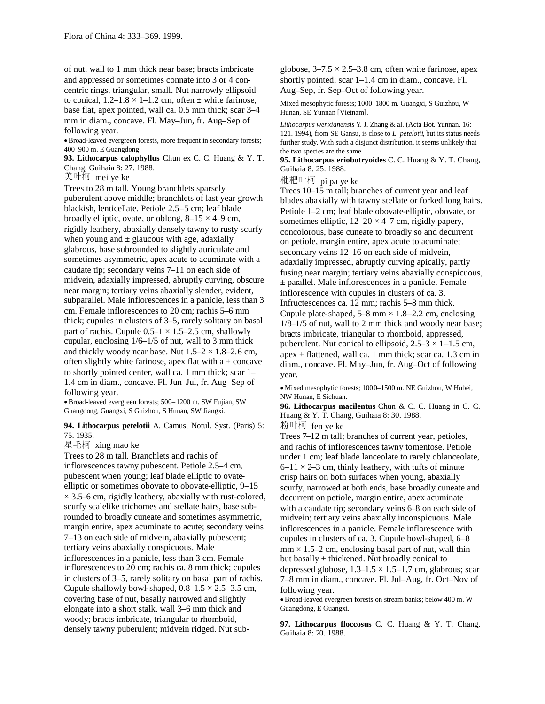of nut, wall to 1 mm thick near base; bracts imbricate and appressed or sometimes connate into 3 or 4 concentric rings, triangular, small. Nut narrowly ellipsoid to conical,  $1.2-1.8 \times 1-1.2$  cm, often  $\pm$  white farinose, base flat, apex pointed, wall ca. 0.5 mm thick; scar 3–4 mm in diam., concave. Fl. May–Jun, fr. Aug–Sep of following year.

Broad-leaved evergreen forests, more frequent in secondary forests; 400–900 m. E Guangdong.

**93. Lithocarpus calophyllus** Chun ex C. C. Huang & Y. T. Chang, Guihaia 8: 27. 1988.

美叶柯 mei ye ke

Trees to 28 m tall. Young branchlets sparsely puberulent above middle; branchlets of last year growth blackish, lenticellate. Petiole 2.5–5 cm; leaf blade broadly elliptic, ovate, or oblong,  $8-15 \times 4-9$  cm, rigidly leathery, abaxially densely tawny to rusty scurfy when young and  $\pm$  glaucous with age, adaxially glabrous, base subrounded to slightly auriculate and sometimes asymmetric, apex acute to acuminate with a caudate tip; secondary veins 7–11 on each side of midvein, adaxially impressed, abruptly curving, obscure near margin; tertiary veins abaxially slender, evident, subparallel. Male inflorescences in a panicle, less than 3 cm. Female inflorescences to 20 cm; rachis 5–6 mm thick; cupules in clusters of 3–5, rarely solitary on basal part of rachis. Cupule  $0.5-1 \times 1.5-2.5$  cm, shallowly cupular, enclosing 1/6–1/5 of nut, wall to 3 mm thick and thickly woody near base. Nut  $1.5-2 \times 1.8-2.6$  cm, often slightly white farinose, apex flat with  $a \pm$  concave to shortly pointed center, wall ca. 1 mm thick; scar 1– 1.4 cm in diam., concave. Fl. Jun–Jul, fr. Aug–Sep of following year.

Broad-leaved evergreen forests; 500–1200 m. SW Fujian, SW Guangdong, Guangxi, S Guizhou, S Hunan, SW Jiangxi.

**94. Lithocarpus petelotii** A. Camus, Notul. Syst. (Paris) 5: 75. 1935.

星毛柯 xing mao ke

Trees to 28 m tall. Branchlets and rachis of inflorescences tawny pubescent. Petiole 2.5–4 cm, pubescent when young; leaf blade elliptic to ovateelliptic or sometimes obovate to obovate-elliptic, 9–15  $\times$  3.5–6 cm, rigidly leathery, abaxially with rust-colored, scurfy scalelike trichomes and stellate hairs, base subrounded to broadly cuneate and sometimes asymmetric, margin entire, apex acuminate to acute; secondary veins 7–13 on each side of midvein, abaxially pubescent; tertiary veins abaxially conspicuous. Male inflorescences in a panicle, less than 3 cm. Female inflorescences to 20 cm; rachis ca. 8 mm thick; cupules in clusters of 3–5, rarely solitary on basal part of rachis. Cupule shallowly bowl-shaped,  $0.8-1.5 \times 2.5-3.5$  cm, covering base of nut, basally narrowed and slightly elongate into a short stalk, wall 3–6 mm thick and woody; bracts imbricate, triangular to rhomboid, densely tawny puberulent; midvein ridged. Nut subglobose,  $3-7.5 \times 2.5-3.8$  cm, often white farinose, apex shortly pointed; scar 1–1.4 cm in diam., concave. Fl. Aug–Sep, fr. Sep–Oct of following year.

Mixed mesophytic forests; 1000–1800 m. Guangxi, S Guizhou, W Hunan, SE Yunnan [Vietnam].

*Lithocarpus wenxianensis* Y. J. Zhang & al. (Acta Bot. Yunnan. 16: 121. 1994), from SE Gansu, is close to *L. petelotii,* but its status needs further study. With such a disjunct distribution, it seems unlikely that the two species are the same.

**95. Lithocarpus eriobotryoides** C. C. Huang & Y. T. Chang, Guihaia 8: 25. 1988.

枇杷叶柯 pi pa ye ke

Trees 10–15 m tall; branches of current year and leaf blades abaxially with tawny stellate or forked long hairs. Petiole 1–2 cm; leaf blade obovate-elliptic, obovate, or sometimes elliptic,  $12-20 \times 4-7$  cm, rigidly papery, concolorous, base cuneate to broadly so and decurrent on petiole, margin entire, apex acute to acuminate; secondary veins 12–16 on each side of midvein, adaxially impressed, abruptly curving apically, partly fusing near margin; tertiary veins abaxially conspicuous, ± parallel. Male inflorescences in a panicle. Female inflorescence with cupules in clusters of ca. 3. Infructescences ca. 12 mm; rachis 5–8 mm thick. Cupule plate-shaped,  $5-8$  mm  $\times$  1.8–2.2 cm, enclosing 1/8–1/5 of nut, wall to 2 mm thick and woody near base; bracts imbricate, triangular to rhomboid, appressed, puberulent. Nut conical to ellipsoid,  $2.5-3 \times 1-1.5$  cm, apex  $\pm$  flattened, wall ca. 1 mm thick; scar ca. 1.3 cm in diam., concave. Fl. May–Jun, fr. Aug–Oct of following year.

Mixed mesophytic forests; 1000–1500 m. NE Guizhou, W Hubei, NW Hunan, E Sichuan.

**96. Lithocarpus macilentus** Chun & C. C. Huang in C. C. Huang & Y. T. Chang, Guihaia 8: 30. 1988.

粉叶柯 fen ye ke

Trees 7–12 m tall; branches of current year, petioles, and rachis of inflorescences tawny tomentose. Petiole under 1 cm; leaf blade lanceolate to rarely oblanceolate,  $6-11 \times 2-3$  cm, thinly leathery, with tufts of minute crisp hairs on both surfaces when young, abaxially scurfy, narrowed at both ends, base broadly cuneate and decurrent on petiole, margin entire, apex acuminate with a caudate tip; secondary veins 6–8 on each side of midvein; tertiary veins abaxially inconspicuous. Male inflorescences in a panicle. Female inflorescence with cupules in clusters of ca. 3. Cupule bowl-shaped, 6–8  $mm \times 1.5-2$  cm, enclosing basal part of nut, wall thin but basally  $\pm$  thickened. Nut broadly conical to depressed globose,  $1.3-1.5 \times 1.5-1.7$  cm, glabrous; scar 7–8 mm in diam., concave. Fl. Jul–Aug, fr. Oct–Nov of following year.

Broad-leaved evergreen forests on stream banks; below 400 m. W Guangdong, E Guangxi.

**97. Lithocarpus floccosus** C. C. Huang & Y. T. Chang, Guihaia 8: 20. 1988.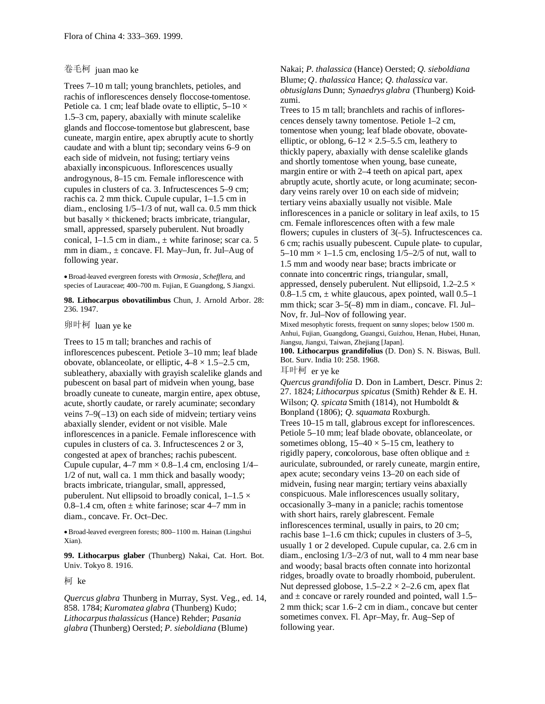## 卷毛柯 juan mao ke

Trees 7–10 m tall; young branchlets, petioles, and rachis of inflorescences densely floccose-tomentose. Petiole ca. 1 cm; leaf blade ovate to elliptic,  $5-10 \times$ 1.5–3 cm, papery, abaxially with minute scalelike glands and floccose-tomentose but glabrescent, base cuneate, margin entire, apex abruptly acute to shortly caudate and with a blunt tip; secondary veins 6–9 on each side of midvein, not fusing; tertiary veins abaxially inconspicuous. Inflorescences usually androgynous, 8–15 cm. Female inflorescence with cupules in clusters of ca. 3. Infructescences 5–9 cm; rachis ca. 2 mm thick. Cupule cupular, 1–1.5 cm in diam., enclosing 1/5–1/3 of nut, wall ca. 0.5 mm thick but basally  $\times$  thickened; bracts imbricate, triangular, small, appressed, sparsely puberulent. Nut broadly conical,  $1-1.5$  cm in diam.,  $\pm$  white farinose; scar ca. 5 mm in diam., ± concave. Fl. May–Jun, fr. Jul–Aug of following year.

Broad-leaved evergreen forests with *Ormosia, Schefflera,* and species of Lauraceae; 400–700 m. Fujian, E Guangdong, S Jiangxi.

**98. Lithocarpus obovatilimbus** Chun, J. Arnold Arbor. 28: 236. 1947.

卵叶柯 luan ye ke

Trees to 15 m tall; branches and rachis of inflorescences pubescent. Petiole 3–10 mm; leaf blade obovate, oblanceolate, or elliptic,  $4-8 \times 1.5-2.5$  cm, subleathery, abaxially with grayish scalelike glands and pubescent on basal part of midvein when young, base broadly cuneate to cuneate, margin entire, apex obtuse, acute, shortly caudate, or rarely acuminate; secondary veins 7–9(–13) on each side of midvein; tertiary veins abaxially slender, evident or not visible. Male inflorescences in a panicle. Female inflorescence with cupules in clusters of ca. 3. Infructescences 2 or 3, congested at apex of branches; rachis pubescent. Cupule cupular,  $4-7$  mm  $\times$  0.8–1.4 cm, enclosing  $1/4$ – 1/2 of nut, wall ca. 1 mm thick and basally woody; bracts imbricate, triangular, small, appressed, puberulent. Nut ellipsoid to broadly conical,  $1-1.5 \times$  $0.8-1.4$  cm, often  $\pm$  white farinose; scar 4–7 mm in diam., concave. Fr. Oct–Dec.

Broad-leaved evergreen forests; 800–1100 m. Hainan (Lingshui Xian).

**99. Lithocarpus glaber** (Thunberg) Nakai, Cat. Hort. Bot. Univ. Tokyo 8. 1916.

柯 ke

*Quercus glabra* Thunberg in Murray, Syst. Veg., ed. 14, 858. 1784; *Kuromatea glabra* (Thunberg) Kudo; *Lithocarpusthalassicus* (Hance) Rehder; *Pasania glabra* (Thunberg) Oersted; *P*. *sieboldiana* (Blume)

Nakai; *P*. *thalassica* (Hance) Oersted; *Q. sieboldiana* Blume; *Q*. *thalassica* Hance; *Q*. *thalassica* var. *obtusiglans* Dunn; *Synaedrys glabra* (Thunberg) Koidzumi.

Trees to 15 m tall; branchlets and rachis of inflorescences densely tawny tomentose. Petiole 1–2 cm, tomentose when young; leaf blade obovate, obovateelliptic, or oblong,  $6-12 \times 2.5-5.5$  cm, leathery to thickly papery, abaxially with dense scalelike glands and shortly tomentose when young, base cuneate, margin entire or with 2–4 teeth on apical part, apex abruptly acute, shortly acute, or long acuminate; secondary veins rarely over 10 on each side of midvein; tertiary veins abaxially usually not visible. Male inflorescences in a panicle or solitary in leaf axils, to 15 cm. Female inflorescences often with a few male flowers; cupules in clusters of  $3(-5)$ . Infructescences ca. 6 cm; rachis usually pubescent. Cupule plate- to cupular, 5–10 mm  $\times$  1–1.5 cm, enclosing 1/5–2/5 of nut, wall to 1.5 mm and woody near base; bracts imbricate or connate into concentric rings, triangular, small, appressed, densely puberulent. Nut ellipsoid,  $1.2-2.5 \times$ 0.8–1.5 cm,  $\pm$  white glaucous, apex pointed, wall 0.5–1 mm thick; scar 3–5(–8) mm in diam., concave. Fl. Jul– Nov, fr. Jul–Nov of following year.

Mixed mesophytic forests, frequent on sunny slopes; below 1500 m. Anhui, Fujian, Guangdong, Guangxi, Guizhou, Henan, Hubei, Hunan, Jiangsu, Jiangxi, Taiwan, Zhejiang [Japan].

**100. Lithocarpus grandifolius** (D. Don) S. N. Biswas, Bull. Bot. Surv. India 10: 258. 1968.

耳叶柯 er ye ke

*Quercus grandifolia* D. Don in Lambert, Descr. Pinus 2: 27. 1824; *Lithocarpus spicatus* (Smith) Rehder & E. H. Wilson; *Q. spicata* Smith (1814), not Humboldt & Bonpland (1806); *Q*. *squamata* Roxburgh. Trees 10–15 m tall, glabrous except for inflorescences. Petiole 5–10 mm; leaf blade obovate, oblanceolate, or sometimes oblong,  $15-40 \times 5-15$  cm, leathery to rigidly papery, concolorous, base often oblique and  $\pm$ auriculate, subrounded, or rarely cuneate, margin entire, apex acute; secondary veins 13–20 on each side of midvein, fusing near margin; tertiary veins abaxially conspicuous. Male inflorescences usually solitary, occasionally 3–many in a panicle; rachis tomentose with short hairs, rarely glabrescent. Female inflorescences terminal, usually in pairs, to 20 cm; rachis base 1–1.6 cm thick; cupules in clusters of 3–5, usually 1 or 2 developed. Cupule cupular, ca. 2.6 cm in diam., enclosing 1/3–2/3 of nut, wall to 4 mm near base and woody; basal bracts often connate into horizontal ridges, broadly ovate to broadly rhomboid, puberulent. Nut depressed globose,  $1.5-2.2 \times 2-2.6$  cm, apex flat and  $\pm$  concave or rarely rounded and pointed, wall 1.5– 2 mm thick; scar 1.6–2 cm in diam., concave but center sometimes convex. Fl. Apr–May, fr. Aug–Sep of following year.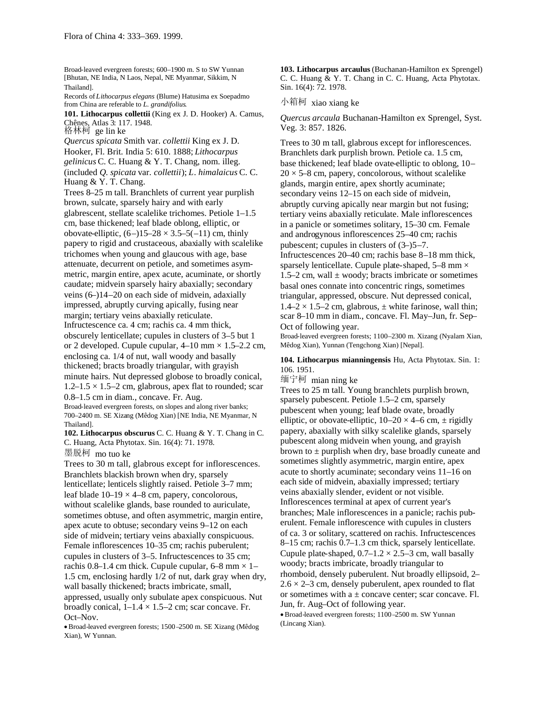Broad-leaved evergreen forests; 600–1900 m. S to SW Yunnan [Bhutan, NE India, N Laos, Nepal, NE Myanmar, Sikkim, N Thailand].

Records of*Lithocarpus elegans* (Blume) Hatusima ex Soepadmo from China are referable to *L. grandifolius*.

**101. Lithocarpus collettii** (King ex J. D. Hooker) A. Camus, Chênes, Atlas 3: 117. 1948. 格林柯 ge lin ke

*Quercus spicata* Smith var. *collettii* King ex J. D. Hooker, Fl. Brit. India 5: 610. 1888; *Lithocarpus gelinicus* C. C. Huang & Y. T. Chang, nom. illeg. (included *Q. spicata* var. *collettii*); *L*. *himalaicus* C. C. Huang & Y. T. Chang.

Trees 8–25 m tall. Branchlets of current year purplish brown, sulcate, sparsely hairy and with early glabrescent, stellate scalelike trichomes. Petiole 1–1.5 cm, base thickened; leaf blade oblong, elliptic, or obovate-elliptic,  $(6–)15–28 \times 3.5–5(-11)$  cm, thinly papery to rigid and crustaceous, abaxially with scalelike trichomes when young and glaucous with age, base attenuate, decurrent on petiole, and sometimes asymmetric, margin entire, apex acute, acuminate, or shortly caudate; midvein sparsely hairy abaxially; secondary veins (6–)14–20 on each side of midvein, adaxially impressed, abruptly curving apically, fusing near margin; tertiary veins abaxially reticulate. Infructescence ca. 4 cm; rachis ca. 4 mm thick, obscurely lenticellate; cupules in clusters of 3–5 but 1 or 2 developed. Cupule cupular,  $4-10$  mm  $\times$  1.5–2.2 cm, enclosing ca. 1/4 of nut, wall woody and basally thickened; bracts broadly triangular, with grayish minute hairs. Nut depressed globose to broadly conical,  $1.2-1.5 \times 1.5-2$  cm, glabrous, apex flat to rounded; scar 0.8–1.5 cm in diam., concave. Fr. Aug.

Broad-leaved evergreen forests, on slopes and along river banks; 700–2400 m. SE Xizang (Mêdog Xian) [NE India, NE Myanmar, N Thailand].

**102. Lithocarpus obscurus** C. C. Huang & Y. T. Chang in C. C. Huang, Acta Phytotax. Sin. 16(4): 71. 1978.

墨脱柯 mo tuo ke

Trees to 30 m tall, glabrous except for inflorescences. Branchlets blackish brown when dry, sparsely lenticellate; lenticels slightly raised. Petiole 3–7 mm; leaf blade  $10-19 \times 4-8$  cm, papery, concolorous, without scalelike glands, base rounded to auriculate, sometimes obtuse, and often asymmetric, margin entire, apex acute to obtuse; secondary veins 9–12 on each side of midvein; tertiary veins abaxially conspicuous. Female inflorescences 10–35 cm; rachis puberulent; cupules in clusters of 3–5. Infructescences to 35 cm; rachis 0.8–1.4 cm thick. Cupule cupular, 6–8 mm  $\times$  1– 1.5 cm, enclosing hardly 1/2 of nut, dark gray when dry, wall basally thickened; bracts imbricate, small, appressed, usually only subulate apex conspicuous. Nut broadly conical,  $1-1.4 \times 1.5-2$  cm; scar concave. Fr. Oct–Nov.

Broad-leaved evergreen forests; 1500 –2500 m. SE Xizang (Mêdog Xian), W Yunnan.

**103. Lithocarpus arcaulus** (Buchanan-Hamilton ex Sprengel) C. C. Huang & Y. T. Chang in C. C. Huang, Acta Phytotax. Sin. 16(4): 72. 1978.

小箱柯 xiao xiang ke

*Quercus arcaula* Buchanan-Hamilton ex Sprengel, Syst. Veg. 3: 857. 1826.

Trees to 30 m tall, glabrous except for inflorescences. Branchlets dark purplish brown. Petiole ca. 1.5 cm, base thickened; leaf blade ovate-elliptic to oblong, 10–  $20 \times 5$ –8 cm, papery, concolorous, without scalelike glands, margin entire, apex shortly acuminate; secondary veins 12–15 on each side of midvein, abruptly curving apically near margin but not fusing; tertiary veins abaxially reticulate. Male inflorescences in a panicle or sometimes solitary, 15–30 cm. Female and androgynous inflorescences 25–40 cm; rachis pubescent; cupules in clusters of (3–)5–7. Infructescences 20–40 cm; rachis base 8–18 mm thick, sparsely lenticellate. Cupule plate-shaped, 5–8 mm × 1.5–2 cm, wall  $\pm$  woody; bracts imbricate or sometimes basal ones connate into concentric rings, sometimes triangular, appressed, obscure. Nut depressed conical,  $1.4-2 \times 1.5-2$  cm, glabrous,  $\pm$  white farinose, wall thin; scar 8–10 mm in diam., concave. Fl. May–Jun, fr. Sep– Oct of following year.

Broad-leaved evergreen forests; 1100–2300 m. Xizang (Nyalam Xian, Mêdog Xian), Yunnan (Tengchong Xian) [Nepal].

**104. Lithocarpus mianningensis** Hu, Acta Phytotax. Sin. 1: 106. 1951.

缅宁柯 mian ning ke

Trees to 25 m tall. Young branchlets purplish brown, sparsely pubescent. Petiole 1.5–2 cm, sparsely pubescent when young; leaf blade ovate, broadly elliptic, or obovate-elliptic,  $10-20 \times 4-6$  cm,  $\pm$  rigidly papery, abaxially with silky scalelike glands, sparsely pubescent along midvein when young, and grayish brown to  $\pm$  purplish when dry, base broadly cuneate and sometimes slightly asymmetric, margin entire, apex acute to shortly acuminate; secondary veins 11–16 on each side of midvein, abaxially impressed; tertiary veins abaxially slender, evident or not visible. Inflorescences terminal at apex of current year's branches; Male inflorescences in a panicle; rachis puberulent. Female inflorescence with cupules in clusters of ca. 3 or solitary, scattered on rachis. Infructescences 8–15 cm; rachis 0.7–1.3 cm thick, sparsely lenticellate. Cupule plate-shaped,  $0.7-1.2 \times 2.5-3$  cm, wall basally woody; bracts imbricate, broadly triangular to rhomboid, densely puberulent. Nut broadly ellipsoid, 2–  $2.6 \times 2-3$  cm, densely puberulent, apex rounded to flat or sometimes with  $a \pm$  concave center; scar concave. Fl. Jun, fr. Aug–Oct of following year.

Broad-leaved evergreen forests; 1100 –2500 m. SW Yunnan (Lincang Xian).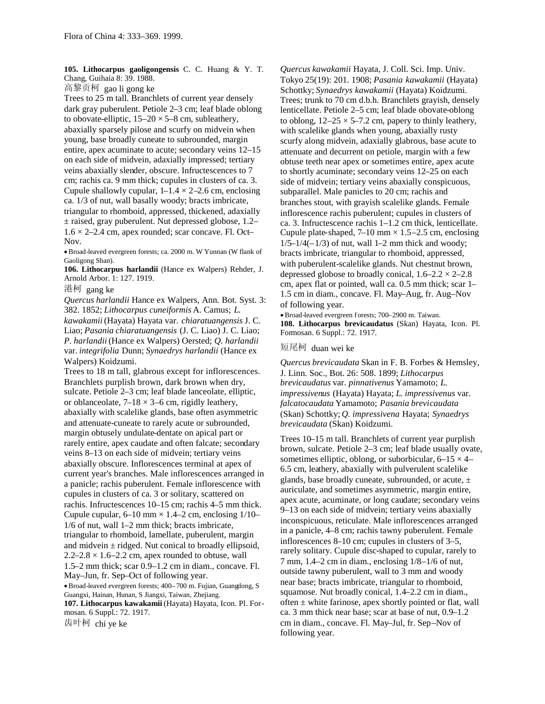**105. Lithocarpus gaoligongensis** C. C. Huang & Y. T. Chang, Guihaia 8: 39. 1988.

高黎贡柯 gao li gong ke

Trees to 25 m tall. Branchlets of current year densely dark gray puberulent. Petiole 2–3 cm; leaf blade oblong to obovate-elliptic,  $15-20 \times 5-8$  cm, subleathery, abaxially sparsely pilose and scurfy on midvein when young, base broadly cuneate to subrounded, margin entire, apex acuminate to acute; secondary veins 12–15 on each side of midvein, adaxially impressed; tertiary veins abaxially slender, obscure. Infructescences to 7 cm; rachis ca. 9 mm thick; cupules in clusters of ca. 3. Cupule shallowly cupular,  $1-1.4 \times 2-2.6$  cm, enclosing ca. 1/3 of nut, wall basally woody; bracts imbricate, triangular to rhomboid, appressed, thickened, adaxially ± raised, gray puberulent. Nut depressed globose, 1.2–  $1.6 \times 2$ –2.4 cm, apex rounded; scar concave. Fl. Oct– Nov.

Broad-leaved evergreen forests; ca. 2000 m. W Yunnan (W flank of Gaoligong Shan).

**106. Lithocarpus harlandii** (Hance ex Walpers) Rehder, J. Arnold Arbor. 1: 127. 1919.

港柯 gang ke

*Quercus harlandii* Hance ex Walpers, Ann. Bot. Syst. 3: 382. 1852; *Lithocarpus cuneiformis* A. Camus; *L*.

*kawakamii* (Hayata) Hayata var. *chiaratuangensis* J. C. Liao; *Pasania chiaratuangensis* (J. C. Liao) J. C. Liao; *P*. *harlandii* (Hance ex Walpers) Oersted; *Q. harlandii* var. *integrifolia* Dunn; *Synaedrys harlandii* (Hance ex Walpers) Koidzumi.

Trees to 18 m tall, glabrous except for inflorescences. Branchlets purplish brown, dark brown when dry, sulcate. Petiole 2–3 cm; leaf blade lanceolate, elliptic, or oblanceolate,  $7-18 \times 3-6$  cm, rigidly leathery, abaxially with scalelike glands, base often asymmetric and attenuate-cuneate to rarely acute or subrounded, margin obtusely undulate-dentate on apical part or rarely entire, apex caudate and often falcate; secondary veins 8–13 on each side of midvein; tertiary veins abaxially obscure. Inflorescences terminal at apex of current year's branches. Male inflorescences arranged in a panicle; rachis puberulent. Female inflorescence with cupules in clusters of ca. 3 or solitary, scattered on rachis. Infructescences 10–15 cm; rachis 4–5 mm thick. Cupule cupular,  $6-10$  mm  $\times$  1.4–2 cm, enclosing 1/10– 1/6 of nut, wall 1–2 mm thick; bracts imbricate, triangular to rhomboid, lamellate, puberulent, margin and midvein  $\pm$  ridged. Nut conical to broadly ellipsoid,  $2.2-2.8 \times 1.6-2.2$  cm, apex rounded to obtuse, wall

1.5–2 mm thick; scar 0.9–1.2 cm in diam., concave. Fl. May–Jun, fr. Sep–Oct of following year.

Broad-leaved evergreen forests; 400–700 m. Fujian, Guangdong, S Guangxi, Hainan, Hunan, S Jiangxi, Taiwan, Zhejiang.

**107. Lithocarpus kawakamii** (Hayata) Hayata, Icon. Pl. Formosan. 6 Suppl.: 72. 1917.

齿叶柯 chi ye ke

*Quercus kawakamii* Hayata, J. Coll. Sci. Imp. Univ. Tokyo 25(19): 201. 1908; *Pasania kawakamii* (Hayata) Schottky; *Synaedrys kawakamii* (Hayata) Koidzumi. Trees; trunk to 70 cm d.b.h. Branchlets grayish, densely lenticellate. Petiole 2–5 cm; leaf blade obovate-oblong to oblong,  $12-25 \times 5-7.2$  cm, papery to thinly leathery, with scalelike glands when young, abaxially rusty scurfy along midvein, adaxially glabrous, base acute to attenuate and decurrent on petiole, margin with a few obtuse teeth near apex or sometimes entire, apex acute to shortly acuminate; secondary veins 12–25 on each side of midvein; tertiary veins abaxially conspicuous, subparallel. Male panicles to 20 cm; rachis and branches stout, with grayish scalelike glands. Female inflorescence rachis puberulent; cupules in clusters of ca. 3. Infructescence rachis 1–1.2 cm thick, lenticellate. Cupule plate-shaped,  $7-10$  mm  $\times$  1.5–2.5 cm, enclosing  $1/5-1/4(-1/3)$  of nut, wall 1–2 mm thick and woody; bracts imbricate, triangular to rhomboid, appressed, with puberulent-scalelike glands. Nut chestnut brown, depressed globose to broadly conical,  $1.6-2.2 \times 2-2.8$ cm, apex flat or pointed, wall ca. 0.5 mm thick; scar 1– 1.5 cm in diam., concave. Fl. May–Aug, fr. Aug–Nov of following year.

Broad-leaved evergreen forests; 700–2900 m. Taiwan. **108. Lithocarpus brevicaudatus** (Skan) Hayata, Icon. Pl. Formosan. 6 Suppl.: 72. 1917.

## 短尾柯 duan wei ke

*Quercus brevicaudata* Skan in F. B. Forbes & Hemsley, J. Linn. Soc., Bot. 26: 508. 1899; *Lithocarpus brevicaudatus* var. *pinnativenus* Yamamoto; *L. impressivenus* (Hayata) Hayata; *L*. *impressivenus* var. *falcatocaudata* Yamamoto; *Pasania brevicaudata* (Skan) Schottky; *Q. impressivena* Hayata; *Synaedrys brevicaudata* (Skan) Koidzumi.

Trees 10–15 m tall. Branchlets of current year purplish brown, sulcate. Petiole 2–3 cm; leaf blade usually ovate, sometimes elliptic, oblong, or suborbicular,  $6-15 \times 4-$ 6.5 cm, leathery, abaxially with pulverulent scalelike glands, base broadly cuneate, subrounded, or acute, ± auriculate, and sometimes asymmetric, margin entire, apex acute, acuminate, or long caudate; secondary veins 9–13 on each side of midvein; tertiary veins abaxially inconspicuous, reticulate. Male inflorescences arranged in a panicle, 4–8 cm; rachis tawny puberulent. Female inflorescences 8–10 cm; cupules in clusters of 3–5, rarely solitary. Cupule disc-shaped to cupular, rarely to 7 mm, 1.4–2 cm in diam., enclosing 1/8–1/6 of nut, outside tawny puberulent, wall to 3 mm and woody near base; bracts imbricate, triangular to rhomboid, squamose. Nut broadly conical, 1.4–2.2 cm in diam., often  $\pm$  white farinose, apex shortly pointed or flat, wall ca. 3 mm thick near base; scar at base of nut, 0.9–1.2 cm in diam., concave. Fl. May–Jul, fr. Sep–Nov of following year.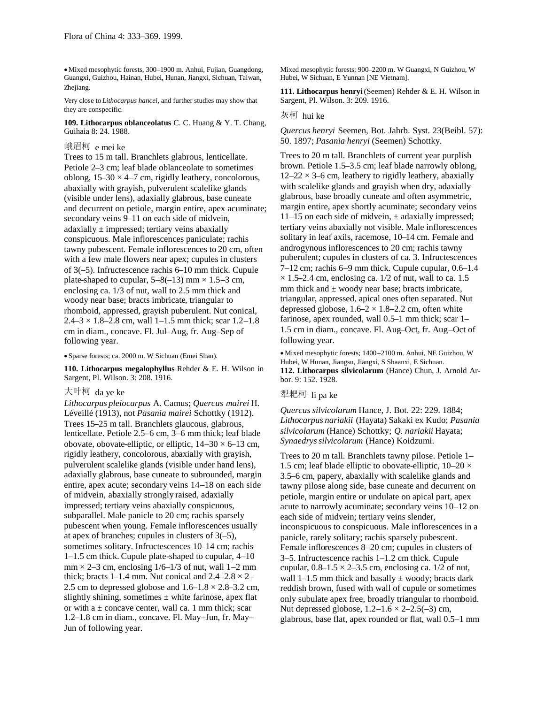Mixed mesophytic forests, 300–1900 m. Anhui, Fujian, Guangdong, Guangxi, Guizhou, Hainan, Hubei, Hunan, Jiangxi, Sichuan, Taiwan, Zhejiang.

Very close to *Lithocarpus hancei,* and further studies may show that they are conspecific.

**109. Lithocarpus oblanceolatus** C. C. Huang & Y. T. Chang, Guihaia 8: 24. 1988.

## 峨眉柯 e mei ke

Trees to 15 m tall. Branchlets glabrous, lenticellate. Petiole 2–3 cm; leaf blade oblanceolate to sometimes oblong,  $15-30 \times 4-7$  cm, rigidly leathery, concolorous, abaxially with grayish, pulverulent scalelike glands (visible under lens), adaxially glabrous, base cuneate and decurrent on petiole, margin entire, apex acuminate; secondary veins 9–11 on each side of midvein, adaxially  $\pm$  impressed; tertiary veins abaxially conspicuous. Male inflorescences paniculate; rachis tawny pubescent. Female inflorescences to 20 cm, often with a few male flowers near apex; cupules in clusters of 3(–5). Infructescence rachis 6–10 mm thick. Cupule plate-shaped to cupular,  $5-8(-13)$  mm  $\times$  1.5–3 cm, enclosing ca. 1/3 of nut, wall to 2.5 mm thick and woody near base; bracts imbricate, triangular to rhomboid, appressed, grayish puberulent. Nut conical,  $2.4 - 3 \times 1.8 - 2.8$  cm, wall 1-1.5 mm thick; scar 1.2-1.8 cm in diam., concave. Fl. Jul–Aug, fr. Aug–Sep of following year.

Sparse forests; ca. 2000 m. W Sichuan (Emei Shan).

**110. Lithocarpus megalophyllus** Rehder & E. H. Wilson in Sargent, Pl. Wilson. 3: 208. 1916.

#### 大叶柯 da ye ke

*Lithocarpus pleiocarpus* A. Camus; *Quercus mairei* H. Léveillé (1913), not *Pasania mairei* Schottky (1912). Trees 15–25 m tall. Branchlets glaucous, glabrous, lenticellate. Petiole 2.5–6 cm, 3–6 mm thick; leaf blade obovate, obovate-elliptic, or elliptic,  $14-30 \times 6-13$  cm, rigidly leathery, concolorous, abaxially with grayish, pulverulent scalelike glands (visible under hand lens), adaxially glabrous, base cuneate to subrounded, margin entire, apex acute; secondary veins 14–18 on each side of midvein, abaxially strongly raised, adaxially impressed; tertiary veins abaxially conspicuous, subparallel. Male panicle to 20 cm; rachis sparsely pubescent when young. Female inflorescences usually at apex of branches; cupules in clusters of  $3(-5)$ , sometimes solitary. Infructescences 10–14 cm; rachis 1–1.5 cm thick. Cupule plate-shaped to cupular, 4–10  $mm \times 2-3$  cm, enclosing  $1/6-1/3$  of nut, wall 1–2 mm thick; bracts 1–1.4 mm. Nut conical and  $2.4-2.8 \times 2-$ 2.5 cm to depressed globose and  $1.6-1.8 \times 2.8-3.2$  cm, slightly shining, sometimes  $\pm$  white farinose, apex flat or with a  $\pm$  concave center, wall ca. 1 mm thick; scar 1.2–1.8 cm in diam., concave. Fl. May–Jun, fr. May– Jun of following year.

Mixed mesophytic forests; 900–2200 m. W Guangxi, N Guizhou, W Hubei, W Sichuan, E Yunnan [NE Vietnam].

**111. Lithocarpus henryi**(Seemen) Rehder & E. H. Wilson in Sargent, Pl. Wilson. 3: 209. 1916.

# 灰柯 hui ke

*Quercus henryi* Seemen, Bot. Jahrb. Syst. 23(Beibl. 57): 50. 1897; *Pasania henryi* (Seemen) Schottky.

Trees to 20 m tall. Branchlets of current year purplish brown. Petiole 1.5–3.5 cm; leaf blade narrowly oblong,  $12-22 \times 3$ –6 cm, leathery to rigidly leathery, abaxially with scalelike glands and grayish when dry, adaxially glabrous, base broadly cuneate and often asymmetric, margin entire, apex shortly acuminate; secondary veins 11–15 on each side of midvein,  $\pm$  adaxially impressed; tertiary veins abaxially not visible. Male inflorescences solitary in leaf axils, racemose, 10–14 cm. Female and androgynous inflorescences to 20 cm; rachis tawny puberulent; cupules in clusters of ca. 3. Infructescences 7–12 cm; rachis 6–9 mm thick. Cupule cupular, 0.6–1.4  $\times$  1.5–2.4 cm, enclosing ca. 1/2 of nut, wall to ca. 1.5 mm thick and  $\pm$  woody near base; bracts imbricate, triangular, appressed, apical ones often separated. Nut depressed globose,  $1.6-2 \times 1.8-2.2$  cm, often white farinose, apex rounded, wall 0.5–1 mm thick; scar 1– 1.5 cm in diam., concave. Fl. Aug–Oct, fr. Aug–Oct of following year.

Mixed mesophytic forests; 1400–2100 m. Anhui, NE Guizhou, W Hubei, W Hunan, Jiangsu, Jiangxi, S Shaanxi, E Sichuan. **112. Lithocarpus silvicolarum** (Hance) Chun, J. Arnold Arbor. 9: 152. 1928.

# 犁耙柯 li pa ke

*Quercus silvicolarum* Hance, J. Bot. 22: 229. 1884; *Lithocarpus nariakii* (Hayata) Sakaki ex Kudo; *Pasania silvicolarum* (Hance) Schottky; *Q. nariakii* Hayata; *Synaedryssilvicolarum* (Hance) Koidzumi.

Trees to 20 m tall. Branchlets tawny pilose. Petiole 1– 1.5 cm; leaf blade elliptic to obovate-elliptic,  $10-20 \times$ 3.5–6 cm, papery, abaxially with scalelike glands and tawny pilose along side, base cuneate and decurrent on petiole, margin entire or undulate on apical part, apex acute to narrowly acuminate; secondary veins 10–12 on each side of midvein; tertiary veins slender, inconspicuous to conspicuous. Male inflorescences in a panicle, rarely solitary; rachis sparsely pubescent. Female inflorescences 8–20 cm; cupules in clusters of 3–5. Infructescence rachis 1–1.2 cm thick. Cupule cupular,  $0.8-1.5 \times 2-3.5$  cm, enclosing ca. 1/2 of nut, wall 1–1.5 mm thick and basally  $\pm$  woody; bracts dark reddish brown, fused with wall of cupule or sometimes only subulate apex free, broadly triangular to rhomboid. Nut depressed globose,  $1.2-1.6 \times 2-2.5(-3)$  cm, glabrous, base flat, apex rounded or flat, wall 0.5–1 mm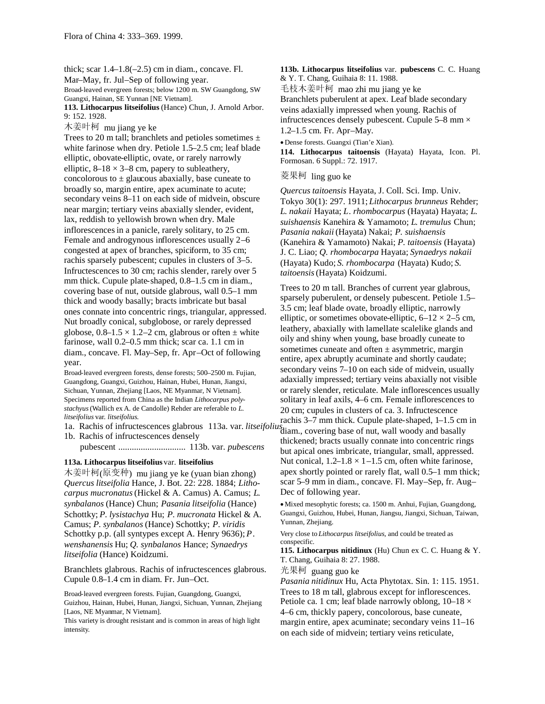thick; scar  $1.4-1.8(-2.5)$  cm in diam., concave. Fl. Mar–May, fr. Jul–Sep of following year.

Broad-leaved evergreen forests; below 1200 m. SW Guangdong, SW Guangxi, Hainan, SE Yunnan [NE Vietnam].

**113. Lithocarpus litseifolius** (Hance) Chun, J. Arnold Arbor. 9: 152. 1928.

木姜叶柯 mu jiang ye ke

Trees to 20 m tall; branchlets and petioles sometimes  $\pm$ white farinose when dry. Petiole 1.5–2.5 cm; leaf blade elliptic, obovate-elliptic, ovate, or rarely narrowly elliptic,  $8-18 \times 3-8$  cm, papery to subleathery, concolorous to  $\pm$  glaucous abaxially, base cuneate to broadly so, margin entire, apex acuminate to acute; secondary veins 8–11 on each side of midvein, obscure near margin; tertiary veins abaxially slender, evident, lax, reddish to yellowish brown when dry. Male inflorescencesin a panicle, rarely solitary, to 25 cm. Female and androgynous inflorescences usually 2–6 congested at apex of branches, spiciform, to 35 cm; rachis sparsely pubescent; cupules in clusters of 3–5. Infructescences to 30 cm; rachis slender, rarely over 5 mm thick. Cupule plate-shaped, 0.8–1.5 cm in diam., covering base of nut, outside glabrous, wall 0.5–1 mm thick and woody basally; bracts imbricate but basal ones connate into concentric rings, triangular, appressed. Nut broadly conical, subglobose, or rarely depressed globose,  $0.8-1.5 \times 1.2-2$  cm, glabrous or often  $\pm$  white farinose, wall 0.2–0.5 mm thick; scar ca. 1.1 cm in diam., concave. Fl. May–Sep, fr. Apr–Oct of following year.

Broad-leaved evergreen forests, dense forests; 500–2500 m. Fujian, Guangdong, Guangxi, Guizhou, Hainan, Hubei, Hunan, Jiangxi, Sichuan, Yunnan, Zhejiang [Laos, NE Myanmar, N Vietnam]. Specimens reported from China as the Indian *Lithocarpus polystachyus*(Wallich ex A. de Candolle) Rehder are referable to *L. litseifolius* var. *litseifolius*.

1b. Rachis of infructescences densely pubescent .............................. 113b. var. *pubescens*

#### **113a. Lithocarpus litseifolius** var. **litseifolius**

木姜叶柯(原变种) mu jiang ye ke (yuan bian zhong) *Quercus litseifolia* Hance, J. Bot. 22: 228. 1884; *Lithocarpus mucronatus*(Hickel & A. Camus) A. Camus; *L*. *synbalanos* (Hance) Chun; *Pasania litseifolia* (Hance) Schottky; *P*. *lysistachya* Hu; *P*. *mucronata* Hickel & A. Camus; *P*. *synbalanos* (Hance) Schottky; *P*. *viridis* Schottky p.p. (all syntypes except A. Henry 9636); *P*. *wenshanensis* Hu; *Q. synbalanos* Hance; *Synaedrys litseifolia* (Hance) Koidzumi.

Branchlets glabrous. Rachis of infructescences glabrous. Cupule 0.8–1.4 cm in diam. Fr. Jun–Oct.

Broad-leaved evergreen forests. Fujian, Guangdong, Guangxi, Guizhou, Hainan, Hubei, Hunan, Jiangxi, Sichuan, Yunnan, Zhejiang [Laos, NE Myanmar, N Vietnam].

This variety is drought resistant and is common in areas of high light intensity.

**113b. Lithocarpus litseifolius** var. **pubescens** C. C. Huang & Y. T. Chang, Guihaia 8: 11. 1988.

毛枝木姜叶柯 mao zhi mu jiang ye ke Branchlets puberulent at apex. Leaf blade secondary veins adaxially impressed when young. Rachis of infructescences densely pubescent. Cupule  $5-8$  mm  $\times$ 1.2–1.5 cm. Fr. Apr–May.

Dense forests. Guangxi (Tian'e Xian).

**114. Lithocarpus taitoensis** (Hayata) Hayata, Icon. Pl. Formosan. 6 Suppl.: 72. 1917.

### 菱果柯 ling guo ke

*Quercus taitoensis* Hayata, J. Coll. Sci. Imp. Univ. Tokyo 30(1): 297. 1911; *Lithocarpus brunneus* Rehder; *L*. *nakaii* Hayata; *L*. *rhombocarpus* (Hayata) Hayata; *L*. *suishaensis* Kanehira & Yamamoto; *L*. *tremulus* Chun; *Pasania nakaii*(Hayata) Nakai; *P. suishaensis* (Kanehira & Yamamoto) Nakai; *P. taitoensis* (Hayata) J. C. Liao; *Q. rhombocarpa* Hayata; *Synaedrys nakaii* (Hayata) Kudo; *S. rhombocarpa* (Hayata) Kudo; *S. taitoensis*(Hayata) Koidzumi.

Trees to 20 m tall. Branches of current year glabrous, sparsely puberulent, or densely pubescent. Petiole 1.5– 3.5 cm; leaf blade ovate, broadly elliptic, narrowly elliptic, or sometimes obovate-elliptic,  $6-12 \times 2-5$  cm, leathery, abaxially with lamellate scalelike glands and oily and shiny when young, base broadly cuneate to sometimes cuneate and often  $\pm$  asymmetric, margin entire, apex abruptly acuminate and shortly caudate; secondary veins 7–10 on each side of midvein, usually adaxially impressed; tertiary veins abaxially not visible or rarely slender, reticulate. Male inflorescences usually solitary in leaf axils, 4–6 cm. Female inflorescences to 20 cm; cupules in clusters of ca. 3. Infructescence

1a. Rachis of infructescences glabrous 113a. var. *litseifolius* diam., covering base of nut, wall woody and basally rachis 3–7 mm thick. Cupule plate-shaped, 1–1.5 cm in thickened; bracts usually connate into concentric rings but apical ones imbricate, triangular, small, appressed. Nut conical,  $1.2-1.8 \times 1-1.5$  cm, often white farinose, apex shortly pointed or rarely flat, wall 0.5–1 mm thick; scar 5–9 mm in diam., concave. Fl. May–Sep, fr. Aug– Dec of following year.

> Mixed mesophytic forests; ca. 1500 m. Anhui, Fujian, Guangdong, Guangxi, Guizhou, Hubei, Hunan, Jiangsu, Jiangxi, Sichuan, Taiwan, Yunnan, Zhejiang.

Very close to *Lithocarpus litseifolius,* and could be treated as conspecific.

**115. Lithocarpus nitidinux** (Hu) Chun ex C. C. Huang & Y. T. Chang, Guihaia 8: 27. 1988.

光果柯 guang guo ke

*Pasania nitidinux* Hu, Acta Phytotax. Sin. 1: 115. 1951. Trees to 18 m tall, glabrous except for inflorescences. Petiole ca. 1 cm; leaf blade narrowly oblong,  $10-18 \times$ 4–6 cm, thickly papery, concolorous, base cuneate, margin entire, apex acuminate; secondary veins 11–16 on each side of midvein; tertiary veins reticulate,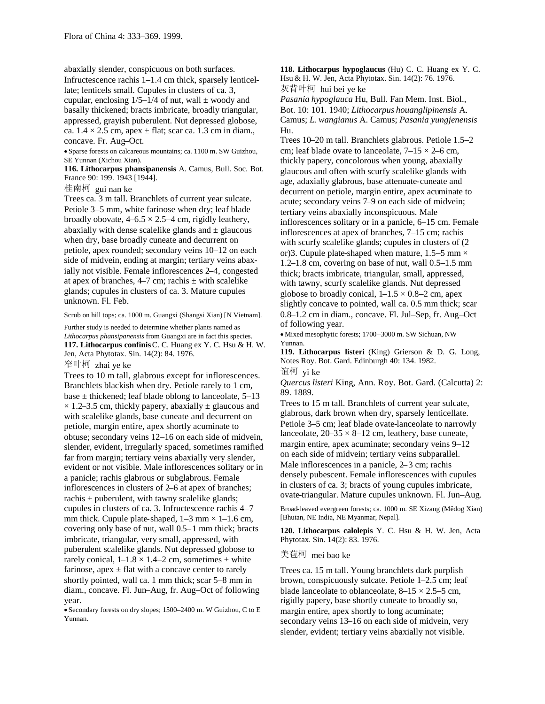abaxially slender, conspicuous on both surfaces.

Infructescence rachis 1–1.4 cm thick, sparsely lenticellate; lenticels small. Cupules in clusters of ca. 3, cupular, enclosing  $1/5-1/4$  of nut, wall  $\pm$  woody and basally thickened; bracts imbricate, broadly triangular, appressed, grayish puberulent. Nut depressed globose, ca.  $1.4 \times 2.5$  cm, apex  $\pm$  flat; scar ca. 1.3 cm in diam., concave. Fr. Aug–Oct.

Sparse forests on calcareous mountains; ca. 1100 m. SW Guizhou, SE Yunnan (Xichou Xian).

**116. Lithocarpus phansipanensis** A. Camus, Bull. Soc. Bot. France 90: 199. 1943 [1944].

桂南柯 gui nan ke

Trees ca. 3 m tall. Branchlets of current year sulcate. Petiole 3–5 mm, white farinose when dry; leaf blade broadly obovate,  $4-6.5 \times 2.5-4$  cm, rigidly leathery, abaxially with dense scalelike glands and  $\pm$  glaucous when dry, base broadly cuneate and decurrent on petiole, apex rounded; secondary veins 10–12 on each side of midvein, ending at margin; tertiary veins abaxially not visible. Female inflorescences 2–4, congested at apex of branches,  $4-7$  cm; rachis  $\pm$  with scalelike glands; cupules in clusters of ca. 3. Mature cupules unknown. Fl. Feb.

Scrub on hill tops; ca. 1000 m. Guangxi (Shangsi Xian) [N Vietnam].

Further study is needed to determine whether plants named as *Lithocarpus phansipanensis* from Guangxi are in fact this species. **117. Lithocarpus confinis**C. C. Huang ex Y. C. Hsu & H. W. Jen, Acta Phytotax. Sin. 14(2): 84. 1976.

窄叶柯 zhai ye ke

Trees to 10 m tall, glabrous except for inflorescences. Branchlets blackish when dry. Petiole rarely to 1 cm, base  $\pm$  thickened; leaf blade oblong to lanceolate, 5–13  $\times$  1.2–3.5 cm, thickly papery, abaxially  $\pm$  glaucous and with scalelike glands, base cuneate and decurrent on petiole, margin entire, apex shortly acuminate to obtuse; secondary veins 12–16 on each side of midvein, slender, evident, irregularly spaced, sometimes ramified far from margin; tertiary veins abaxially very slender, evident or not visible. Male inflorescences solitary or in a panicle; rachis glabrous or subglabrous. Female inflorescences in clusters of 2–6 at apex of branches; rachis  $\pm$  puberulent, with tawny scalelike glands; cupules in clusters of ca. 3. Infructescence rachis 4–7 mm thick. Cupule plate-shaped,  $1-3$  mm  $\times$  1-1.6 cm, covering only base of nut, wall 0.5–1 mm thick; bracts imbricate, triangular, very small, appressed, with puberulent scalelike glands. Nut depressed globose to rarely conical,  $1-1.8 \times 1.4-2$  cm, sometimes  $\pm$  white farinose, apex  $\pm$  flat with a concave center to rarely shortly pointed, wall ca. 1 mm thick; scar 5–8 mm in diam., concave. Fl. Jun–Aug, fr. Aug–Oct of following year.

Secondary forests on dry slopes; 1500–2400 m. W Guizhou, C to E Yunnan.

**118. Lithocarpus hypoglaucus** (Hu) C. C. Huang ex Y. C. Hsu & H. W. Jen, Acta Phytotax. Sin. 14(2): 76. 1976. 灰背叶柯 hui bei ye ke

*Pasania hypoglauca* Hu, Bull. Fan Mem. Inst. Biol., Bot. 10: 101. 1940; *Lithocarpus houanglipinensis* A. Camus; *L*. *wangianus* A. Camus; *Pasania yungjenensis* Hu.

Trees 10–20 m tall. Branchlets glabrous. Petiole 1.5–2 cm; leaf blade ovate to lanceolate,  $7-15 \times 2-6$  cm, thickly papery, concolorous when young, abaxially glaucous and often with scurfy scalelike glands with age, adaxially glabrous, base attenuate-cuneate and decurrent on petiole, margin entire, apex acuminate to acute; secondary veins 7–9 on each side of midvein; tertiary veins abaxially inconspicuous. Male inflorescences solitary or in a panicle, 6–15 cm. Female inflorescences at apex of branches, 7–15 cm; rachis with scurfy scalelike glands; cupules in clusters of  $(2)$ or)3. Cupule plate-shaped when mature,  $1.5-5$  mm  $\times$ 1.2–1.8 cm, covering on base of nut, wall 0.5–1.5 mm thick; bracts imbricate, triangular, small, appressed, with tawny, scurfy scalelike glands. Nut depressed globose to broadly conical,  $1-1.5 \times 0.8-2$  cm, apex slightly concave to pointed, wall ca. 0.5 mm thick; scar 0.8–1.2 cm in diam., concave. Fl. Jul–Sep, fr. Aug–Oct of following year.

Mixed mesophytic forests; 1700–3000 m. SW Sichuan, NW Yunnan.

**119. Lithocarpus listeri** (King) Grierson & D. G. Long, Notes Roy. Bot. Gard. Edinburgh 40: 134. 1982. 谊柯 yi ke

*Quercus listeri* King, Ann. Roy. Bot. Gard. (Calcutta) 2: 89. 1889.

Trees to 15 m tall. Branchlets of current year sulcate, glabrous, dark brown when dry, sparsely lenticellate. Petiole 3–5 cm; leaf blade ovate-lanceolate to narrowly lanceolate,  $20-35 \times 8-12$  cm, leathery, base cuneate, margin entire, apex acuminate; secondary veins 9–12 on each side of midvein; tertiary veins subparallel. Male inflorescences in a panicle, 2–3 cm; rachis densely pubescent. Female inflorescences with cupules in clusters of ca. 3; bracts of young cupules imbricate, ovate-triangular. Mature cupules unknown. Fl. Jun–Aug.

Broad-leaved evergreen forests; ca. 1000 m. SE Xizang (Mêdog Xian) [Bhutan, NE India, NE Myanmar, Nepal].

**120. Lithocarpus calolepis** Y. C. Hsu & H. W. Jen, Acta Phytotax. Sin. 14(2): 83. 1976.

### 美苞柯 mei bao ke

Trees ca. 15 m tall. Young branchlets dark purplish brown, conspicuously sulcate. Petiole 1–2.5 cm; leaf blade lanceolate to oblanceolate,  $8-15 \times 2.5-5$  cm, rigidly papery, base shortly cuneate to broadly so, margin entire, apex shortly to long acuminate; secondary veins 13–16 on each side of midvein, very slender, evident; tertiary veins abaxially not visible.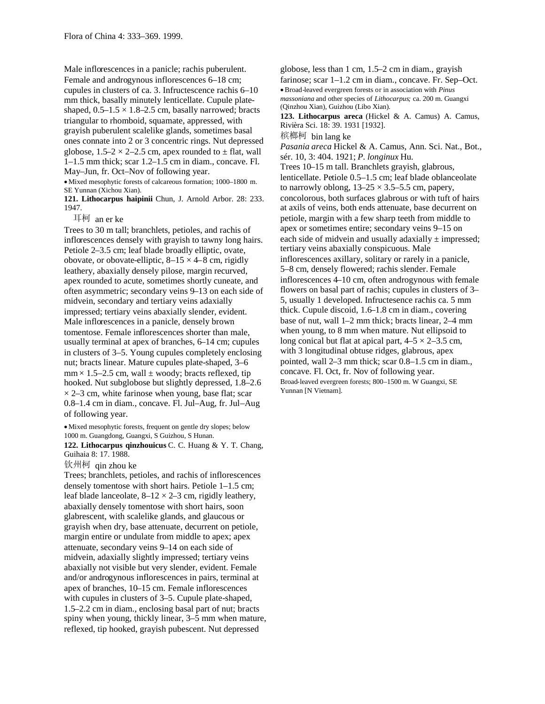Male inflorescences in a panicle; rachis puberulent. Female and androgynous inflorescences 6–18 cm; cupules in clusters of ca. 3. Infructescence rachis 6–10 mm thick, basally minutely lenticellate. Cupule plateshaped,  $0.5-1.5 \times 1.8-2.5$  cm, basally narrowed; bracts triangular to rhomboid, squamate, appressed, with grayish puberulent scalelike glands, sometimes basal ones connate into 2 or 3 concentric rings. Nut depressed globose,  $1.5-2 \times 2-2.5$  cm, apex rounded to  $\pm$  flat, wall 1–1.5 mm thick; scar 1.2–1.5 cm in diam., concave. Fl. May–Jun, fr. Oct–Nov of following year.

Mixed mesophytic forests of calcareous formation; 1000–1800 m. SE Yunnan (Xichou Xian).

**121. Lithocarpus haipinii** Chun, J. Arnold Arbor. 28: 233. 1947.

耳柯 an er ke

Trees to 30 m tall; branchlets, petioles, and rachis of inflorescences densely with grayish to tawny long hairs. Petiole 2–3.5 cm; leaf blade broadly elliptic, ovate, obovate, or obovate-elliptic,  $8-15 \times 4-8$  cm, rigidly leathery, abaxially densely pilose, margin recurved, apex rounded to acute, sometimes shortly cuneate, and often asymmetric; secondary veins 9–13 on each side of midvein, secondary and tertiary veins adaxially impressed; tertiary veins abaxially slender, evident. Male inflorescences in a panicle, densely brown tomentose. Female inflorescences shorter than male, usually terminal at apex of branches, 6–14 cm; cupules in clusters of 3–5. Young cupules completely enclosing nut; bracts linear. Mature cupules plate-shaped, 3–6  $mm \times 1.5{\text -}2.5$  cm, wall  $\pm$  woody; bracts reflexed, tip hooked. Nut subglobose but slightly depressed, 1.8–2.6  $\times$  2–3 cm, white farinose when young, base flat; scar 0.8–1.4 cm in diam., concave. Fl. Jul–Aug, fr. Jul–Aug of following year.

Mixed mesophytic forests, frequent on gentle dry slopes; below 1000 m. Guangdong, Guangxi, S Guizhou, S Hunan.

**122. Lithocarpus qinzhouicus** C. C. Huang & Y. T. Chang, Guihaia 8: 17. 1988.

# 钦州柯 qin zhou ke

Trees; branchlets, petioles, and rachis of inflorescences densely tomentose with short hairs. Petiole 1–1.5 cm; leaf blade lanceolate,  $8-12 \times 2-3$  cm, rigidly leathery, abaxially densely tomentose with short hairs, soon glabrescent, with scalelike glands, and glaucous or grayish when dry, base attenuate, decurrent on petiole, margin entire or undulate from middle to apex; apex attenuate, secondary veins 9–14 on each side of midvein, adaxially slightly impressed; tertiary veins abaxially not visible but very slender, evident. Female and/or androgynous inflorescences in pairs, terminal at apex of branches, 10–15 cm. Female inflorescences with cupules in clusters of 3–5. Cupule plate-shaped, 1.5–2.2 cm in diam., enclosing basal part of nut; bracts spiny when young, thickly linear, 3–5 mm when mature, reflexed, tip hooked, grayish pubescent. Nut depressed

globose, less than 1 cm, 1.5–2 cm in diam., grayish farinose: scar 1–1.2 cm in diam., concave. Fr. Sep–Oct. Broad-leaved evergreen forests or in association with *Pinus massoniana* and other species of *Lithocarpus;* ca. 200 m. Guangxi (Qinzhou Xian), Guizhou (Libo Xian). **123. Lithocarpus areca** (Hickel & A. Camus) A. Camus, Rivièra Sci. 18: 39. 1931 [1932]. 槟榔柯 bin lang ke *Pasania areca* Hickel & A. Camus, Ann. Sci. Nat., Bot., sér. 10, 3: 404. 1921; *P*. *longinux* Hu. Trees 10–15 m tall. Branchlets grayish, glabrous, lenticellate. Petiole 0.5–1.5 cm; leaf blade oblanceolate to narrowly oblong,  $13-25 \times 3.5-5.5$  cm, papery, concolorous, both surfaces glabrous or with tuft of hairs at axils of veins, both ends attenuate, base decurrent on petiole, margin with a few sharp teeth from middle to apex or sometimes entire; secondary veins 9–15 on each side of midvein and usually adaxially  $\pm$  impressed; tertiary veins abaxially conspicuous. Male inflorescences axillary, solitary or rarely in a panicle, 5–8 cm, densely flowered; rachis slender. Female inflorescences 4–10 cm, often androgynous with female flowers on basal part of rachis; cupules in clusters of 3– 5, usually 1 developed. Infructesence rachis ca. 5 mm thick. Cupule discoid, 1.6–1.8 cm in diam., covering base of nut, wall 1–2 mm thick; bracts linear, 2–4 mm when young, to 8 mm when mature. Nut ellipsoid to long conical but flat at apical part,  $4-5 \times 2-3.5$  cm, with 3 longitudinal obtuse ridges, glabrous, apex pointed, wall 2–3 mm thick; scar 0.8–1.5 cm in diam., concave. Fl. Oct, fr. Nov of following year. Broad-leaved evergreen forests; 800–1500 m. W Guangxi, SE

Yunnan [N Vietnam].